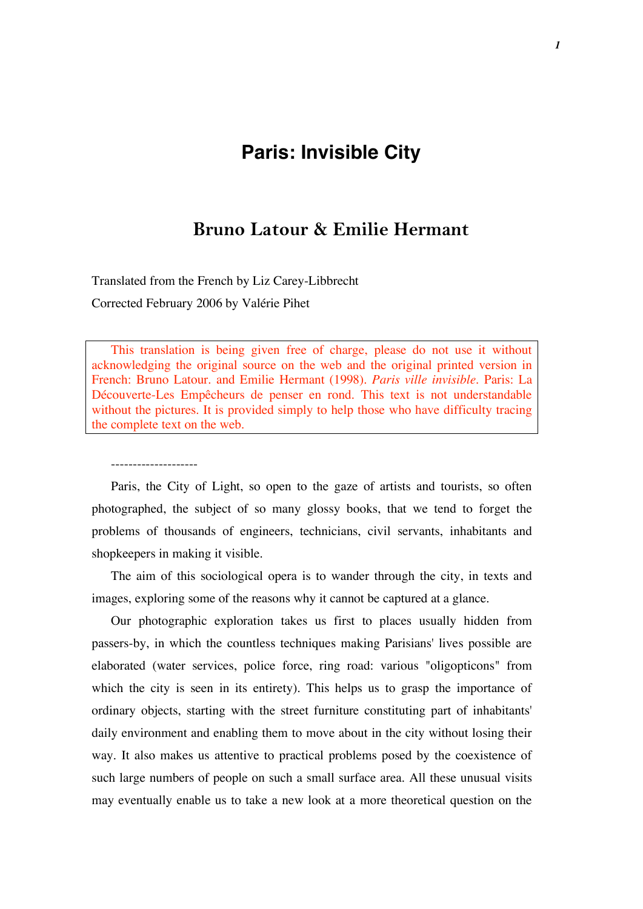# **Paris: Invisible City**

## **Bruno Latour & Emilie Hermant**

Translated from the French by Liz Carey-Libbrecht Corrected February 2006 by Valérie Pihet

--------------------

This translation is being given free of charge, please do not use it without acknowledging the original source on the web and the original printed version in French: Bruno Latour. and Emilie Hermant (1998). *Paris ville invisible.* Paris: La Découverte-Les Empêcheurs de penser en rond. This text is not understandable without the pictures. It is provided simply to help those who have difficulty tracing the complete text on the web.

Paris, the City of Light, so open to the gaze of artists and tourists, so often photographed, the subject of so many glossy books, that we tend to forget the problems of thousands of engineers, technicians, civil servants, inhabitants and shopkeepers in making it visible.

The aim of this sociological opera is to wander through the city, in texts and images, exploring some of the reasons why it cannot be captured at a glance.

Our photographic exploration takes us first to places usually hidden from passers-by, in which the countless techniques making Parisians' lives possible are elaborated (water services, police force, ring road: various "oligopticons" from which the city is seen in its entirety). This helps us to grasp the importance of ordinary objects, starting with the street furniture constituting part of inhabitants' daily environment and enabling them to move about in the city without losing their way. It also makes us attentive to practical problems posed by the coexistence of such large numbers of people on such a small surface area. All these unusual visits may eventually enable us to take a new look at a more theoretical question on the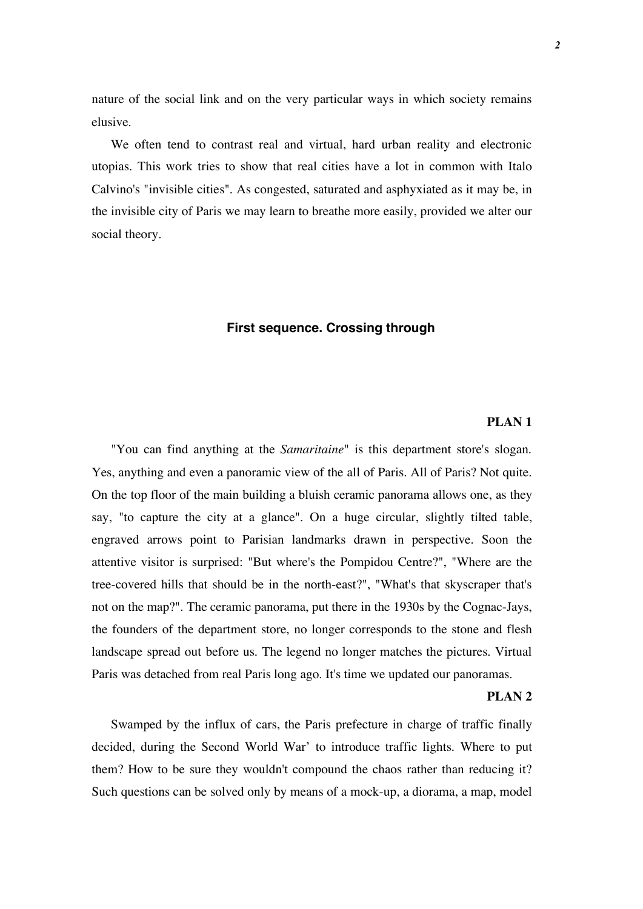nature of the social link and on the very particular ways in which society remains elusive.

We often tend to contrast real and virtual, hard urban reality and electronic utopias. This work tries to show that real cities have a lot in common with Italo Calvino's "invisible cities". As congested, saturated and asphyxiated as it may be, in the invisible city of Paris we may learn to breathe more easily, provided we alter our social theory.

## **First sequence. Crossing through**

## **PLAN 1**

"You can find anything at the *Samaritaine*" is this department store's slogan. Yes, anything and even a panoramic view of the all of Paris. All of Paris? Not quite. On the top floor of the main building a bluish ceramic panorama allows one, as they say, "to capture the city at a glance". On a huge circular, slightly tilted table, engraved arrows point to Parisian landmarks drawn in perspective. Soon the attentive visitor is surprised: "But where's the Pompidou Centre?", "Where are the tree-covered hills that should be in the north-east?", "What's that skyscraper that's not on the map?". The ceramic panorama, put there in the 1930s by the Cognac-Jays, the founders of the department store, no longer corresponds to the stone and flesh landscape spread out before us. The legend no longer matches the pictures. Virtual Paris was detached from real Paris long ago. It's time we updated our panoramas.

#### **PLAN 2**

Swamped by the influx of cars, the Paris prefecture in charge of traffic finally decided, during the Second World War' to introduce traffic lights. Where to put them? How to be sure they wouldn't compound the chaos rather than reducing it? Such questions can be solved only by means of a mock-up, a diorama, a map, model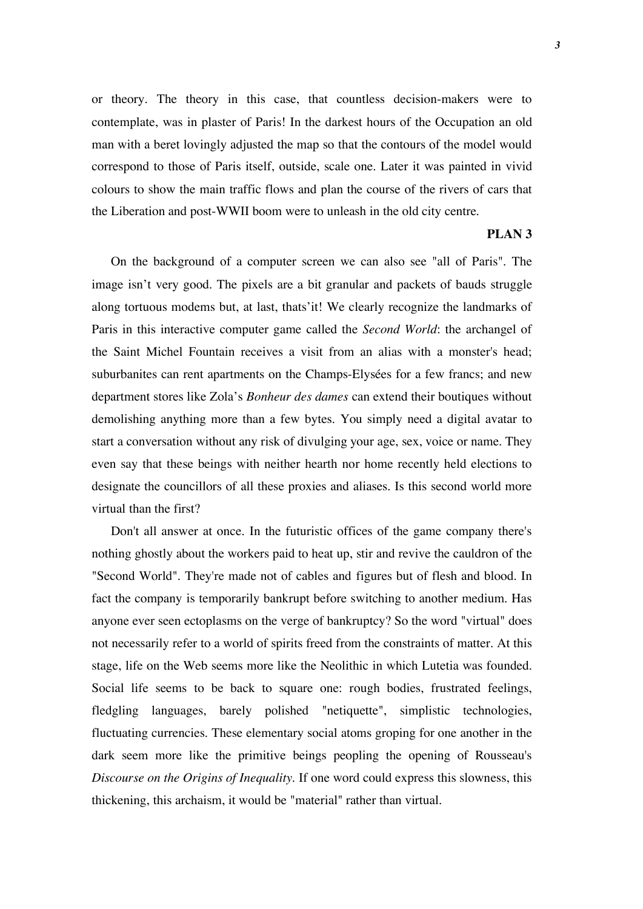or theory. The theory in this case, that countless decision-makers were to contemplate, was in plaster of Paris! In the darkest hours of the Occupation an old man with a beret lovingly adjusted the map so that the contours of the model would correspond to those of Paris itself, outside, scale one. Later it was painted in vivid colours to show the main traffic flows and plan the course of the rivers of cars that the Liberation and post-WWII boom were to unleash in the old city centre.

#### **PLAN 3**

On the background of a computer screen we can also see "all of Paris". The image isn't very good. The pixels are a bit granular and packets of bauds struggle along tortuous modems but, at last, thats'it! We clearly recognize the landmarks of Paris in this interactive computer game called the *Second World*: the archangel of the Saint Michel Fountain receives a visit from an alias with a monster's head; suburbanites can rent apartments on the Champs-Elysées for a few francs; and new department stores like Zola's *Bonheur des dames* can extend their boutiques without demolishing anything more than a few bytes. You simply need a digital avatar to start a conversation without any risk of divulging your age, sex, voice or name. They even say that these beings with neither hearth nor home recently held elections to designate the councillors of all these proxies and aliases. Is this second world more virtual than the first?

Don't all answer at once. In the futuristic offices of the game company there's nothing ghostly about the workers paid to heat up, stir and revive the cauldron of the "Second World". They're made not of cables and figures but of flesh and blood. In fact the company is temporarily bankrupt before switching to another medium. Has anyone ever seen ectoplasms on the verge of bankruptcy? So the word "virtual" does not necessarily refer to a world of spirits freed from the constraints of matter. At this stage, life on the Web seems more like the Neolithic in which Lutetia was founded. Social life seems to be back to square one: rough bodies, frustrated feelings, fledgling languages, barely polished "netiquette", simplistic technologies, fluctuating currencies. These elementary social atoms groping for one another in the dark seem more like the primitive beings peopling the opening of Rousseau's *Discourse on the Origins of Inequality*. If one word could express this slowness, this thickening, this archaism, it would be "material" rather than virtual.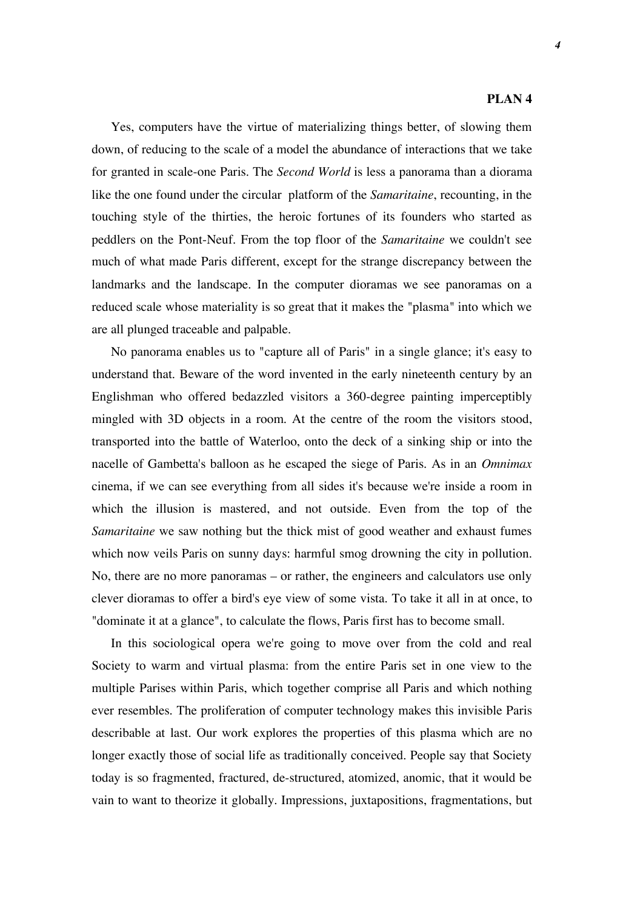#### **PLAN 4**

Yes, computers have the virtue of materializing things better, of slowing them down, of reducing to the scale of a model the abundance of interactions that we take for granted in scale-one Paris. The *Second World* is less a panorama than a diorama like the one found under the circular platform of the *Samaritaine*, recounting, in the touching style of the thirties, the heroic fortunes of its founders who started as peddlers on the Pont-Neuf. From the top floor of the *Samaritaine* we couldn't see much of what made Paris different, except for the strange discrepancy between the landmarks and the landscape. In the computer dioramas we see panoramas on a reduced scale whose materiality is so great that it makes the "plasma" into which we are all plunged traceable and palpable.

No panorama enables us to "capture all of Paris" in a single glance; it's easy to understand that. Beware of the word invented in the early nineteenth century by an Englishman who offered bedazzled visitors a 360-degree painting imperceptibly mingled with 3D objects in a room. At the centre of the room the visitors stood, transported into the battle of Waterloo, onto the deck of a sinking ship or into the nacelle of Gambetta's balloon as he escaped the siege of Paris. As in an *Omnimax* cinema, if we can see everything from all sides it's because we're inside a room in which the illusion is mastered, and not outside. Even from the top of the *Samaritaine* we saw nothing but the thick mist of good weather and exhaust fumes which now veils Paris on sunny days: harmful smog drowning the city in pollution. No, there are no more panoramas – or rather, the engineers and calculators use only clever dioramas to offer a bird's eye view of some vista. To take it all in at once, to "dominate it at a glance", to calculate the flows, Paris first has to become small.

In this sociological opera we're going to move over from the cold and real Society to warm and virtual plasma: from the entire Paris set in one view to the multiple Parises within Paris, which together comprise all Paris and which nothing ever resembles. The proliferation of computer technology makes this invisible Paris describable at last. Our work explores the properties of this plasma which are no longer exactly those of social life as traditionally conceived. People say that Society today is so fragmented, fractured, de-structured, atomized, anomic, that it would be vain to want to theorize it globally. Impressions, juxtapositions, fragmentations, but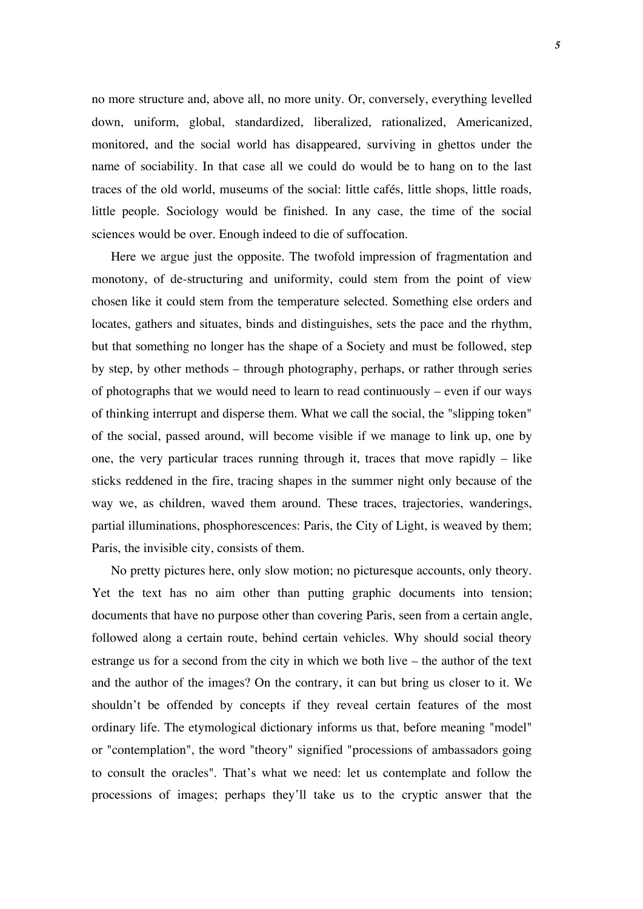no more structure and, above all, no more unity. Or, conversely, everything levelled down, uniform, global, standardized, liberalized, rationalized, Americanized, monitored, and the social world has disappeared, surviving in ghettos under the name of sociability. In that case all we could do would be to hang on to the last traces of the old world, museums of the social: little cafés, little shops, little roads, little people. Sociology would be finished. In any case, the time of the social sciences would be over. Enough indeed to die of suffocation.

Here we argue just the opposite. The twofold impression of fragmentation and monotony, of de-structuring and uniformity, could stem from the point of view chosen like it could stem from the temperature selected. Something else orders and locates, gathers and situates, binds and distinguishes, sets the pace and the rhythm, but that something no longer has the shape of a Society and must be followed, step by step, by other methods – through photography, perhaps, or rather through series of photographs that we would need to learn to read continuously – even if our ways of thinking interrupt and disperse them. What we call the social, the "slipping token" of the social, passed around, will become visible if we manage to link up, one by one, the very particular traces running through it, traces that move rapidly – like sticks reddened in the fire, tracing shapes in the summer night only because of the way we, as children, waved them around. These traces, trajectories, wanderings, partial illuminations, phosphorescences: Paris, the City of Light, is weaved by them; Paris, the invisible city, consists of them.

No pretty pictures here, only slow motion; no picturesque accounts, only theory. Yet the text has no aim other than putting graphic documents into tension; documents that have no purpose other than covering Paris, seen from a certain angle, followed along a certain route, behind certain vehicles. Why should social theory estrange us for a second from the city in which we both live – the author of the text and the author of the images? On the contrary, it can but bring us closer to it. We shouldn't be offended by concepts if they reveal certain features of the most ordinary life. The etymological dictionary informs us that, before meaning "model" or "contemplation", the word "theory" signified "processions of ambassadors going to consult the oracles". That's what we need: let us contemplate and follow the processions of images; perhaps they'll take us to the cryptic answer that the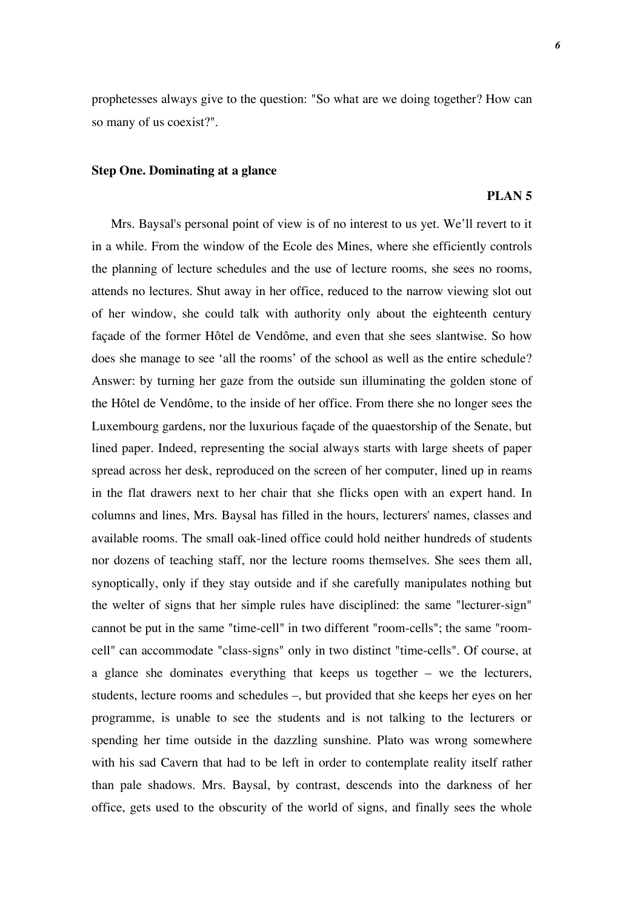prophetesses always give to the question: "So what are we doing together? How can so many of us coexist?".

#### **Step One. Dominating at a glance**

### **PLAN 5**

Mrs. Baysal's personal point of view is of no interest to us yet. We'll revert to it in a while. From the window of the Ecole des Mines, where she efficiently controls the planning of lecture schedules and the use of lecture rooms, she sees no rooms, attends no lectures. Shut away in her office, reduced to the narrow viewing slot out of her window, she could talk with authority only about the eighteenth century façade of the former Hôtel de Vendôme, and even that she sees slantwise. So how does she manage to see 'all the rooms' of the school as well as the entire schedule? Answer: by turning her gaze from the outside sun illuminating the golden stone of the Hôtel de Vendôme, to the inside of her office. From there she no longer sees the Luxembourg gardens, nor the luxurious façade of the quaestorship of the Senate, but lined paper. Indeed, representing the social always starts with large sheets of paper spread across her desk, reproduced on the screen of her computer, lined up in reams in the flat drawers next to her chair that she flicks open with an expert hand. In columns and lines, Mrs. Baysal has filled in the hours, lecturers' names, classes and available rooms. The small oak-lined office could hold neither hundreds of students nor dozens of teaching staff, nor the lecture rooms themselves. She sees them all, synoptically, only if they stay outside and if she carefully manipulates nothing but the welter of signs that her simple rules have disciplined: the same "lecturer-sign" cannot be put in the same "time-cell" in two different "room-cells"; the same "roomcell" can accommodate "class-signs" only in two distinct "time-cells". Of course, at a glance she dominates everything that keeps us together – we the lecturers, students, lecture rooms and schedules –, but provided that she keeps her eyes on her programme, is unable to see the students and is not talking to the lecturers or spending her time outside in the dazzling sunshine. Plato was wrong somewhere with his sad Cavern that had to be left in order to contemplate reality itself rather than pale shadows. Mrs. Baysal, by contrast, descends into the darkness of her office, gets used to the obscurity of the world of signs, and finally sees the whole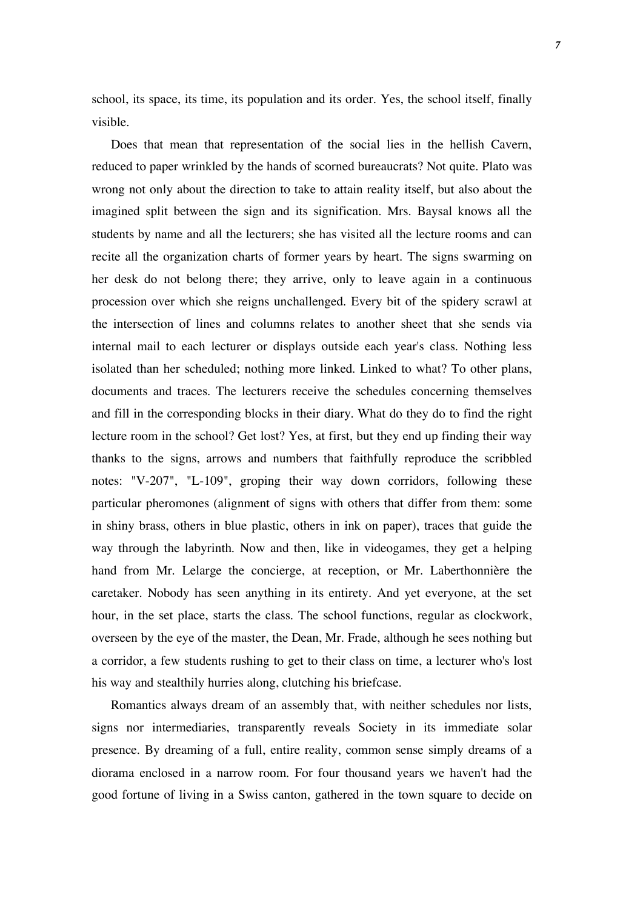school, its space, its time, its population and its order. Yes, the school itself, finally visible.

Does that mean that representation of the social lies in the hellish Cavern, reduced to paper wrinkled by the hands of scorned bureaucrats? Not quite. Plato was wrong not only about the direction to take to attain reality itself, but also about the imagined split between the sign and its signification. Mrs. Baysal knows all the students by name and all the lecturers; she has visited all the lecture rooms and can recite all the organization charts of former years by heart. The signs swarming on her desk do not belong there; they arrive, only to leave again in a continuous procession over which she reigns unchallenged. Every bit of the spidery scrawl at the intersection of lines and columns relates to another sheet that she sends via internal mail to each lecturer or displays outside each year's class. Nothing less isolated than her scheduled; nothing more linked. Linked to what? To other plans, documents and traces. The lecturers receive the schedules concerning themselves and fill in the corresponding blocks in their diary. What do they do to find the right lecture room in the school? Get lost? Yes, at first, but they end up finding their way thanks to the signs, arrows and numbers that faithfully reproduce the scribbled notes: "V-207", "L-109", groping their way down corridors, following these particular pheromones (alignment of signs with others that differ from them: some in shiny brass, others in blue plastic, others in ink on paper), traces that guide the way through the labyrinth. Now and then, like in videogames, they get a helping hand from Mr. Lelarge the concierge, at reception, or Mr. Laberthonnière the caretaker. Nobody has seen anything in its entirety. And yet everyone, at the set hour, in the set place, starts the class. The school functions, regular as clockwork, overseen by the eye of the master, the Dean, Mr. Frade, although he sees nothing but a corridor, a few students rushing to get to their class on time, a lecturer who's lost his way and stealthily hurries along, clutching his briefcase.

Romantics always dream of an assembly that, with neither schedules nor lists, signs nor intermediaries, transparently reveals Society in its immediate solar presence. By dreaming of a full, entire reality, common sense simply dreams of a diorama enclosed in a narrow room. For four thousand years we haven't had the good fortune of living in a Swiss canton, gathered in the town square to decide on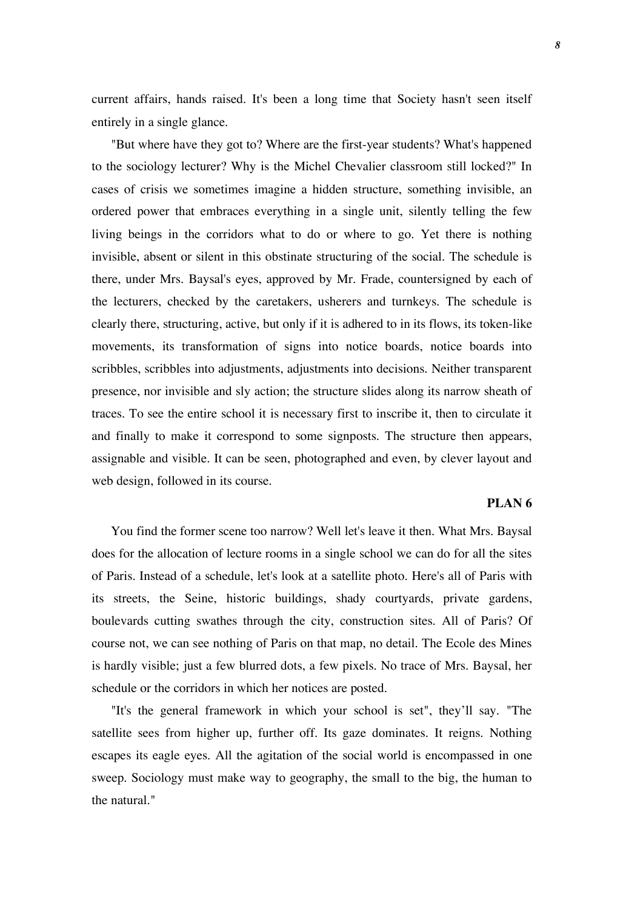current affairs, hands raised. It's been a long time that Society hasn't seen itself entirely in a single glance.

"But where have they got to? Where are the first-year students? What's happened to the sociology lecturer? Why is the Michel Chevalier classroom still locked?" In cases of crisis we sometimes imagine a hidden structure, something invisible, an ordered power that embraces everything in a single unit, silently telling the few living beings in the corridors what to do or where to go. Yet there is nothing invisible, absent or silent in this obstinate structuring of the social. The schedule is there, under Mrs. Baysal's eyes, approved by Mr. Frade, countersigned by each of the lecturers, checked by the caretakers, usherers and turnkeys. The schedule is clearly there, structuring, active, but only if it is adhered to in its flows, its token-like movements, its transformation of signs into notice boards, notice boards into scribbles, scribbles into adjustments, adjustments into decisions. Neither transparent presence, nor invisible and sly action; the structure slides along its narrow sheath of traces. To see the entire school it is necessary first to inscribe it, then to circulate it and finally to make it correspond to some signposts. The structure then appears, assignable and visible. It can be seen, photographed and even, by clever layout and web design, followed in its course.

## **PLAN 6**

You find the former scene too narrow? Well let's leave it then. What Mrs. Baysal does for the allocation of lecture rooms in a single school we can do for all the sites of Paris. Instead of a schedule, let's look at a satellite photo. Here's all of Paris with its streets, the Seine, historic buildings, shady courtyards, private gardens, boulevards cutting swathes through the city, construction sites. All of Paris? Of course not, we can see nothing of Paris on that map, no detail. The Ecole des Mines is hardly visible; just a few blurred dots, a few pixels. No trace of Mrs. Baysal, her schedule or the corridors in which her notices are posted.

"It's the general framework in which your school is set", they'll say. "The satellite sees from higher up, further off. Its gaze dominates. It reigns. Nothing escapes its eagle eyes. All the agitation of the social world is encompassed in one sweep. Sociology must make way to geography, the small to the big, the human to the natural."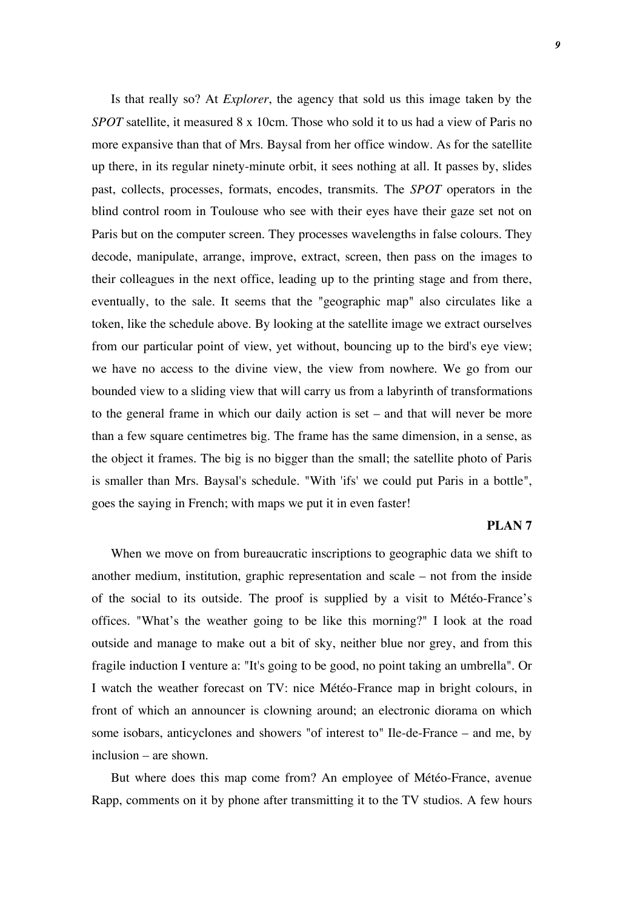Is that really so? At *Explorer*, the agency that sold us this image taken by the *SPOT* satellite, it measured 8 x 10cm. Those who sold it to us had a view of Paris no more expansive than that of Mrs. Baysal from her office window. As for the satellite up there, in its regular ninety-minute orbit, it sees nothing at all. It passes by, slides past, collects, processes, formats, encodes, transmits. The *SPOT* operators in the blind control room in Toulouse who see with their eyes have their gaze set not on Paris but on the computer screen. They processes wavelengths in false colours. They decode, manipulate, arrange, improve, extract, screen, then pass on the images to their colleagues in the next office, leading up to the printing stage and from there, eventually, to the sale. It seems that the "geographic map" also circulates like a token, like the schedule above. By looking at the satellite image we extract ourselves from our particular point of view, yet without, bouncing up to the bird's eye view; we have no access to the divine view, the view from nowhere. We go from our bounded view to a sliding view that will carry us from a labyrinth of transformations to the general frame in which our daily action is set – and that will never be more than a few square centimetres big. The frame has the same dimension, in a sense, as the object it frames. The big is no bigger than the small; the satellite photo of Paris is smaller than Mrs. Baysal's schedule. "With 'ifs' we could put Paris in a bottle", goes the saying in French; with maps we put it in even faster!

## **PLAN 7**

When we move on from bureaucratic inscriptions to geographic data we shift to another medium, institution, graphic representation and scale – not from the inside of the social to its outside. The proof is supplied by a visit to Météo-France's offices. "What's the weather going to be like this morning?" I look at the road outside and manage to make out a bit of sky, neither blue nor grey, and from this fragile induction I venture a: "It's going to be good, no point taking an umbrella". Or I watch the weather forecast on TV: nice Météo-France map in bright colours, in front of which an announcer is clowning around; an electronic diorama on which some isobars, anticyclones and showers "of interest to" Ile-de-France – and me, by inclusion – are shown.

But where does this map come from? An employee of Météo-France, avenue Rapp, comments on it by phone after transmitting it to the TV studios. A few hours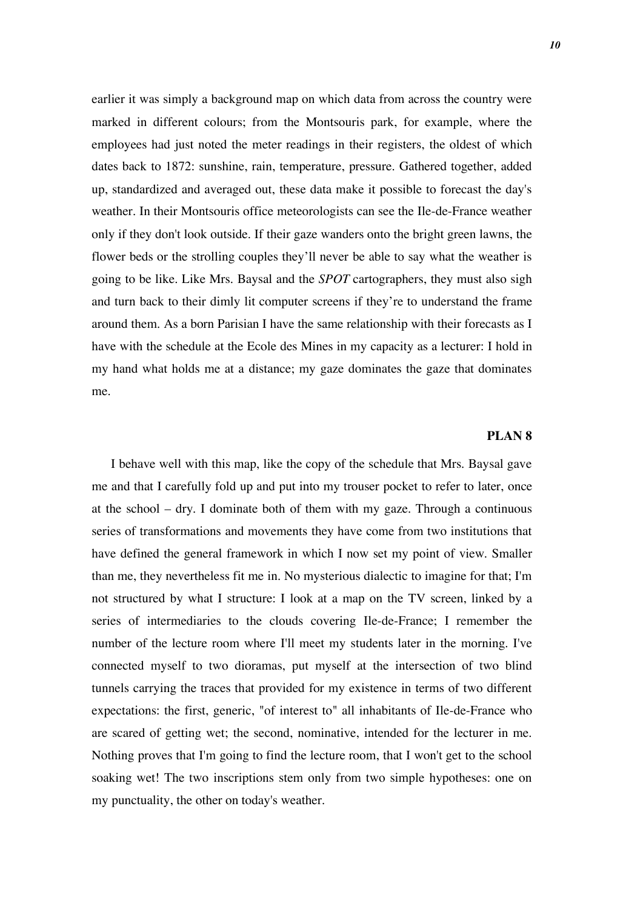earlier it was simply a background map on which data from across the country were marked in different colours; from the Montsouris park, for example, where the employees had just noted the meter readings in their registers, the oldest of which dates back to 1872: sunshine, rain, temperature, pressure. Gathered together, added up, standardized and averaged out, these data make it possible to forecast the day's weather. In their Montsouris office meteorologists can see the Ile-de-France weather only if they don't look outside. If their gaze wanders onto the bright green lawns, the flower beds or the strolling couples they'll never be able to say what the weather is going to be like. Like Mrs. Baysal and the *SPOT* cartographers, they must also sigh and turn back to their dimly lit computer screens if they're to understand the frame around them. As a born Parisian I have the same relationship with their forecasts as I have with the schedule at the Ecole des Mines in my capacity as a lecturer: I hold in my hand what holds me at a distance; my gaze dominates the gaze that dominates me.

## **PLAN 8**

I behave well with this map, like the copy of the schedule that Mrs. Baysal gave me and that I carefully fold up and put into my trouser pocket to refer to later, once at the school – dry. I dominate both of them with my gaze. Through a continuous series of transformations and movements they have come from two institutions that have defined the general framework in which I now set my point of view. Smaller than me, they nevertheless fit me in. No mysterious dialectic to imagine for that; I'm not structured by what I structure: I look at a map on the TV screen, linked by a series of intermediaries to the clouds covering Ile-de-France; I remember the number of the lecture room where I'll meet my students later in the morning. I've connected myself to two dioramas, put myself at the intersection of two blind tunnels carrying the traces that provided for my existence in terms of two different expectations: the first, generic, "of interest to" all inhabitants of Ile-de-France who are scared of getting wet; the second, nominative, intended for the lecturer in me. Nothing proves that I'm going to find the lecture room, that I won't get to the school soaking wet! The two inscriptions stem only from two simple hypotheses: one on my punctuality, the other on today's weather.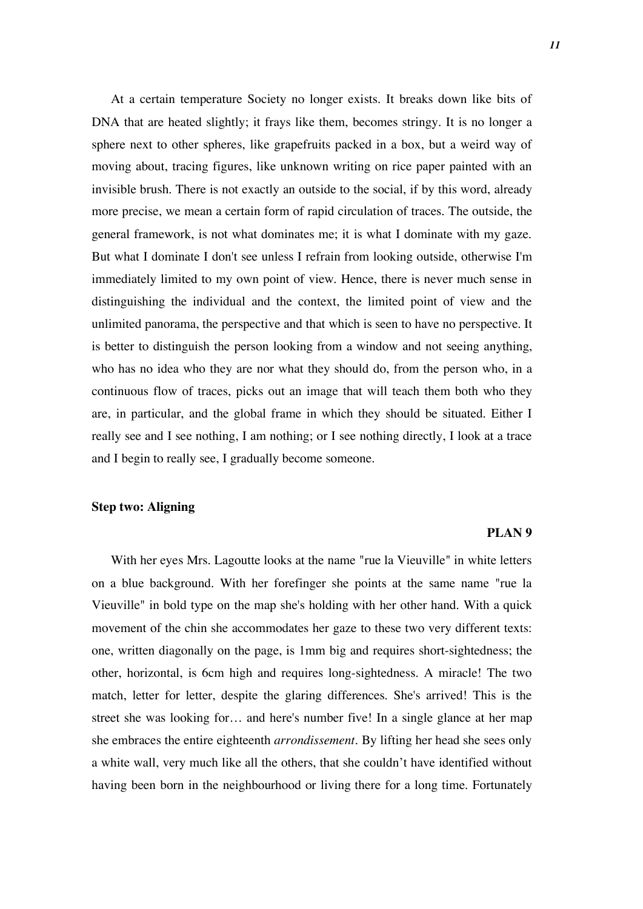At a certain temperature Society no longer exists. It breaks down like bits of DNA that are heated slightly; it frays like them, becomes stringy. It is no longer a sphere next to other spheres, like grapefruits packed in a box, but a weird way of moving about, tracing figures, like unknown writing on rice paper painted with an invisible brush. There is not exactly an outside to the social, if by this word, already more precise, we mean a certain form of rapid circulation of traces. The outside, the general framework, is not what dominates me; it is what I dominate with my gaze. But what I dominate I don't see unless I refrain from looking outside, otherwise I'm immediately limited to my own point of view. Hence, there is never much sense in distinguishing the individual and the context, the limited point of view and the unlimited panorama, the perspective and that which is seen to have no perspective. It is better to distinguish the person looking from a window and not seeing anything, who has no idea who they are nor what they should do, from the person who, in a continuous flow of traces, picks out an image that will teach them both who they are, in particular, and the global frame in which they should be situated. Either I really see and I see nothing, I am nothing; or I see nothing directly, I look at a trace and I begin to really see, I gradually become someone.

## **Step two: Aligning**

#### **PLAN 9**

With her eyes Mrs. Lagoutte looks at the name "rue la Vieuville" in white letters on a blue background. With her forefinger she points at the same name "rue la Vieuville" in bold type on the map she's holding with her other hand. With a quick movement of the chin she accommodates her gaze to these two very different texts: one, written diagonally on the page, is 1mm big and requires short-sightedness; the other, horizontal, is 6cm high and requires long-sightedness. A miracle! The two match, letter for letter, despite the glaring differences. She's arrived! This is the street she was looking for… and here's number five! In a single glance at her map she embraces the entire eighteenth *arrondissement*. By lifting her head she sees only a white wall, very much like all the others, that she couldn't have identified without having been born in the neighbourhood or living there for a long time. Fortunately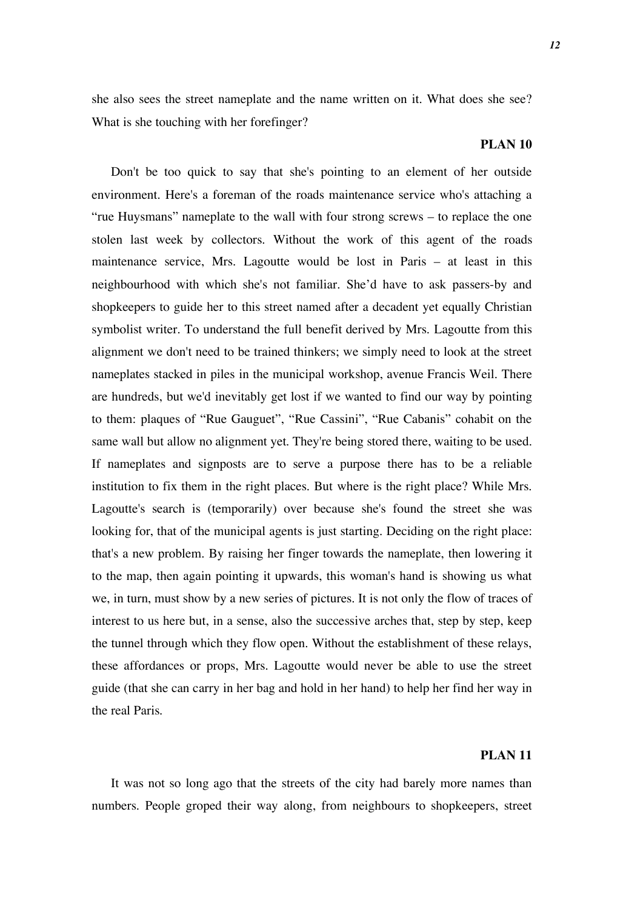she also sees the street nameplate and the name written on it. What does she see? What is she touching with her forefinger?

## **PLAN 10**

Don't be too quick to say that she's pointing to an element of her outside environment. Here's a foreman of the roads maintenance service who's attaching a "rue Huysmans" nameplate to the wall with four strong screws – to replace the one stolen last week by collectors. Without the work of this agent of the roads maintenance service, Mrs. Lagoutte would be lost in Paris – at least in this neighbourhood with which she's not familiar. She'd have to ask passers-by and shopkeepers to guide her to this street named after a decadent yet equally Christian symbolist writer. To understand the full benefit derived by Mrs. Lagoutte from this alignment we don't need to be trained thinkers; we simply need to look at the street nameplates stacked in piles in the municipal workshop, avenue Francis Weil. There are hundreds, but we'd inevitably get lost if we wanted to find our way by pointing to them: plaques of "Rue Gauguet", "Rue Cassini", "Rue Cabanis" cohabit on the same wall but allow no alignment yet. They're being stored there, waiting to be used. If nameplates and signposts are to serve a purpose there has to be a reliable institution to fix them in the right places. But where is the right place? While Mrs. Lagoutte's search is (temporarily) over because she's found the street she was looking for, that of the municipal agents is just starting. Deciding on the right place: that's a new problem. By raising her finger towards the nameplate, then lowering it to the map, then again pointing it upwards, this woman's hand is showing us what we, in turn, must show by a new series of pictures. It is not only the flow of traces of interest to us here but, in a sense, also the successive arches that, step by step, keep the tunnel through which they flow open. Without the establishment of these relays, these affordances or props, Mrs. Lagoutte would never be able to use the street guide (that she can carry in her bag and hold in her hand) to help her find her way in the real Paris.

## **PLAN 11**

It was not so long ago that the streets of the city had barely more names than numbers. People groped their way along, from neighbours to shopkeepers, street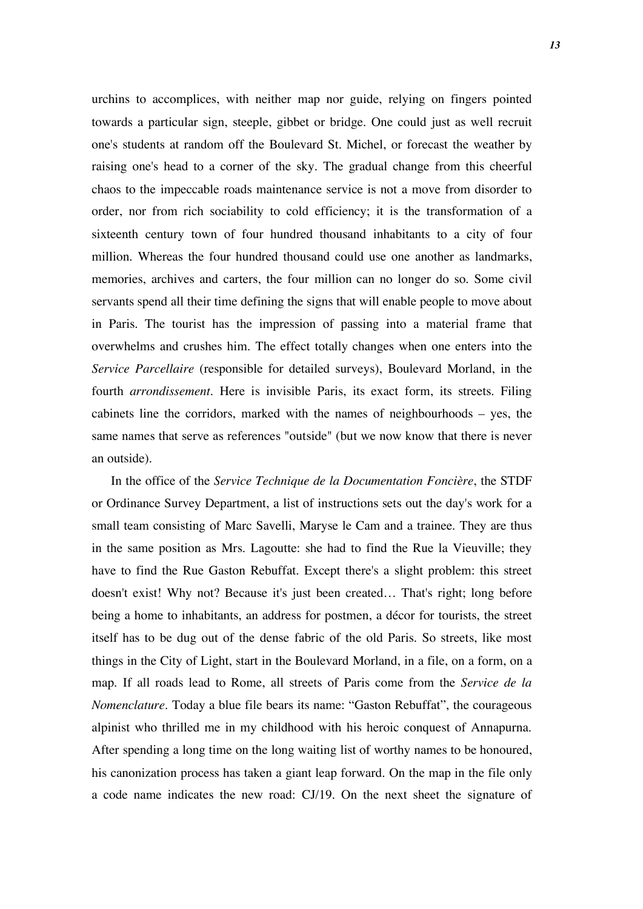urchins to accomplices, with neither map nor guide, relying on fingers pointed towards a particular sign, steeple, gibbet or bridge. One could just as well recruit one's students at random off the Boulevard St. Michel, or forecast the weather by raising one's head to a corner of the sky. The gradual change from this cheerful chaos to the impeccable roads maintenance service is not a move from disorder to order, nor from rich sociability to cold efficiency; it is the transformation of a sixteenth century town of four hundred thousand inhabitants to a city of four million. Whereas the four hundred thousand could use one another as landmarks, memories, archives and carters, the four million can no longer do so. Some civil servants spend all their time defining the signs that will enable people to move about in Paris. The tourist has the impression of passing into a material frame that overwhelms and crushes him. The effect totally changes when one enters into the *Service Parcellaire* (responsible for detailed surveys), Boulevard Morland, in the fourth *arrondissement*. Here is invisible Paris, its exact form, its streets. Filing cabinets line the corridors, marked with the names of neighbourhoods – yes, the same names that serve as references "outside" (but we now know that there is never an outside).

In the office of the *Service Technique de la Documentation Foncière*, the STDF or Ordinance Survey Department, a list of instructions sets out the day's work for a small team consisting of Marc Savelli, Maryse le Cam and a trainee. They are thus in the same position as Mrs. Lagoutte: she had to find the Rue la Vieuville; they have to find the Rue Gaston Rebuffat. Except there's a slight problem: this street doesn't exist! Why not? Because it's just been created… That's right; long before being a home to inhabitants, an address for postmen, a décor for tourists, the street itself has to be dug out of the dense fabric of the old Paris. So streets, like most things in the City of Light, start in the Boulevard Morland, in a file, on a form, on a map. If all roads lead to Rome, all streets of Paris come from the *Service de la Nomenclature*. Today a blue file bears its name: "Gaston Rebuffat", the courageous alpinist who thrilled me in my childhood with his heroic conquest of Annapurna. After spending a long time on the long waiting list of worthy names to be honoured, his canonization process has taken a giant leap forward. On the map in the file only a code name indicates the new road: CJ/19. On the next sheet the signature of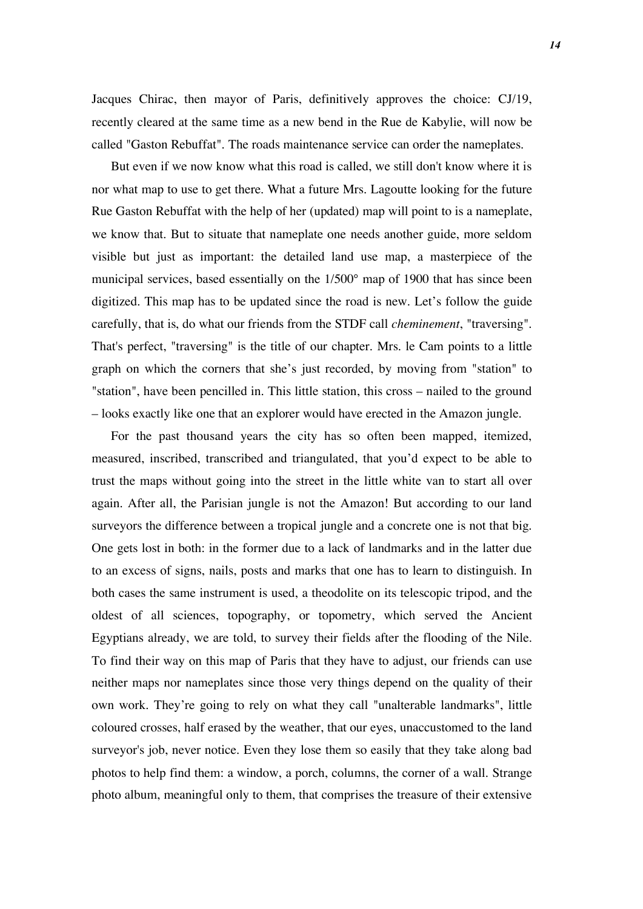Jacques Chirac, then mayor of Paris, definitively approves the choice: CJ/19, recently cleared at the same time as a new bend in the Rue de Kabylie, will now be called "Gaston Rebuffat". The roads maintenance service can order the nameplates.

But even if we now know what this road is called, we still don't know where it is nor what map to use to get there. What a future Mrs. Lagoutte looking for the future Rue Gaston Rebuffat with the help of her (updated) map will point to is a nameplate, we know that. But to situate that nameplate one needs another guide, more seldom visible but just as important: the detailed land use map, a masterpiece of the municipal services, based essentially on the 1/500° map of 1900 that has since been digitized. This map has to be updated since the road is new. Let's follow the guide carefully, that is, do what our friends from the STDF call *cheminement*, "traversing". That's perfect, "traversing" is the title of our chapter. Mrs. le Cam points to a little graph on which the corners that she's just recorded, by moving from "station" to "station", have been pencilled in. This little station, this cross – nailed to the ground – looks exactly like one that an explorer would have erected in the Amazon jungle.

For the past thousand years the city has so often been mapped, itemized, measured, inscribed, transcribed and triangulated, that you'd expect to be able to trust the maps without going into the street in the little white van to start all over again. After all, the Parisian jungle is not the Amazon! But according to our land surveyors the difference between a tropical jungle and a concrete one is not that big. One gets lost in both: in the former due to a lack of landmarks and in the latter due to an excess of signs, nails, posts and marks that one has to learn to distinguish. In both cases the same instrument is used, a theodolite on its telescopic tripod, and the oldest of all sciences, topography, or topometry, which served the Ancient Egyptians already, we are told, to survey their fields after the flooding of the Nile. To find their way on this map of Paris that they have to adjust, our friends can use neither maps nor nameplates since those very things depend on the quality of their own work. They're going to rely on what they call "unalterable landmarks", little coloured crosses, half erased by the weather, that our eyes, unaccustomed to the land surveyor's job, never notice. Even they lose them so easily that they take along bad photos to help find them: a window, a porch, columns, the corner of a wall. Strange photo album, meaningful only to them, that comprises the treasure of their extensive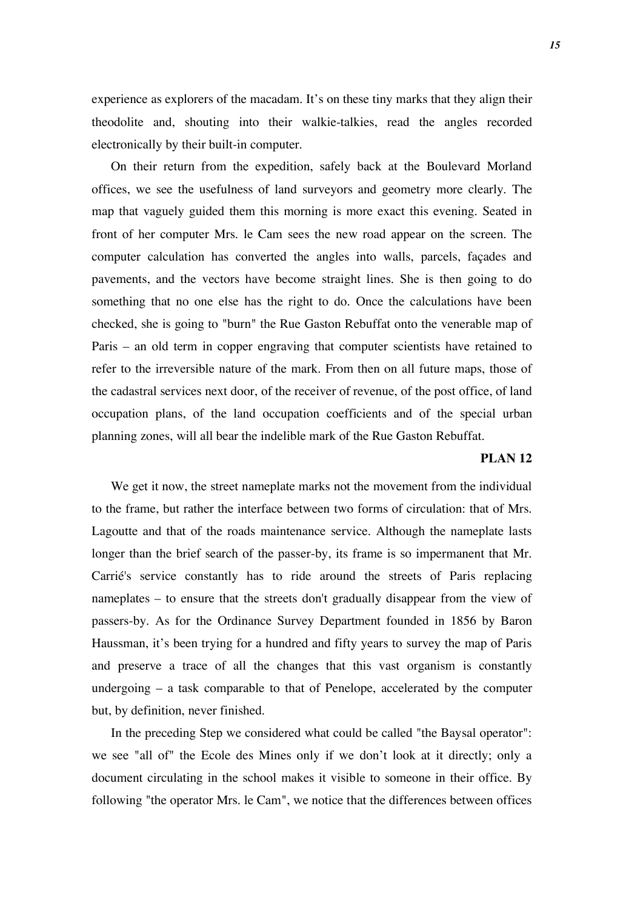experience as explorers of the macadam. It's on these tiny marks that they align their theodolite and, shouting into their walkie-talkies, read the angles recorded electronically by their built-in computer.

On their return from the expedition, safely back at the Boulevard Morland offices, we see the usefulness of land surveyors and geometry more clearly. The map that vaguely guided them this morning is more exact this evening. Seated in front of her computer Mrs. le Cam sees the new road appear on the screen. The computer calculation has converted the angles into walls, parcels, façades and pavements, and the vectors have become straight lines. She is then going to do something that no one else has the right to do. Once the calculations have been checked, she is going to "burn" the Rue Gaston Rebuffat onto the venerable map of Paris – an old term in copper engraving that computer scientists have retained to refer to the irreversible nature of the mark. From then on all future maps, those of the cadastral services next door, of the receiver of revenue, of the post office, of land occupation plans, of the land occupation coefficients and of the special urban planning zones, will all bear the indelible mark of the Rue Gaston Rebuffat.

#### **PLAN 12**

We get it now, the street nameplate marks not the movement from the individual to the frame, but rather the interface between two forms of circulation: that of Mrs. Lagoutte and that of the roads maintenance service. Although the nameplate lasts longer than the brief search of the passer-by, its frame is so impermanent that Mr. Carrié's service constantly has to ride around the streets of Paris replacing nameplates – to ensure that the streets don't gradually disappear from the view of passers-by. As for the Ordinance Survey Department founded in 1856 by Baron Haussman, it's been trying for a hundred and fifty years to survey the map of Paris and preserve a trace of all the changes that this vast organism is constantly undergoing – a task comparable to that of Penelope, accelerated by the computer but, by definition, never finished.

In the preceding Step we considered what could be called "the Baysal operator": we see "all of" the Ecole des Mines only if we don't look at it directly; only a document circulating in the school makes it visible to someone in their office. By following "the operator Mrs. le Cam", we notice that the differences between offices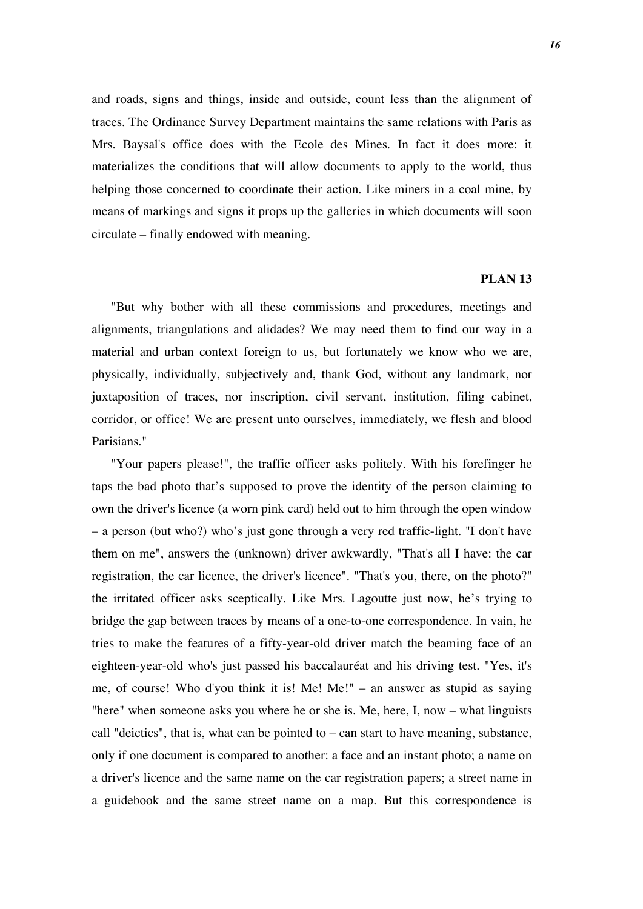and roads, signs and things, inside and outside, count less than the alignment of traces. The Ordinance Survey Department maintains the same relations with Paris as Mrs. Baysal's office does with the Ecole des Mines. In fact it does more: it materializes the conditions that will allow documents to apply to the world, thus helping those concerned to coordinate their action. Like miners in a coal mine, by means of markings and signs it props up the galleries in which documents will soon circulate – finally endowed with meaning.

### **PLAN 13**

"But why bother with all these commissions and procedures, meetings and alignments, triangulations and alidades? We may need them to find our way in a material and urban context foreign to us, but fortunately we know who we are, physically, individually, subjectively and, thank God, without any landmark, nor juxtaposition of traces, nor inscription, civil servant, institution, filing cabinet, corridor, or office! We are present unto ourselves, immediately, we flesh and blood Parisians."

"Your papers please!", the traffic officer asks politely. With his forefinger he taps the bad photo that's supposed to prove the identity of the person claiming to own the driver's licence (a worn pink card) held out to him through the open window – a person (but who?) who's just gone through a very red traffic-light. "I don't have them on me", answers the (unknown) driver awkwardly, "That's all I have: the car registration, the car licence, the driver's licence". "That's you, there, on the photo?" the irritated officer asks sceptically. Like Mrs. Lagoutte just now, he's trying to bridge the gap between traces by means of a one-to-one correspondence. In vain, he tries to make the features of a fifty-year-old driver match the beaming face of an eighteen-year-old who's just passed his baccalauréat and his driving test. "Yes, it's me, of course! Who d'you think it is! Me! Me!" – an answer as stupid as saying "here" when someone asks you where he or she is. Me, here, I, now – what linguists call "deictics", that is, what can be pointed to – can start to have meaning, substance, only if one document is compared to another: a face and an instant photo; a name on a driver's licence and the same name on the car registration papers; a street name in a guidebook and the same street name on a map. But this correspondence is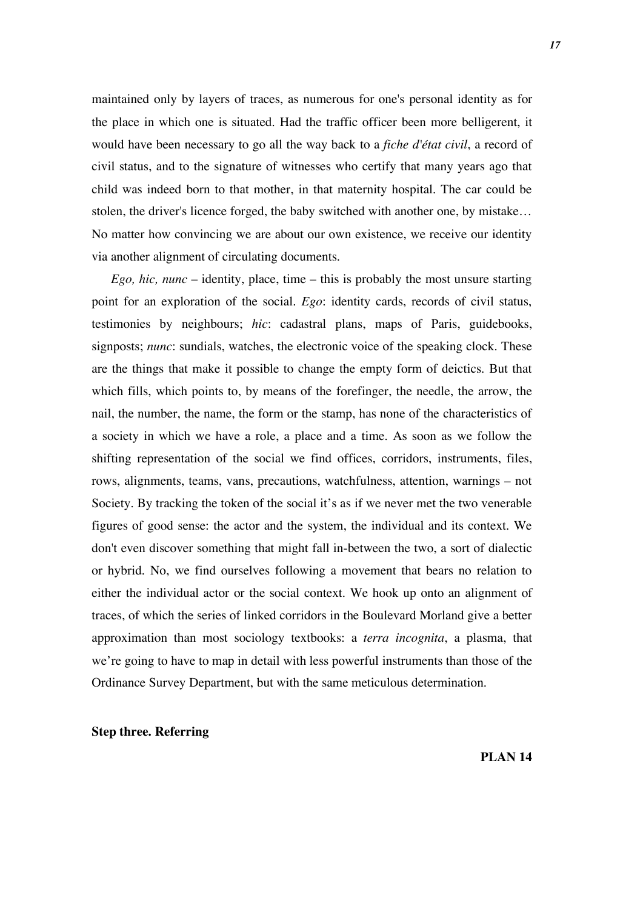maintained only by layers of traces, as numerous for one's personal identity as for the place in which one is situated. Had the traffic officer been more belligerent, it would have been necessary to go all the way back to a *fiche d'état civil*, a record of civil status, and to the signature of witnesses who certify that many years ago that child was indeed born to that mother, in that maternity hospital. The car could be stolen, the driver's licence forged, the baby switched with another one, by mistake… No matter how convincing we are about our own existence, we receive our identity via another alignment of circulating documents.

*Ego, hic, nunc* – identity, place, time – this is probably the most unsure starting point for an exploration of the social. *Ego*: identity cards, records of civil status, testimonies by neighbours; *hic*: cadastral plans, maps of Paris, guidebooks, signposts; *nunc*: sundials, watches, the electronic voice of the speaking clock. These are the things that make it possible to change the empty form of deictics. But that which fills, which points to, by means of the forefinger, the needle, the arrow, the nail, the number, the name, the form or the stamp, has none of the characteristics of a society in which we have a role, a place and a time. As soon as we follow the shifting representation of the social we find offices, corridors, instruments, files, rows, alignments, teams, vans, precautions, watchfulness, attention, warnings – not Society. By tracking the token of the social it's as if we never met the two venerable figures of good sense: the actor and the system, the individual and its context. We don't even discover something that might fall in-between the two, a sort of dialectic or hybrid. No, we find ourselves following a movement that bears no relation to either the individual actor or the social context. We hook up onto an alignment of traces, of which the series of linked corridors in the Boulevard Morland give a better approximation than most sociology textbooks: a *terra incognita*, a plasma, that we're going to have to map in detail with less powerful instruments than those of the Ordinance Survey Department, but with the same meticulous determination.

#### **Step three. Referring**

**PLAN 14**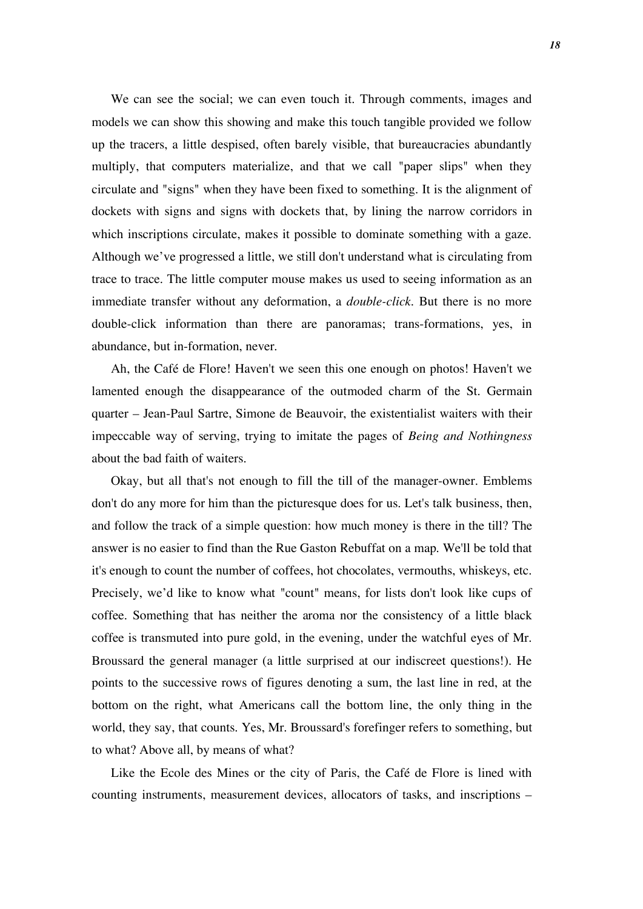We can see the social; we can even touch it. Through comments, images and models we can show this showing and make this touch tangible provided we follow up the tracers, a little despised, often barely visible, that bureaucracies abundantly multiply, that computers materialize, and that we call "paper slips" when they circulate and "signs" when they have been fixed to something. It is the alignment of dockets with signs and signs with dockets that, by lining the narrow corridors in which inscriptions circulate, makes it possible to dominate something with a gaze. Although we've progressed a little, we still don't understand what is circulating from trace to trace. The little computer mouse makes us used to seeing information as an immediate transfer without any deformation, a *double-click*. But there is no more double-click information than there are panoramas; trans-formations, yes, in abundance, but in-formation, never.

Ah, the Café de Flore! Haven't we seen this one enough on photos! Haven't we lamented enough the disappearance of the outmoded charm of the St. Germain quarter – Jean-Paul Sartre, Simone de Beauvoir, the existentialist waiters with their impeccable way of serving, trying to imitate the pages of *Being and Nothingness* about the bad faith of waiters.

Okay, but all that's not enough to fill the till of the manager-owner. Emblems don't do any more for him than the picturesque does for us. Let's talk business, then, and follow the track of a simple question: how much money is there in the till? The answer is no easier to find than the Rue Gaston Rebuffat on a map. We'll be told that it's enough to count the number of coffees, hot chocolates, vermouths, whiskeys, etc. Precisely, we'd like to know what "count" means, for lists don't look like cups of coffee. Something that has neither the aroma nor the consistency of a little black coffee is transmuted into pure gold, in the evening, under the watchful eyes of Mr. Broussard the general manager (a little surprised at our indiscreet questions!). He points to the successive rows of figures denoting a sum, the last line in red, at the bottom on the right, what Americans call the bottom line, the only thing in the world, they say, that counts. Yes, Mr. Broussard's forefinger refers to something, but to what? Above all, by means of what?

Like the Ecole des Mines or the city of Paris, the Café de Flore is lined with counting instruments, measurement devices, allocators of tasks, and inscriptions –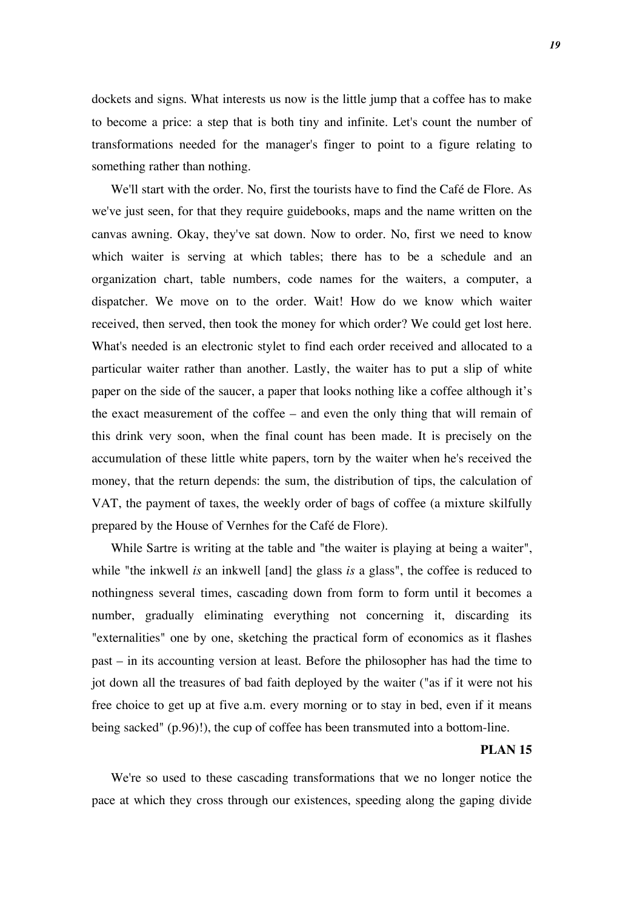dockets and signs. What interests us now is the little jump that a coffee has to make to become a price: a step that is both tiny and infinite. Let's count the number of transformations needed for the manager's finger to point to a figure relating to something rather than nothing.

We'll start with the order. No, first the tourists have to find the Café de Flore. As we've just seen, for that they require guidebooks, maps and the name written on the canvas awning. Okay, they've sat down. Now to order. No, first we need to know which waiter is serving at which tables; there has to be a schedule and an organization chart, table numbers, code names for the waiters, a computer, a dispatcher. We move on to the order. Wait! How do we know which waiter received, then served, then took the money for which order? We could get lost here. What's needed is an electronic stylet to find each order received and allocated to a particular waiter rather than another. Lastly, the waiter has to put a slip of white paper on the side of the saucer, a paper that looks nothing like a coffee although it's the exact measurement of the coffee – and even the only thing that will remain of this drink very soon, when the final count has been made. It is precisely on the accumulation of these little white papers, torn by the waiter when he's received the money, that the return depends: the sum, the distribution of tips, the calculation of VAT, the payment of taxes, the weekly order of bags of coffee (a mixture skilfully prepared by the House of Vernhes for the Café de Flore).

While Sartre is writing at the table and "the waiter is playing at being a waiter", while "the inkwell *is* an inkwell [and] the glass *is* a glass", the coffee is reduced to nothingness several times, cascading down from form to form until it becomes a number, gradually eliminating everything not concerning it, discarding its "externalities" one by one, sketching the practical form of economics as it flashes past – in its accounting version at least. Before the philosopher has had the time to jot down all the treasures of bad faith deployed by the waiter ("as if it were not his free choice to get up at five a.m. every morning or to stay in bed, even if it means being sacked" (p.96)!), the cup of coffee has been transmuted into a bottom-line.

### **PLAN 15**

We're so used to these cascading transformations that we no longer notice the pace at which they cross through our existences, speeding along the gaping divide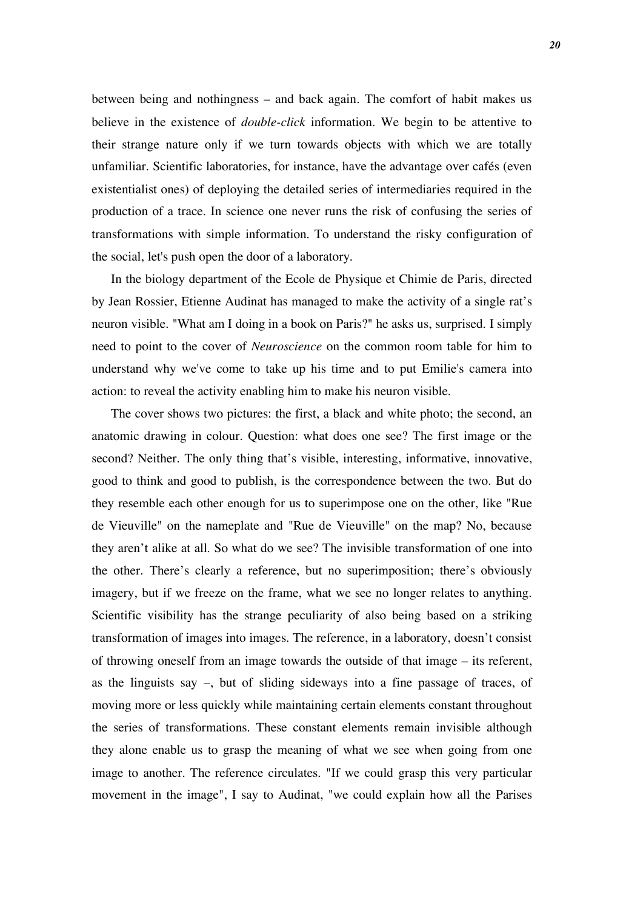between being and nothingness – and back again. The comfort of habit makes us believe in the existence of *double-click* information. We begin to be attentive to their strange nature only if we turn towards objects with which we are totally unfamiliar. Scientific laboratories, for instance, have the advantage over cafés (even existentialist ones) of deploying the detailed series of intermediaries required in the production of a trace. In science one never runs the risk of confusing the series of transformations with simple information. To understand the risky configuration of the social, let's push open the door of a laboratory.

In the biology department of the Ecole de Physique et Chimie de Paris, directed by Jean Rossier, Etienne Audinat has managed to make the activity of a single rat's neuron visible. "What am I doing in a book on Paris?" he asks us, surprised. I simply need to point to the cover of *Neuroscience* on the common room table for him to understand why we've come to take up his time and to put Emilie's camera into action: to reveal the activity enabling him to make his neuron visible.

The cover shows two pictures: the first, a black and white photo; the second, an anatomic drawing in colour. Question: what does one see? The first image or the second? Neither. The only thing that's visible, interesting, informative, innovative, good to think and good to publish, is the correspondence between the two. But do they resemble each other enough for us to superimpose one on the other, like "Rue de Vieuville" on the nameplate and "Rue de Vieuville" on the map? No, because they aren't alike at all. So what do we see? The invisible transformation of one into the other. There's clearly a reference, but no superimposition; there's obviously imagery, but if we freeze on the frame, what we see no longer relates to anything. Scientific visibility has the strange peculiarity of also being based on a striking transformation of images into images. The reference, in a laboratory, doesn't consist of throwing oneself from an image towards the outside of that image – its referent, as the linguists say –, but of sliding sideways into a fine passage of traces, of moving more or less quickly while maintaining certain elements constant throughout the series of transformations. These constant elements remain invisible although they alone enable us to grasp the meaning of what we see when going from one image to another. The reference circulates. "If we could grasp this very particular movement in the image", I say to Audinat, "we could explain how all the Parises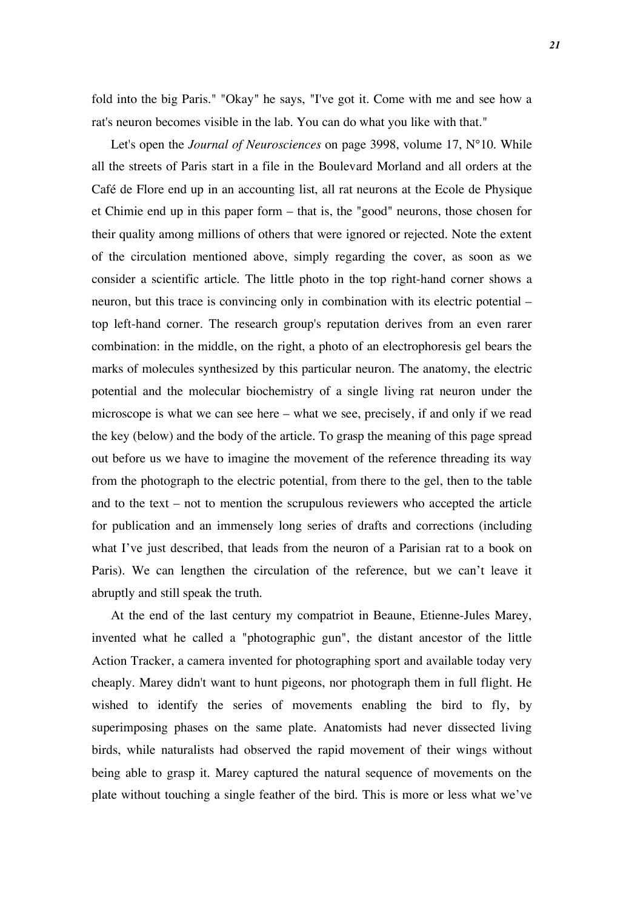fold into the big Paris." "Okay" he says, "I've got it. Come with me and see how a rat's neuron becomes visible in the lab. You can do what you like with that."

Let's open the *Journal of Neurosciences* on page 3998, volume 17, N°10. While all the streets of Paris start in a file in the Boulevard Morland and all orders at the Café de Flore end up in an accounting list, all rat neurons at the Ecole de Physique et Chimie end up in this paper form – that is, the "good" neurons, those chosen for their quality among millions of others that were ignored or rejected. Note the extent of the circulation mentioned above, simply regarding the cover, as soon as we consider a scientific article. The little photo in the top right-hand corner shows a neuron, but this trace is convincing only in combination with its electric potential – top left-hand corner. The research group's reputation derives from an even rarer combination: in the middle, on the right, a photo of an electrophoresis gel bears the marks of molecules synthesized by this particular neuron. The anatomy, the electric potential and the molecular biochemistry of a single living rat neuron under the microscope is what we can see here – what we see, precisely, if and only if we read the key (below) and the body of the article. To grasp the meaning of this page spread out before us we have to imagine the movement of the reference threading its way from the photograph to the electric potential, from there to the gel, then to the table and to the text – not to mention the scrupulous reviewers who accepted the article for publication and an immensely long series of drafts and corrections (including what I've just described, that leads from the neuron of a Parisian rat to a book on Paris). We can lengthen the circulation of the reference, but we can't leave it abruptly and still speak the truth.

At the end of the last century my compatriot in Beaune, Etienne-Jules Marey, invented what he called a "photographic gun", the distant ancestor of the little Action Tracker, a camera invented for photographing sport and available today very cheaply. Marey didn't want to hunt pigeons, nor photograph them in full flight. He wished to identify the series of movements enabling the bird to fly, by superimposing phases on the same plate. Anatomists had never dissected living birds, while naturalists had observed the rapid movement of their wings without being able to grasp it. Marey captured the natural sequence of movements on the plate without touching a single feather of the bird. This is more or less what we've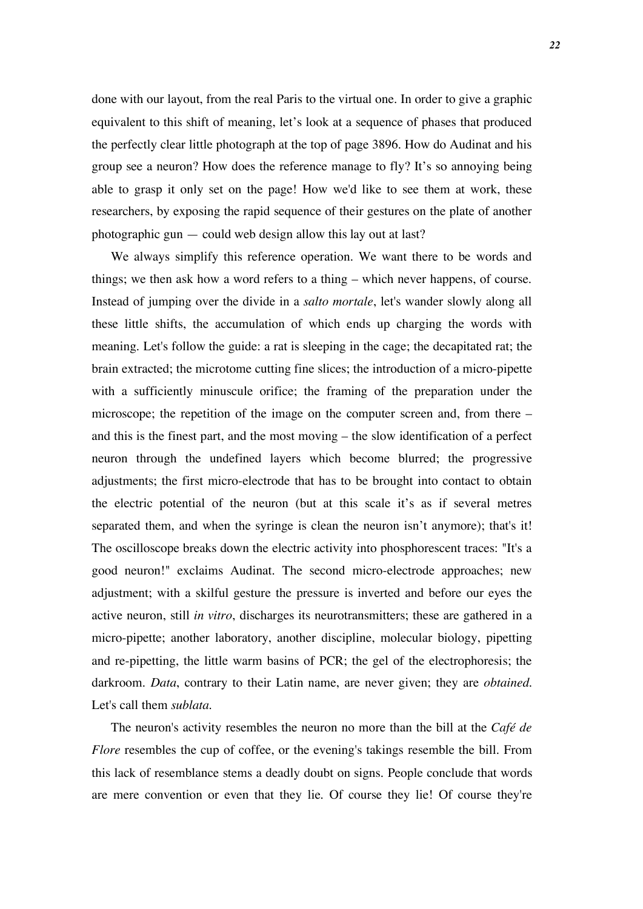done with our layout, from the real Paris to the virtual one. In order to give a graphic equivalent to this shift of meaning, let's look at a sequence of phases that produced the perfectly clear little photograph at the top of page 3896. How do Audinat and his group see a neuron? How does the reference manage to fly? It's so annoying being able to grasp it only set on the page! How we'd like to see them at work, these researchers, by exposing the rapid sequence of their gestures on the plate of another photographic gun — could web design allow this lay out at last?

We always simplify this reference operation. We want there to be words and things; we then ask how a word refers to a thing – which never happens, of course. Instead of jumping over the divide in a *salto mortale*, let's wander slowly along all these little shifts, the accumulation of which ends up charging the words with meaning. Let's follow the guide: a rat is sleeping in the cage; the decapitated rat; the brain extracted; the microtome cutting fine slices; the introduction of a micro-pipette with a sufficiently minuscule orifice; the framing of the preparation under the microscope; the repetition of the image on the computer screen and, from there – and this is the finest part, and the most moving – the slow identification of a perfect neuron through the undefined layers which become blurred; the progressive adjustments; the first micro-electrode that has to be brought into contact to obtain the electric potential of the neuron (but at this scale it's as if several metres separated them, and when the syringe is clean the neuron isn't anymore); that's it! The oscilloscope breaks down the electric activity into phosphorescent traces: "It's a good neuron!" exclaims Audinat. The second micro-electrode approaches; new adjustment; with a skilful gesture the pressure is inverted and before our eyes the active neuron, still *in vitro*, discharges its neurotransmitters; these are gathered in a micro-pipette; another laboratory, another discipline, molecular biology, pipetting and re-pipetting, the little warm basins of PCR; the gel of the electrophoresis; the darkroom. *Data*, contrary to their Latin name, are never given; they are *obtained.* Let's call them *sublata*.

The neuron's activity resembles the neuron no more than the bill at the *Café de Flore* resembles the cup of coffee, or the evening's takings resemble the bill. From this lack of resemblance stems a deadly doubt on signs. People conclude that words are mere convention or even that they lie. Of course they lie! Of course they're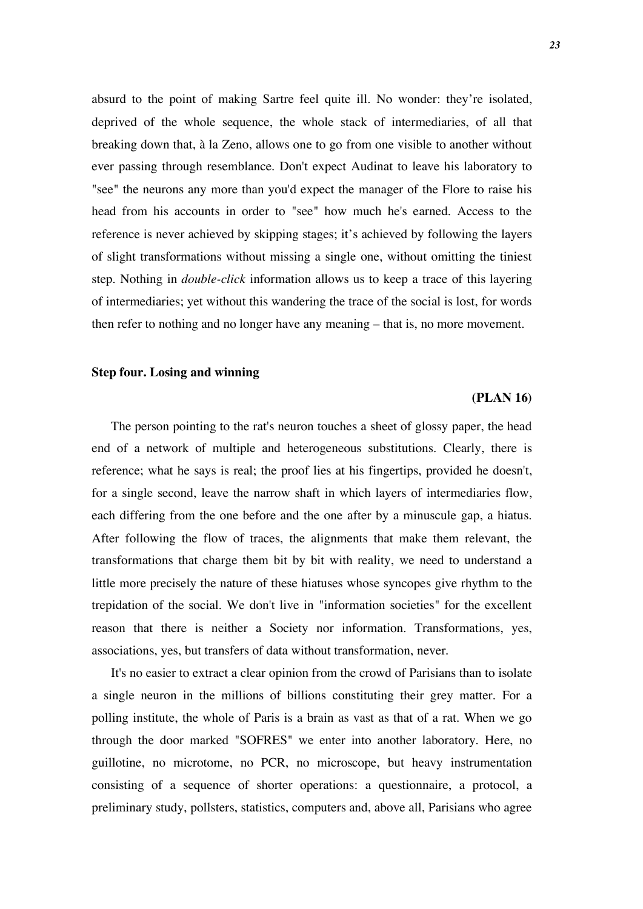absurd to the point of making Sartre feel quite ill. No wonder: they're isolated, deprived of the whole sequence, the whole stack of intermediaries, of all that breaking down that, à la Zeno, allows one to go from one visible to another without ever passing through resemblance. Don't expect Audinat to leave his laboratory to "see" the neurons any more than you'd expect the manager of the Flore to raise his head from his accounts in order to "see" how much he's earned. Access to the reference is never achieved by skipping stages; it's achieved by following the layers of slight transformations without missing a single one, without omitting the tiniest step. Nothing in *double-click* information allows us to keep a trace of this layering of intermediaries; yet without this wandering the trace of the social is lost, for words then refer to nothing and no longer have any meaning – that is, no more movement.

#### **Step four. Losing and winning**

#### **(PLAN 16)**

The person pointing to the rat's neuron touches a sheet of glossy paper, the head end of a network of multiple and heterogeneous substitutions. Clearly, there is reference; what he says is real; the proof lies at his fingertips, provided he doesn't, for a single second, leave the narrow shaft in which layers of intermediaries flow, each differing from the one before and the one after by a minuscule gap, a hiatus. After following the flow of traces, the alignments that make them relevant, the transformations that charge them bit by bit with reality, we need to understand a little more precisely the nature of these hiatuses whose syncopes give rhythm to the trepidation of the social. We don't live in "information societies" for the excellent reason that there is neither a Society nor information. Transformations, yes, associations, yes, but transfers of data without transformation, never.

It's no easier to extract a clear opinion from the crowd of Parisians than to isolate a single neuron in the millions of billions constituting their grey matter. For a polling institute, the whole of Paris is a brain as vast as that of a rat. When we go through the door marked "SOFRES" we enter into another laboratory. Here, no guillotine, no microtome, no PCR, no microscope, but heavy instrumentation consisting of a sequence of shorter operations: a questionnaire, a protocol, a preliminary study, pollsters, statistics, computers and, above all, Parisians who agree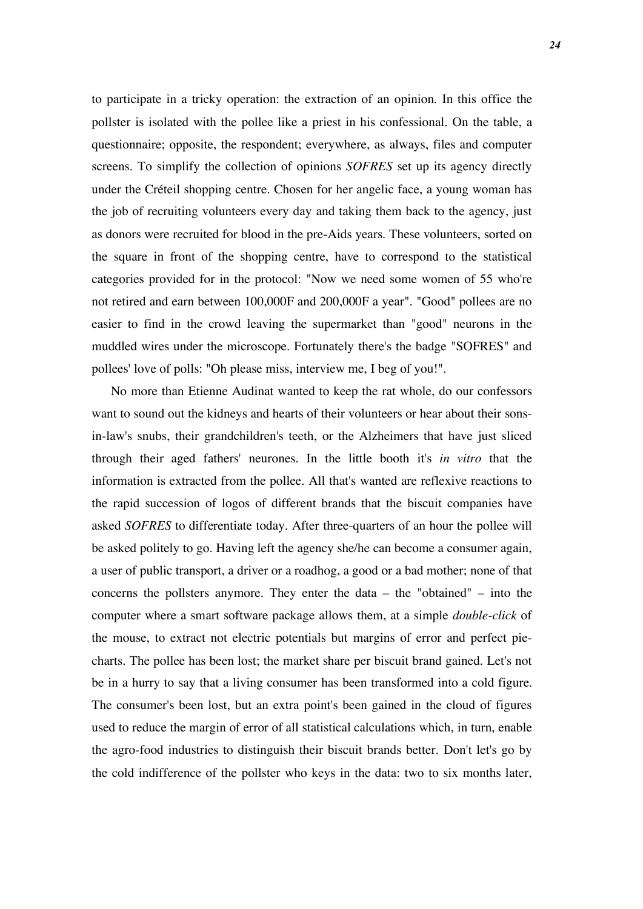to participate in a tricky operation: the extraction of an opinion. In this office the pollster is isolated with the pollee like a priest in his confessional. On the table, a questionnaire; opposite, the respondent; everywhere, as always, files and computer screens. To simplify the collection of opinions *SOFRES* set up its agency directly under the Créteil shopping centre. Chosen for her angelic face, a young woman has the job of recruiting volunteers every day and taking them back to the agency, just as donors were recruited for blood in the pre-Aids years. These volunteers, sorted on the square in front of the shopping centre, have to correspond to the statistical categories provided for in the protocol: "Now we need some women of 55 who're not retired and earn between 100,000F and 200,000F a year". "Good" pollees are no easier to find in the crowd leaving the supermarket than "good" neurons in the muddled wires under the microscope. Fortunately there's the badge "SOFRES" and pollees' love of polls: "Oh please miss, interview me, I beg of you!".

No more than Etienne Audinat wanted to keep the rat whole, do our confessors want to sound out the kidneys and hearts of their volunteers or hear about their sonsin-law's snubs, their grandchildren's teeth, or the Alzheimers that have just sliced through their aged fathers' neurones. In the little booth it's *in vitro* that the information is extracted from the pollee. All that's wanted are reflexive reactions to the rapid succession of logos of different brands that the biscuit companies have asked *SOFRES* to differentiate today. After three-quarters of an hour the pollee will be asked politely to go. Having left the agency she/he can become a consumer again, a user of public transport, a driver or a roadhog, a good or a bad mother; none of that concerns the pollsters anymore. They enter the data – the "obtained" – into the computer where a smart software package allows them, at a simple *double-click* of the mouse, to extract not electric potentials but margins of error and perfect piecharts. The pollee has been lost; the market share per biscuit brand gained. Let's not be in a hurry to say that a living consumer has been transformed into a cold figure. The consumer's been lost, but an extra point's been gained in the cloud of figures used to reduce the margin of error of all statistical calculations which, in turn, enable the agro-food industries to distinguish their biscuit brands better. Don't let's go by the cold indifference of the pollster who keys in the data: two to six months later,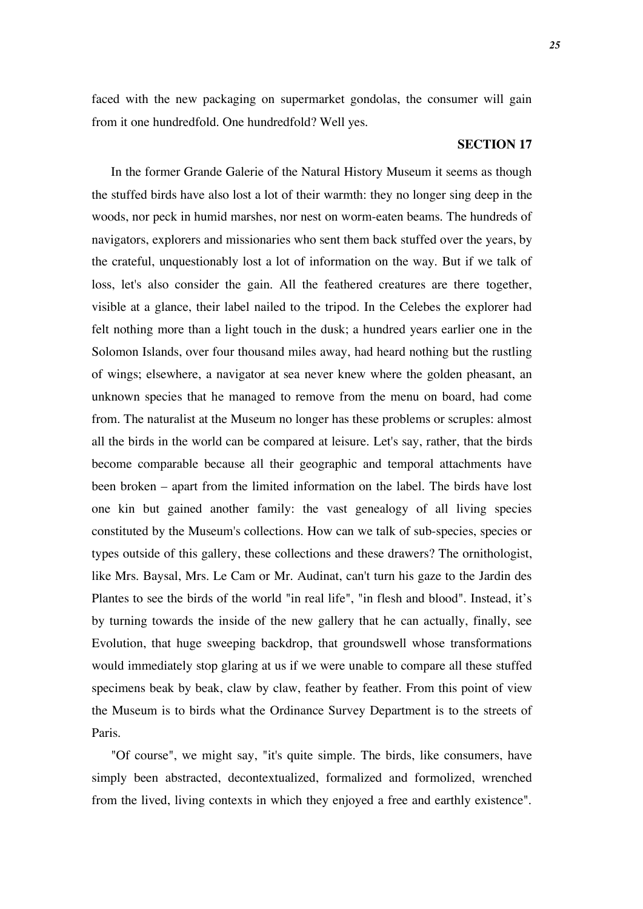faced with the new packaging on supermarket gondolas, the consumer will gain from it one hundredfold. One hundredfold? Well yes.

#### **SECTION 17**

In the former Grande Galerie of the Natural History Museum it seems as though the stuffed birds have also lost a lot of their warmth: they no longer sing deep in the woods, nor peck in humid marshes, nor nest on worm-eaten beams. The hundreds of navigators, explorers and missionaries who sent them back stuffed over the years, by the crateful, unquestionably lost a lot of information on the way. But if we talk of loss, let's also consider the gain. All the feathered creatures are there together, visible at a glance, their label nailed to the tripod. In the Celebes the explorer had felt nothing more than a light touch in the dusk; a hundred years earlier one in the Solomon Islands, over four thousand miles away, had heard nothing but the rustling of wings; elsewhere, a navigator at sea never knew where the golden pheasant, an unknown species that he managed to remove from the menu on board, had come from. The naturalist at the Museum no longer has these problems or scruples: almost all the birds in the world can be compared at leisure. Let's say, rather, that the birds become comparable because all their geographic and temporal attachments have been broken – apart from the limited information on the label. The birds have lost one kin but gained another family: the vast genealogy of all living species constituted by the Museum's collections. How can we talk of sub-species, species or types outside of this gallery, these collections and these drawers? The ornithologist, like Mrs. Baysal, Mrs. Le Cam or Mr. Audinat, can't turn his gaze to the Jardin des Plantes to see the birds of the world "in real life", "in flesh and blood". Instead, it's by turning towards the inside of the new gallery that he can actually, finally, see Evolution, that huge sweeping backdrop, that groundswell whose transformations would immediately stop glaring at us if we were unable to compare all these stuffed specimens beak by beak, claw by claw, feather by feather. From this point of view the Museum is to birds what the Ordinance Survey Department is to the streets of Paris.

"Of course", we might say, "it's quite simple. The birds, like consumers, have simply been abstracted, decontextualized, formalized and formolized, wrenched from the lived, living contexts in which they enjoyed a free and earthly existence".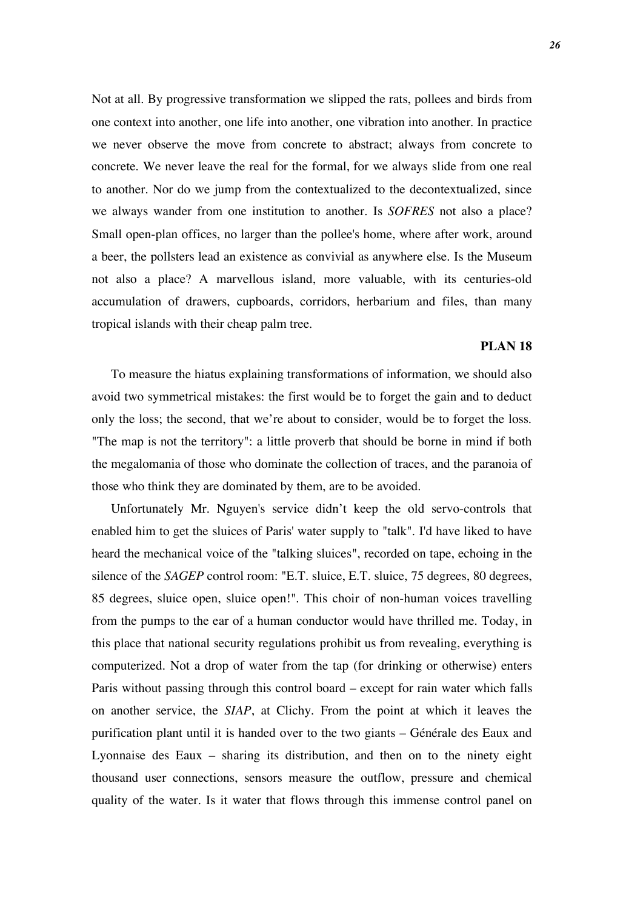Not at all. By progressive transformation we slipped the rats, pollees and birds from one context into another, one life into another, one vibration into another. In practice we never observe the move from concrete to abstract; always from concrete to concrete. We never leave the real for the formal, for we always slide from one real to another. Nor do we jump from the contextualized to the decontextualized, since we always wander from one institution to another. Is *SOFRES* not also a place? Small open-plan offices, no larger than the pollee's home, where after work, around a beer, the pollsters lead an existence as convivial as anywhere else. Is the Museum not also a place? A marvellous island, more valuable, with its centuries-old accumulation of drawers, cupboards, corridors, herbarium and files, than many tropical islands with their cheap palm tree.

#### **PLAN 18**

To measure the hiatus explaining transformations of information, we should also avoid two symmetrical mistakes: the first would be to forget the gain and to deduct only the loss; the second, that we're about to consider, would be to forget the loss. "The map is not the territory": a little proverb that should be borne in mind if both the megalomania of those who dominate the collection of traces, and the paranoia of those who think they are dominated by them, are to be avoided.

Unfortunately Mr. Nguyen's service didn't keep the old servo-controls that enabled him to get the sluices of Paris' water supply to "talk". I'd have liked to have heard the mechanical voice of the "talking sluices", recorded on tape, echoing in the silence of the *SAGEP* control room: "E.T. sluice, E.T. sluice, 75 degrees, 80 degrees, 85 degrees, sluice open, sluice open!". This choir of non-human voices travelling from the pumps to the ear of a human conductor would have thrilled me. Today, in this place that national security regulations prohibit us from revealing, everything is computerized. Not a drop of water from the tap (for drinking or otherwise) enters Paris without passing through this control board – except for rain water which falls on another service, the *SIAP*, at Clichy. From the point at which it leaves the purification plant until it is handed over to the two giants – Générale des Eaux and Lyonnaise des Eaux – sharing its distribution, and then on to the ninety eight thousand user connections, sensors measure the outflow, pressure and chemical quality of the water. Is it water that flows through this immense control panel on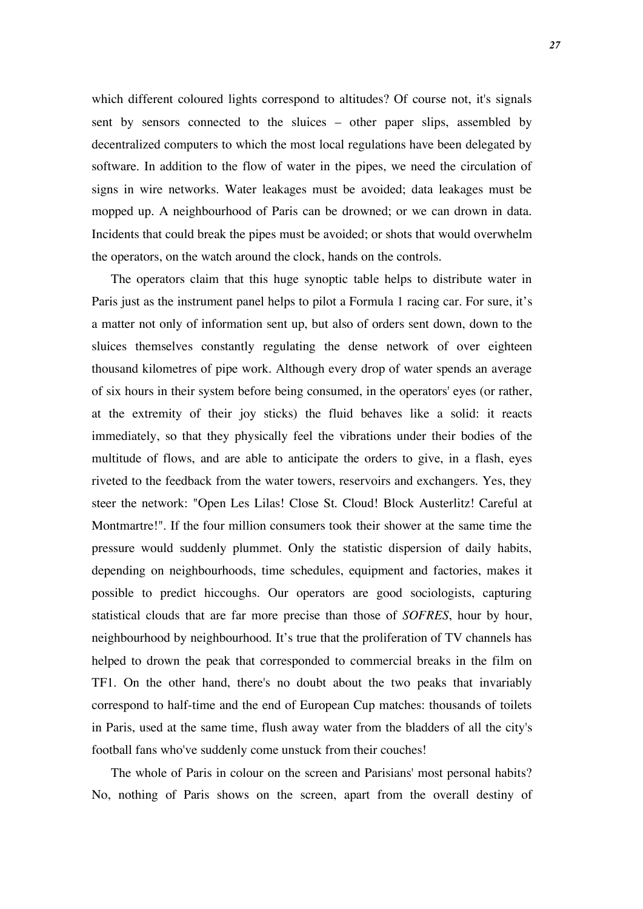which different coloured lights correspond to altitudes? Of course not, it's signals sent by sensors connected to the sluices – other paper slips, assembled by decentralized computers to which the most local regulations have been delegated by software. In addition to the flow of water in the pipes, we need the circulation of signs in wire networks. Water leakages must be avoided; data leakages must be mopped up. A neighbourhood of Paris can be drowned; or we can drown in data. Incidents that could break the pipes must be avoided; or shots that would overwhelm the operators, on the watch around the clock, hands on the controls.

The operators claim that this huge synoptic table helps to distribute water in Paris just as the instrument panel helps to pilot a Formula 1 racing car. For sure, it's a matter not only of information sent up, but also of orders sent down, down to the sluices themselves constantly regulating the dense network of over eighteen thousand kilometres of pipe work. Although every drop of water spends an average of six hours in their system before being consumed, in the operators' eyes (or rather, at the extremity of their joy sticks) the fluid behaves like a solid: it reacts immediately, so that they physically feel the vibrations under their bodies of the multitude of flows, and are able to anticipate the orders to give, in a flash, eyes riveted to the feedback from the water towers, reservoirs and exchangers. Yes, they steer the network: "Open Les Lilas! Close St. Cloud! Block Austerlitz! Careful at Montmartre!". If the four million consumers took their shower at the same time the pressure would suddenly plummet. Only the statistic dispersion of daily habits, depending on neighbourhoods, time schedules, equipment and factories, makes it possible to predict hiccoughs. Our operators are good sociologists, capturing statistical clouds that are far more precise than those of *SOFRES*, hour by hour, neighbourhood by neighbourhood. It's true that the proliferation of TV channels has helped to drown the peak that corresponded to commercial breaks in the film on TF1. On the other hand, there's no doubt about the two peaks that invariably correspond to half-time and the end of European Cup matches: thousands of toilets in Paris, used at the same time, flush away water from the bladders of all the city's football fans who've suddenly come unstuck from their couches!

The whole of Paris in colour on the screen and Parisians' most personal habits? No, nothing of Paris shows on the screen, apart from the overall destiny of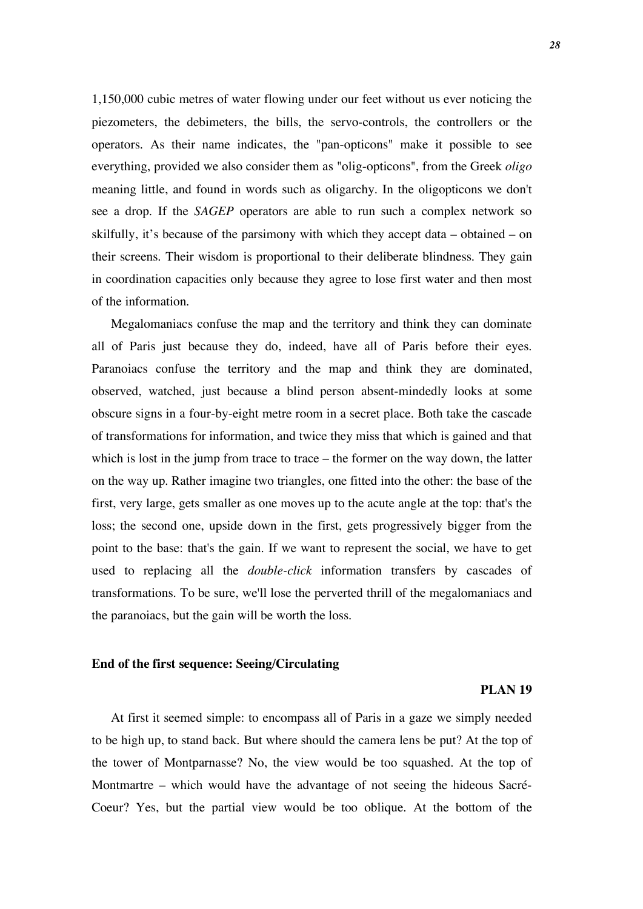1,150,000 cubic metres of water flowing under our feet without us ever noticing the piezometers, the debimeters, the bills, the servo-controls, the controllers or the operators. As their name indicates, the "pan-opticons" make it possible to see everything, provided we also consider them as "olig-opticons", from the Greek *oligo* meaning little, and found in words such as oligarchy. In the oligopticons we don't see a drop. If the *SAGEP* operators are able to run such a complex network so skilfully, it's because of the parsimony with which they accept data – obtained – on their screens. Their wisdom is proportional to their deliberate blindness. They gain in coordination capacities only because they agree to lose first water and then most of the information.

Megalomaniacs confuse the map and the territory and think they can dominate all of Paris just because they do, indeed, have all of Paris before their eyes. Paranoiacs confuse the territory and the map and think they are dominated, observed, watched, just because a blind person absent-mindedly looks at some obscure signs in a four-by-eight metre room in a secret place. Both take the cascade of transformations for information, and twice they miss that which is gained and that which is lost in the jump from trace to trace – the former on the way down, the latter on the way up. Rather imagine two triangles, one fitted into the other: the base of the first, very large, gets smaller as one moves up to the acute angle at the top: that's the loss; the second one, upside down in the first, gets progressively bigger from the point to the base: that's the gain. If we want to represent the social, we have to get used to replacing all the *double-click* information transfers by cascades of transformations. To be sure, we'll lose the perverted thrill of the megalomaniacs and the paranoiacs, but the gain will be worth the loss.

#### **End of the first sequence: Seeing/Circulating**

#### **PLAN 19**

At first it seemed simple: to encompass all of Paris in a gaze we simply needed to be high up, to stand back. But where should the camera lens be put? At the top of the tower of Montparnasse? No, the view would be too squashed. At the top of Montmartre – which would have the advantage of not seeing the hideous Sacré-Coeur? Yes, but the partial view would be too oblique. At the bottom of the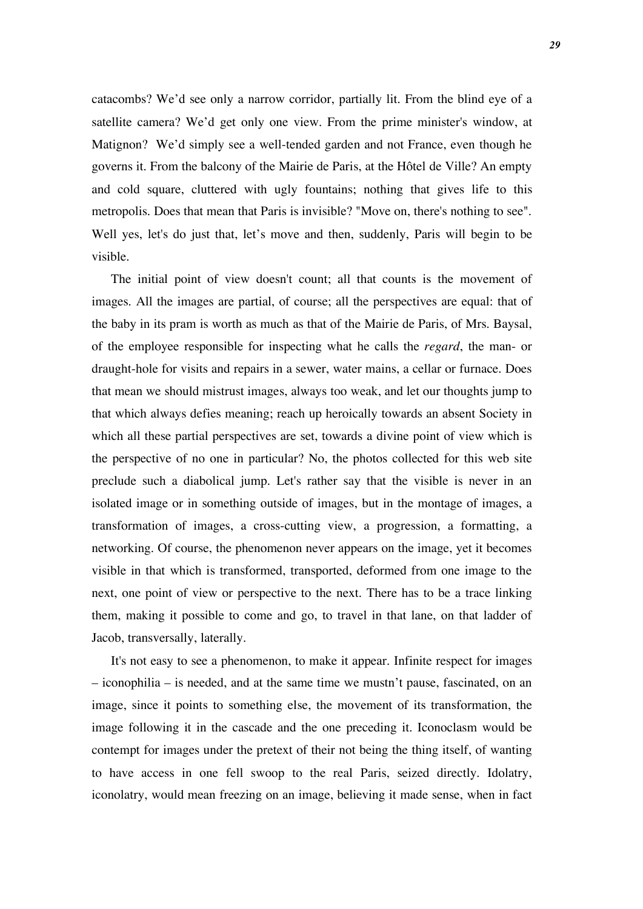catacombs? We'd see only a narrow corridor, partially lit. From the blind eye of a satellite camera? We'd get only one view. From the prime minister's window, at Matignon? We'd simply see a well-tended garden and not France, even though he governs it. From the balcony of the Mairie de Paris, at the Hôtel de Ville? An empty and cold square, cluttered with ugly fountains; nothing that gives life to this metropolis. Does that mean that Paris is invisible? "Move on, there's nothing to see". Well yes, let's do just that, let's move and then, suddenly, Paris will begin to be visible.

The initial point of view doesn't count; all that counts is the movement of images. All the images are partial, of course; all the perspectives are equal: that of the baby in its pram is worth as much as that of the Mairie de Paris, of Mrs. Baysal, of the employee responsible for inspecting what he calls the *regard*, the man- or draught-hole for visits and repairs in a sewer, water mains, a cellar or furnace. Does that mean we should mistrust images, always too weak, and let our thoughts jump to that which always defies meaning; reach up heroically towards an absent Society in which all these partial perspectives are set, towards a divine point of view which is the perspective of no one in particular? No, the photos collected for this web site preclude such a diabolical jump. Let's rather say that the visible is never in an isolated image or in something outside of images, but in the montage of images, a transformation of images, a cross-cutting view, a progression, a formatting, a networking. Of course, the phenomenon never appears on the image, yet it becomes visible in that which is transformed, transported, deformed from one image to the next, one point of view or perspective to the next. There has to be a trace linking them, making it possible to come and go, to travel in that lane, on that ladder of Jacob, transversally, laterally.

It's not easy to see a phenomenon, to make it appear. Infinite respect for images – iconophilia – is needed, and at the same time we mustn't pause, fascinated, on an image, since it points to something else, the movement of its transformation, the image following it in the cascade and the one preceding it. Iconoclasm would be contempt for images under the pretext of their not being the thing itself, of wanting to have access in one fell swoop to the real Paris, seized directly. Idolatry, iconolatry, would mean freezing on an image, believing it made sense, when in fact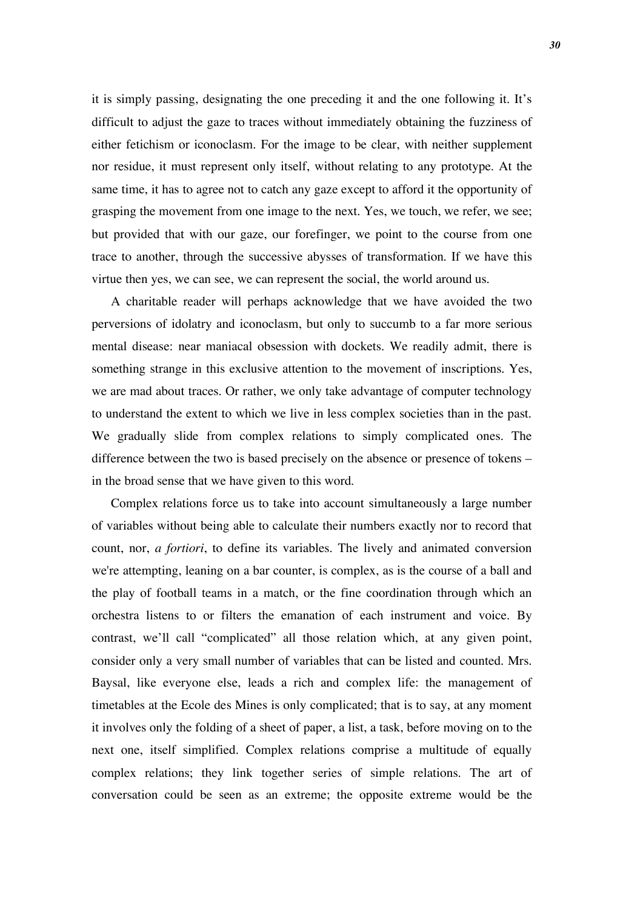it is simply passing, designating the one preceding it and the one following it. It's difficult to adjust the gaze to traces without immediately obtaining the fuzziness of either fetichism or iconoclasm. For the image to be clear, with neither supplement nor residue, it must represent only itself, without relating to any prototype. At the same time, it has to agree not to catch any gaze except to afford it the opportunity of grasping the movement from one image to the next. Yes, we touch, we refer, we see; but provided that with our gaze, our forefinger, we point to the course from one trace to another, through the successive abysses of transformation. If we have this virtue then yes, we can see, we can represent the social, the world around us.

A charitable reader will perhaps acknowledge that we have avoided the two perversions of idolatry and iconoclasm, but only to succumb to a far more serious mental disease: near maniacal obsession with dockets. We readily admit, there is something strange in this exclusive attention to the movement of inscriptions. Yes, we are mad about traces. Or rather, we only take advantage of computer technology to understand the extent to which we live in less complex societies than in the past. We gradually slide from complex relations to simply complicated ones. The difference between the two is based precisely on the absence or presence of tokens – in the broad sense that we have given to this word.

Complex relations force us to take into account simultaneously a large number of variables without being able to calculate their numbers exactly nor to record that count, nor, *a fortiori*, to define its variables. The lively and animated conversion we're attempting, leaning on a bar counter, is complex, as is the course of a ball and the play of football teams in a match, or the fine coordination through which an orchestra listens to or filters the emanation of each instrument and voice. By contrast, we'll call "complicated" all those relation which, at any given point, consider only a very small number of variables that can be listed and counted. Mrs. Baysal, like everyone else, leads a rich and complex life: the management of timetables at the Ecole des Mines is only complicated; that is to say, at any moment it involves only the folding of a sheet of paper, a list, a task, before moving on to the next one, itself simplified. Complex relations comprise a multitude of equally complex relations; they link together series of simple relations. The art of conversation could be seen as an extreme; the opposite extreme would be the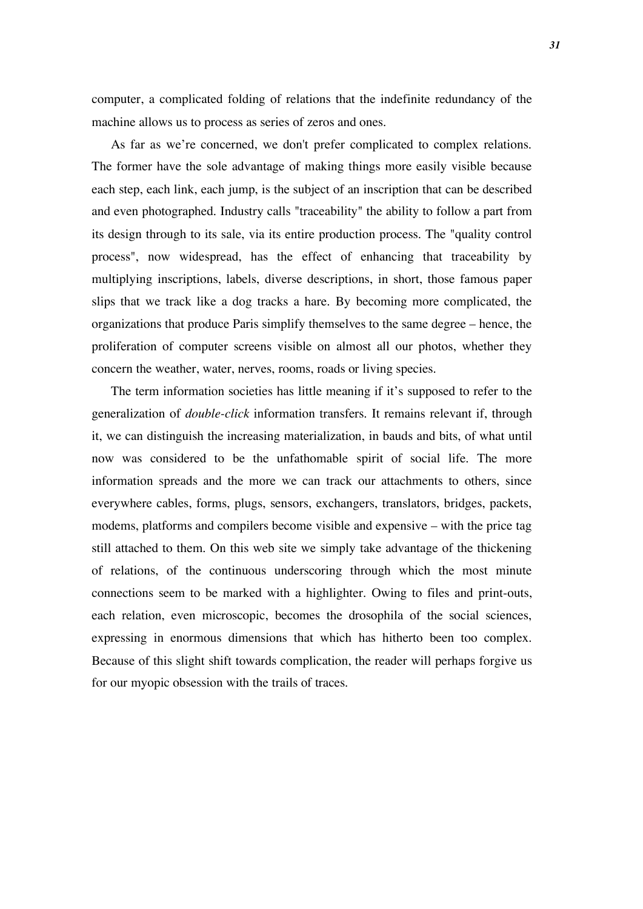computer, a complicated folding of relations that the indefinite redundancy of the machine allows us to process as series of zeros and ones.

As far as we're concerned, we don't prefer complicated to complex relations. The former have the sole advantage of making things more easily visible because each step, each link, each jump, is the subject of an inscription that can be described and even photographed. Industry calls "traceability" the ability to follow a part from its design through to its sale, via its entire production process. The "quality control process", now widespread, has the effect of enhancing that traceability by multiplying inscriptions, labels, diverse descriptions, in short, those famous paper slips that we track like a dog tracks a hare. By becoming more complicated, the organizations that produce Paris simplify themselves to the same degree – hence, the proliferation of computer screens visible on almost all our photos, whether they concern the weather, water, nerves, rooms, roads or living species.

The term information societies has little meaning if it's supposed to refer to the generalization of *double-click* information transfers. It remains relevant if, through it, we can distinguish the increasing materialization, in bauds and bits, of what until now was considered to be the unfathomable spirit of social life. The more information spreads and the more we can track our attachments to others, since everywhere cables, forms, plugs, sensors, exchangers, translators, bridges, packets, modems, platforms and compilers become visible and expensive – with the price tag still attached to them. On this web site we simply take advantage of the thickening of relations, of the continuous underscoring through which the most minute connections seem to be marked with a highlighter. Owing to files and print-outs, each relation, even microscopic, becomes the drosophila of the social sciences, expressing in enormous dimensions that which has hitherto been too complex. Because of this slight shift towards complication, the reader will perhaps forgive us for our myopic obsession with the trails of traces.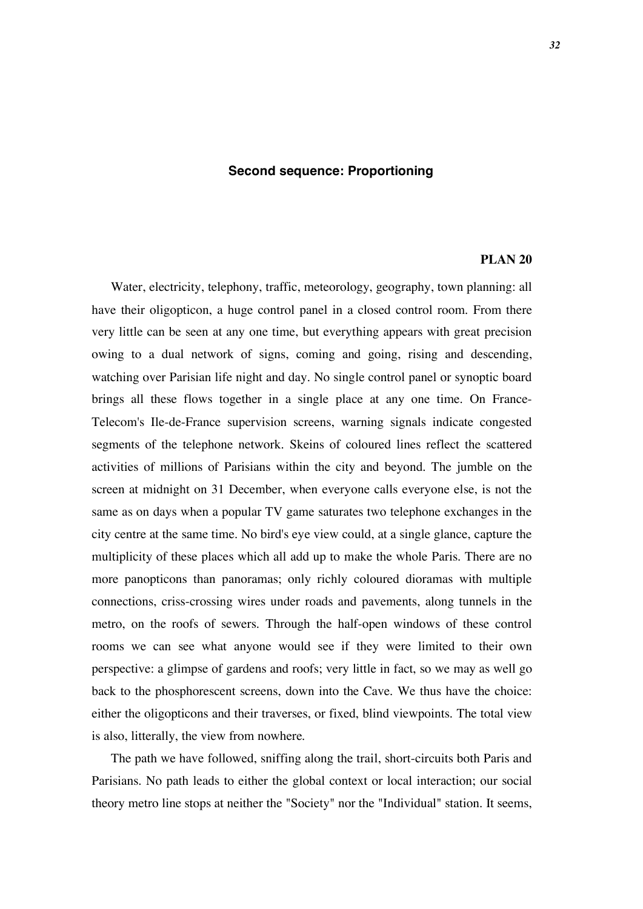## **Second sequence: Proportioning**

## **PLAN 20**

Water, electricity, telephony, traffic, meteorology, geography, town planning: all have their oligopticon, a huge control panel in a closed control room. From there very little can be seen at any one time, but everything appears with great precision owing to a dual network of signs, coming and going, rising and descending, watching over Parisian life night and day. No single control panel or synoptic board brings all these flows together in a single place at any one time. On France-Telecom's Ile-de-France supervision screens, warning signals indicate congested segments of the telephone network. Skeins of coloured lines reflect the scattered activities of millions of Parisians within the city and beyond. The jumble on the screen at midnight on 31 December, when everyone calls everyone else, is not the same as on days when a popular TV game saturates two telephone exchanges in the city centre at the same time. No bird's eye view could, at a single glance, capture the multiplicity of these places which all add up to make the whole Paris. There are no more panopticons than panoramas; only richly coloured dioramas with multiple connections, criss-crossing wires under roads and pavements, along tunnels in the metro, on the roofs of sewers. Through the half-open windows of these control rooms we can see what anyone would see if they were limited to their own perspective: a glimpse of gardens and roofs; very little in fact, so we may as well go back to the phosphorescent screens, down into the Cave. We thus have the choice: either the oligopticons and their traverses, or fixed, blind viewpoints. The total view is also, litterally, the view from nowhere.

The path we have followed, sniffing along the trail, short-circuits both Paris and Parisians. No path leads to either the global context or local interaction; our social theory metro line stops at neither the "Society" nor the "Individual" station. It seems,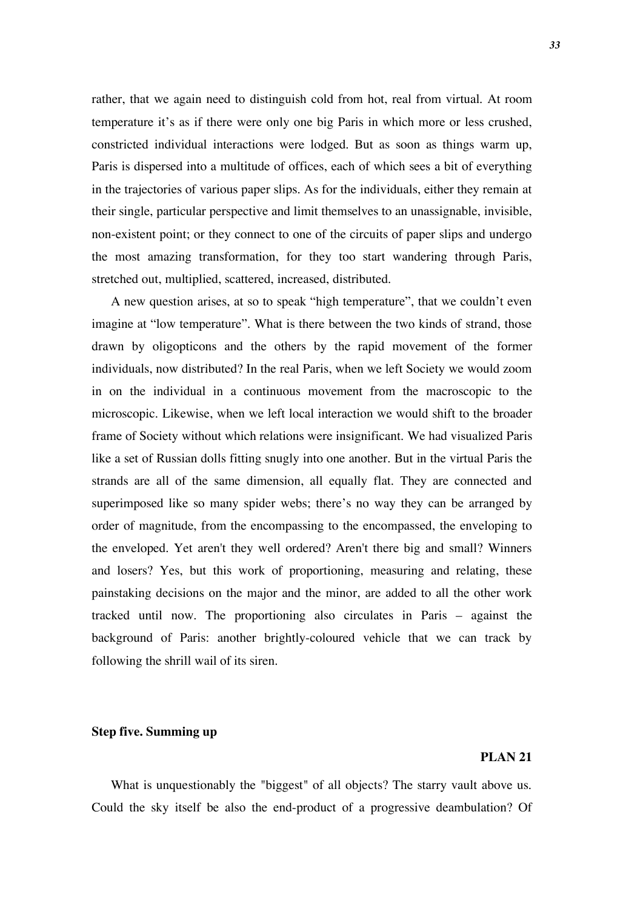rather, that we again need to distinguish cold from hot, real from virtual. At room temperature it's as if there were only one big Paris in which more or less crushed, constricted individual interactions were lodged. But as soon as things warm up, Paris is dispersed into a multitude of offices, each of which sees a bit of everything in the trajectories of various paper slips. As for the individuals, either they remain at their single, particular perspective and limit themselves to an unassignable, invisible, non-existent point; or they connect to one of the circuits of paper slips and undergo the most amazing transformation, for they too start wandering through Paris, stretched out, multiplied, scattered, increased, distributed.

A new question arises, at so to speak "high temperature", that we couldn't even imagine at "low temperature". What is there between the two kinds of strand, those drawn by oligopticons and the others by the rapid movement of the former individuals, now distributed? In the real Paris, when we left Society we would zoom in on the individual in a continuous movement from the macroscopic to the microscopic. Likewise, when we left local interaction we would shift to the broader frame of Society without which relations were insignificant. We had visualized Paris like a set of Russian dolls fitting snugly into one another. But in the virtual Paris the strands are all of the same dimension, all equally flat. They are connected and superimposed like so many spider webs; there's no way they can be arranged by order of magnitude, from the encompassing to the encompassed, the enveloping to the enveloped. Yet aren't they well ordered? Aren't there big and small? Winners and losers? Yes, but this work of proportioning, measuring and relating, these painstaking decisions on the major and the minor, are added to all the other work tracked until now. The proportioning also circulates in Paris – against the background of Paris: another brightly-coloured vehicle that we can track by following the shrill wail of its siren.

#### **Step five. Summing up**

## **PLAN 21**

What is unquestionably the "biggest" of all objects? The starry vault above us. Could the sky itself be also the end-product of a progressive deambulation? Of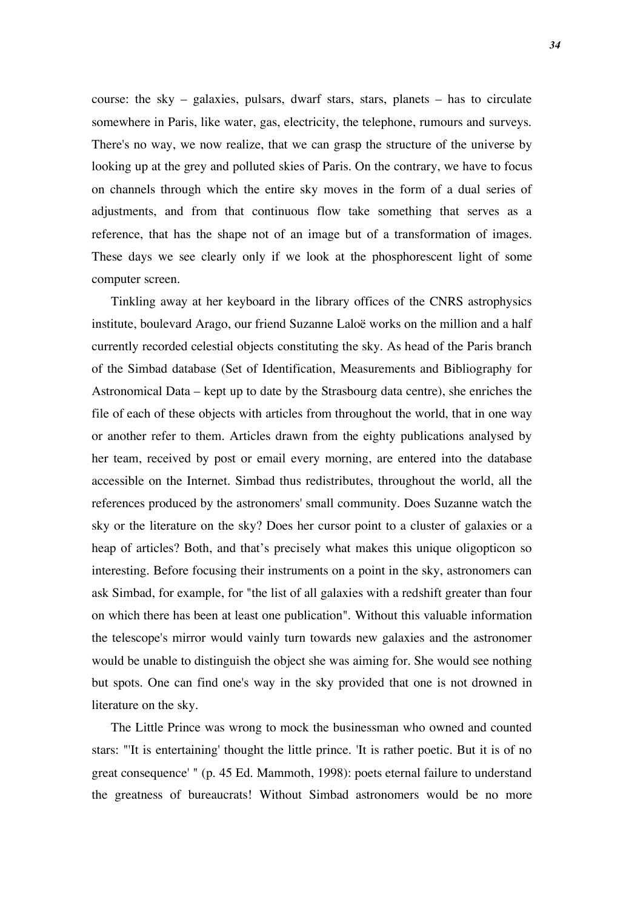course: the sky – galaxies, pulsars, dwarf stars, stars, planets – has to circulate somewhere in Paris, like water, gas, electricity, the telephone, rumours and surveys. There's no way, we now realize, that we can grasp the structure of the universe by looking up at the grey and polluted skies of Paris. On the contrary, we have to focus on channels through which the entire sky moves in the form of a dual series of adjustments, and from that continuous flow take something that serves as a reference, that has the shape not of an image but of a transformation of images. These days we see clearly only if we look at the phosphorescent light of some computer screen.

Tinkling away at her keyboard in the library offices of the CNRS astrophysics institute, boulevard Arago, our friend Suzanne Laloë works on the million and a half currently recorded celestial objects constituting the sky. As head of the Paris branch of the Simbad database (Set of Identification, Measurements and Bibliography for Astronomical Data – kept up to date by the Strasbourg data centre), she enriches the file of each of these objects with articles from throughout the world, that in one way or another refer to them. Articles drawn from the eighty publications analysed by her team, received by post or email every morning, are entered into the database accessible on the Internet. Simbad thus redistributes, throughout the world, all the references produced by the astronomers' small community. Does Suzanne watch the sky or the literature on the sky? Does her cursor point to a cluster of galaxies or a heap of articles? Both, and that's precisely what makes this unique oligopticon so interesting. Before focusing their instruments on a point in the sky, astronomers can ask Simbad, for example, for "the list of all galaxies with a redshift greater than four on which there has been at least one publication". Without this valuable information the telescope's mirror would vainly turn towards new galaxies and the astronomer would be unable to distinguish the object she was aiming for. She would see nothing but spots. One can find one's way in the sky provided that one is not drowned in literature on the sky.

The Little Prince was wrong to mock the businessman who owned and counted stars: "'It is entertaining' thought the little prince. 'It is rather poetic. But it is of no great consequence' " (p. 45 Ed. Mammoth, 1998): poets eternal failure to understand the greatness of bureaucrats! Without Simbad astronomers would be no more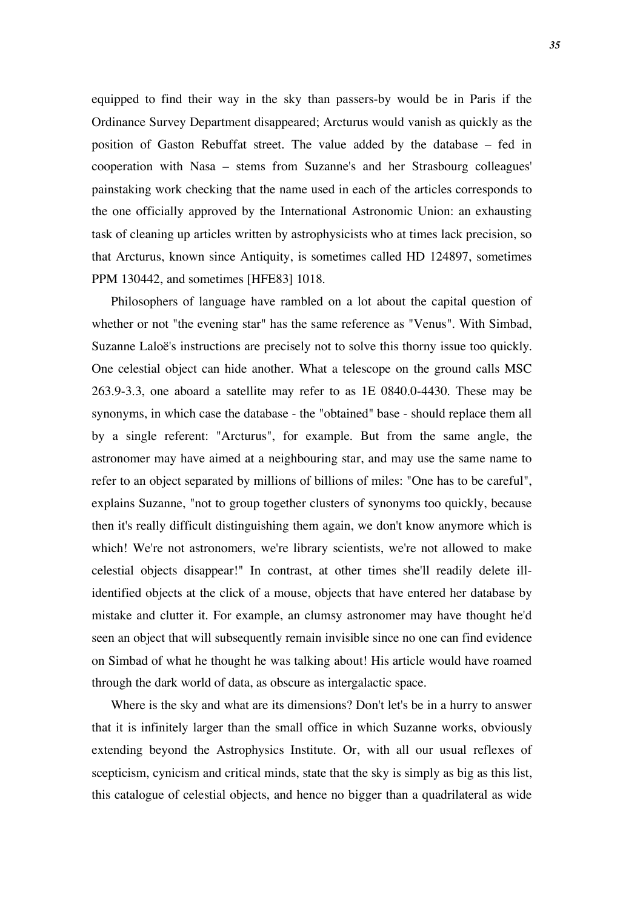equipped to find their way in the sky than passers-by would be in Paris if the Ordinance Survey Department disappeared; Arcturus would vanish as quickly as the position of Gaston Rebuffat street. The value added by the database – fed in cooperation with Nasa – stems from Suzanne's and her Strasbourg colleagues' painstaking work checking that the name used in each of the articles corresponds to the one officially approved by the International Astronomic Union: an exhausting task of cleaning up articles written by astrophysicists who at times lack precision, so that Arcturus, known since Antiquity, is sometimes called HD 124897, sometimes PPM 130442, and sometimes [HFE83] 1018.

Philosophers of language have rambled on a lot about the capital question of whether or not "the evening star" has the same reference as "Venus". With Simbad, Suzanne Laloë's instructions are precisely not to solve this thorny issue too quickly. One celestial object can hide another. What a telescope on the ground calls MSC 263.9-3.3, one aboard a satellite may refer to as 1E 0840.0-4430. These may be synonyms, in which case the database - the "obtained" base - should replace them all by a single referent: "Arcturus", for example. But from the same angle, the astronomer may have aimed at a neighbouring star, and may use the same name to refer to an object separated by millions of billions of miles: "One has to be careful", explains Suzanne, "not to group together clusters of synonyms too quickly, because then it's really difficult distinguishing them again, we don't know anymore which is which! We're not astronomers, we're library scientists, we're not allowed to make celestial objects disappear!" In contrast, at other times she'll readily delete illidentified objects at the click of a mouse, objects that have entered her database by mistake and clutter it. For example, an clumsy astronomer may have thought he'd seen an object that will subsequently remain invisible since no one can find evidence on Simbad of what he thought he was talking about! His article would have roamed through the dark world of data, as obscure as intergalactic space.

Where is the sky and what are its dimensions? Don't let's be in a hurry to answer that it is infinitely larger than the small office in which Suzanne works, obviously extending beyond the Astrophysics Institute. Or, with all our usual reflexes of scepticism, cynicism and critical minds, state that the sky is simply as big as this list, this catalogue of celestial objects, and hence no bigger than a quadrilateral as wide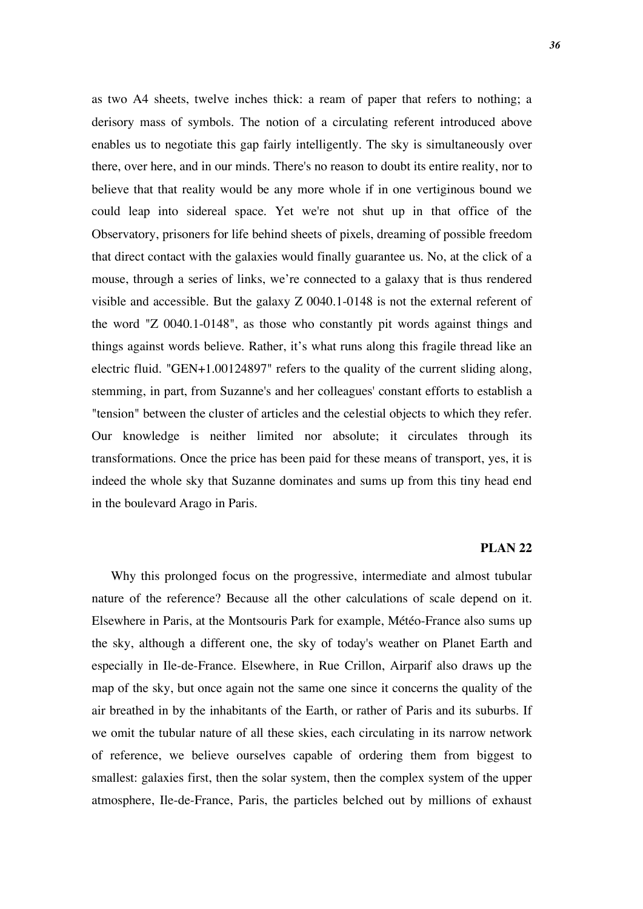as two A4 sheets, twelve inches thick: a ream of paper that refers to nothing; a derisory mass of symbols. The notion of a circulating referent introduced above enables us to negotiate this gap fairly intelligently. The sky is simultaneously over there, over here, and in our minds. There's no reason to doubt its entire reality, nor to believe that that reality would be any more whole if in one vertiginous bound we could leap into sidereal space. Yet we're not shut up in that office of the Observatory, prisoners for life behind sheets of pixels, dreaming of possible freedom that direct contact with the galaxies would finally guarantee us. No, at the click of a mouse, through a series of links, we're connected to a galaxy that is thus rendered visible and accessible. But the galaxy Z 0040.1-0148 is not the external referent of the word "Z 0040.1-0148", as those who constantly pit words against things and things against words believe. Rather, it's what runs along this fragile thread like an electric fluid. "GEN+1.00124897" refers to the quality of the current sliding along, stemming, in part, from Suzanne's and her colleagues' constant efforts to establish a "tension" between the cluster of articles and the celestial objects to which they refer. Our knowledge is neither limited nor absolute; it circulates through its transformations. Once the price has been paid for these means of transport, yes, it is indeed the whole sky that Suzanne dominates and sums up from this tiny head end in the boulevard Arago in Paris.

## **PLAN 22**

Why this prolonged focus on the progressive, intermediate and almost tubular nature of the reference? Because all the other calculations of scale depend on it. Elsewhere in Paris, at the Montsouris Park for example, Météo-France also sums up the sky, although a different one, the sky of today's weather on Planet Earth and especially in Ile-de-France. Elsewhere, in Rue Crillon, Airparif also draws up the map of the sky, but once again not the same one since it concerns the quality of the air breathed in by the inhabitants of the Earth, or rather of Paris and its suburbs. If we omit the tubular nature of all these skies, each circulating in its narrow network of reference, we believe ourselves capable of ordering them from biggest to smallest: galaxies first, then the solar system, then the complex system of the upper atmosphere, Ile-de-France, Paris, the particles belched out by millions of exhaust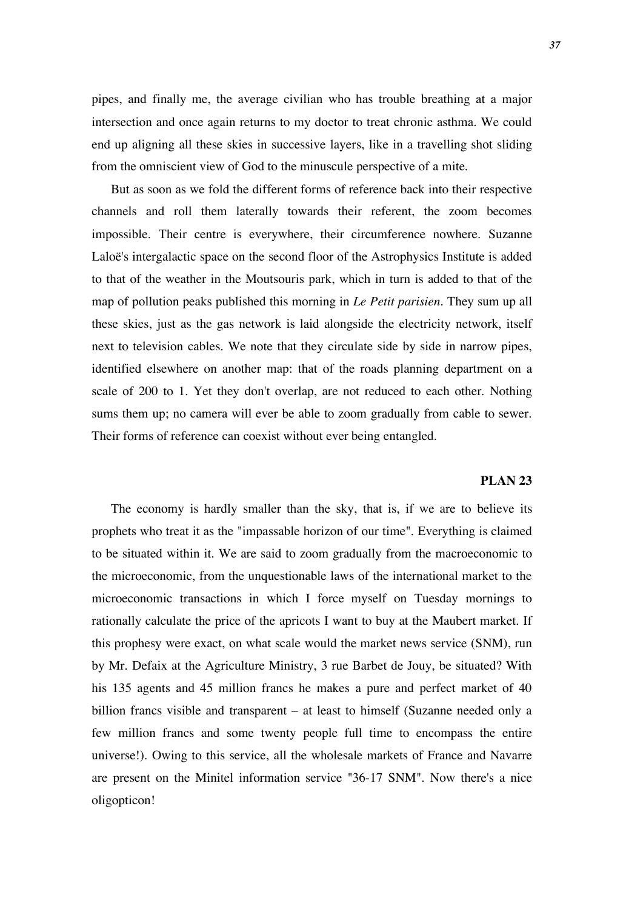pipes, and finally me, the average civilian who has trouble breathing at a major intersection and once again returns to my doctor to treat chronic asthma. We could end up aligning all these skies in successive layers, like in a travelling shot sliding from the omniscient view of God to the minuscule perspective of a mite.

But as soon as we fold the different forms of reference back into their respective channels and roll them laterally towards their referent, the zoom becomes impossible. Their centre is everywhere, their circumference nowhere. Suzanne Laloë's intergalactic space on the second floor of the Astrophysics Institute is added to that of the weather in the Moutsouris park, which in turn is added to that of the map of pollution peaks published this morning in *Le Petit parisien*. They sum up all these skies, just as the gas network is laid alongside the electricity network, itself next to television cables. We note that they circulate side by side in narrow pipes, identified elsewhere on another map: that of the roads planning department on a scale of 200 to 1. Yet they don't overlap, are not reduced to each other. Nothing sums them up; no camera will ever be able to zoom gradually from cable to sewer. Their forms of reference can coexist without ever being entangled.

## **PLAN 23**

The economy is hardly smaller than the sky, that is, if we are to believe its prophets who treat it as the "impassable horizon of our time". Everything is claimed to be situated within it. We are said to zoom gradually from the macroeconomic to the microeconomic, from the unquestionable laws of the international market to the microeconomic transactions in which I force myself on Tuesday mornings to rationally calculate the price of the apricots I want to buy at the Maubert market. If this prophesy were exact, on what scale would the market news service (SNM), run by Mr. Defaix at the Agriculture Ministry, 3 rue Barbet de Jouy, be situated? With his 135 agents and 45 million francs he makes a pure and perfect market of 40 billion francs visible and transparent – at least to himself (Suzanne needed only a few million francs and some twenty people full time to encompass the entire universe!). Owing to this service, all the wholesale markets of France and Navarre are present on the Minitel information service "36-17 SNM". Now there's a nice oligopticon!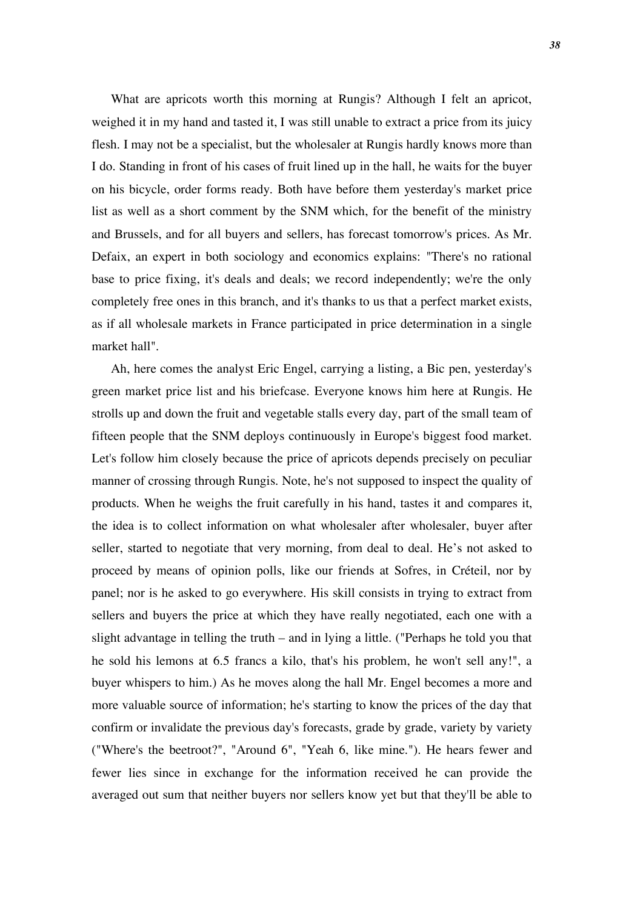What are apricots worth this morning at Rungis? Although I felt an apricot, weighed it in my hand and tasted it, I was still unable to extract a price from its juicy flesh. I may not be a specialist, but the wholesaler at Rungis hardly knows more than I do. Standing in front of his cases of fruit lined up in the hall, he waits for the buyer on his bicycle, order forms ready. Both have before them yesterday's market price list as well as a short comment by the SNM which, for the benefit of the ministry and Brussels, and for all buyers and sellers, has forecast tomorrow's prices. As Mr. Defaix, an expert in both sociology and economics explains: "There's no rational base to price fixing, it's deals and deals; we record independently; we're the only completely free ones in this branch, and it's thanks to us that a perfect market exists, as if all wholesale markets in France participated in price determination in a single market hall".

Ah, here comes the analyst Eric Engel, carrying a listing, a Bic pen, yesterday's green market price list and his briefcase. Everyone knows him here at Rungis. He strolls up and down the fruit and vegetable stalls every day, part of the small team of fifteen people that the SNM deploys continuously in Europe's biggest food market. Let's follow him closely because the price of apricots depends precisely on peculiar manner of crossing through Rungis. Note, he's not supposed to inspect the quality of products. When he weighs the fruit carefully in his hand, tastes it and compares it, the idea is to collect information on what wholesaler after wholesaler, buyer after seller, started to negotiate that very morning, from deal to deal. He's not asked to proceed by means of opinion polls, like our friends at Sofres, in Créteil, nor by panel; nor is he asked to go everywhere. His skill consists in trying to extract from sellers and buyers the price at which they have really negotiated, each one with a slight advantage in telling the truth – and in lying a little. ("Perhaps he told you that he sold his lemons at 6.5 francs a kilo, that's his problem, he won't sell any!", a buyer whispers to him.) As he moves along the hall Mr. Engel becomes a more and more valuable source of information; he's starting to know the prices of the day that confirm or invalidate the previous day's forecasts, grade by grade, variety by variety ("Where's the beetroot?", "Around 6", "Yeah 6, like mine."). He hears fewer and fewer lies since in exchange for the information received he can provide the averaged out sum that neither buyers nor sellers know yet but that they'll be able to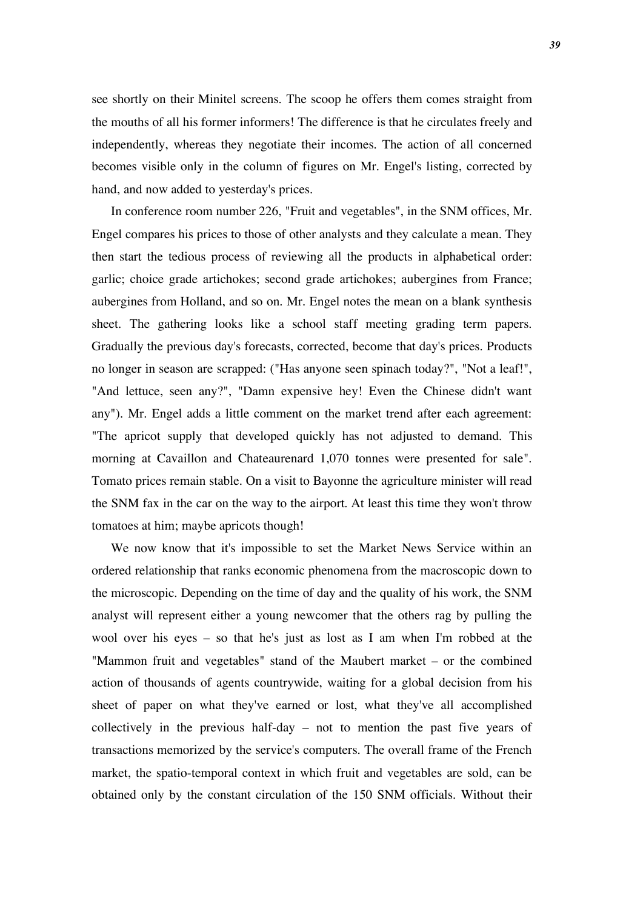see shortly on their Minitel screens. The scoop he offers them comes straight from the mouths of all his former informers! The difference is that he circulates freely and independently, whereas they negotiate their incomes. The action of all concerned becomes visible only in the column of figures on Mr. Engel's listing, corrected by hand, and now added to yesterday's prices.

In conference room number 226, "Fruit and vegetables", in the SNM offices, Mr. Engel compares his prices to those of other analysts and they calculate a mean. They then start the tedious process of reviewing all the products in alphabetical order: garlic; choice grade artichokes; second grade artichokes; aubergines from France; aubergines from Holland, and so on. Mr. Engel notes the mean on a blank synthesis sheet. The gathering looks like a school staff meeting grading term papers. Gradually the previous day's forecasts, corrected, become that day's prices. Products no longer in season are scrapped: ("Has anyone seen spinach today?", "Not a leaf!", "And lettuce, seen any?", "Damn expensive hey! Even the Chinese didn't want any"). Mr. Engel adds a little comment on the market trend after each agreement: "The apricot supply that developed quickly has not adjusted to demand. This morning at Cavaillon and Chateaurenard 1,070 tonnes were presented for sale". Tomato prices remain stable. On a visit to Bayonne the agriculture minister will read the SNM fax in the car on the way to the airport. At least this time they won't throw tomatoes at him; maybe apricots though!

We now know that it's impossible to set the Market News Service within an ordered relationship that ranks economic phenomena from the macroscopic down to the microscopic. Depending on the time of day and the quality of his work, the SNM analyst will represent either a young newcomer that the others rag by pulling the wool over his eyes – so that he's just as lost as I am when I'm robbed at the "Mammon fruit and vegetables" stand of the Maubert market – or the combined action of thousands of agents countrywide, waiting for a global decision from his sheet of paper on what they've earned or lost, what they've all accomplished collectively in the previous half-day – not to mention the past five years of transactions memorized by the service's computers. The overall frame of the French market, the spatio-temporal context in which fruit and vegetables are sold, can be obtained only by the constant circulation of the 150 SNM officials. Without their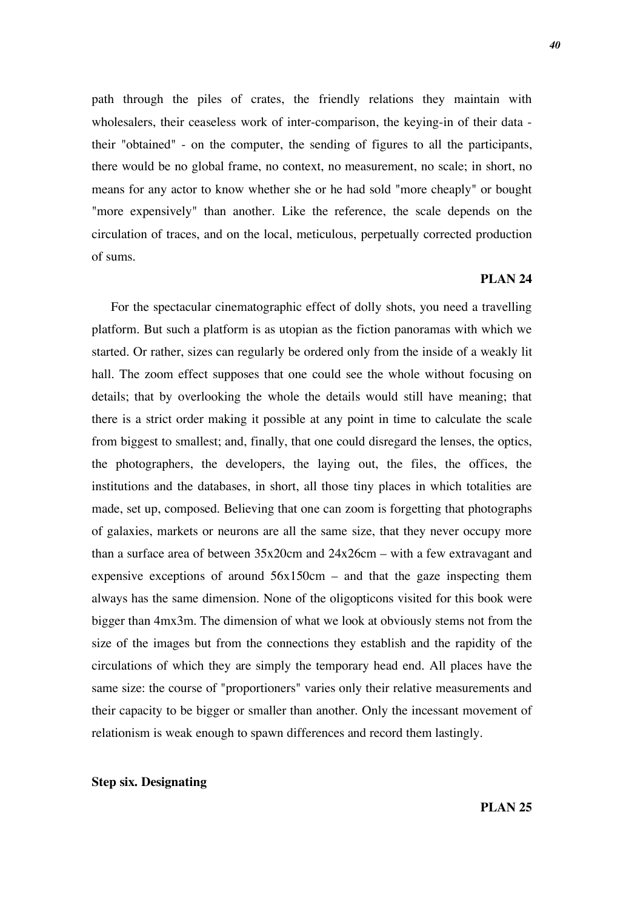path through the piles of crates, the friendly relations they maintain with wholesalers, their ceaseless work of inter-comparison, the keying-in of their data their "obtained" - on the computer, the sending of figures to all the participants, there would be no global frame, no context, no measurement, no scale; in short, no means for any actor to know whether she or he had sold "more cheaply" or bought "more expensively" than another. Like the reference, the scale depends on the circulation of traces, and on the local, meticulous, perpetually corrected production of sums.

## **PLAN 24**

For the spectacular cinematographic effect of dolly shots, you need a travelling platform. But such a platform is as utopian as the fiction panoramas with which we started. Or rather, sizes can regularly be ordered only from the inside of a weakly lit hall. The zoom effect supposes that one could see the whole without focusing on details; that by overlooking the whole the details would still have meaning; that there is a strict order making it possible at any point in time to calculate the scale from biggest to smallest; and, finally, that one could disregard the lenses, the optics, the photographers, the developers, the laying out, the files, the offices, the institutions and the databases, in short, all those tiny places in which totalities are made, set up, composed. Believing that one can zoom is forgetting that photographs of galaxies, markets or neurons are all the same size, that they never occupy more than a surface area of between 35x20cm and 24x26cm – with a few extravagant and expensive exceptions of around  $56x150cm$  – and that the gaze inspecting them always has the same dimension. None of the oligopticons visited for this book were bigger than 4mx3m. The dimension of what we look at obviously stems not from the size of the images but from the connections they establish and the rapidity of the circulations of which they are simply the temporary head end. All places have the same size: the course of "proportioners" varies only their relative measurements and their capacity to be bigger or smaller than another. Only the incessant movement of relationism is weak enough to spawn differences and record them lastingly.

### **Step six. Designating**

**PLAN 25**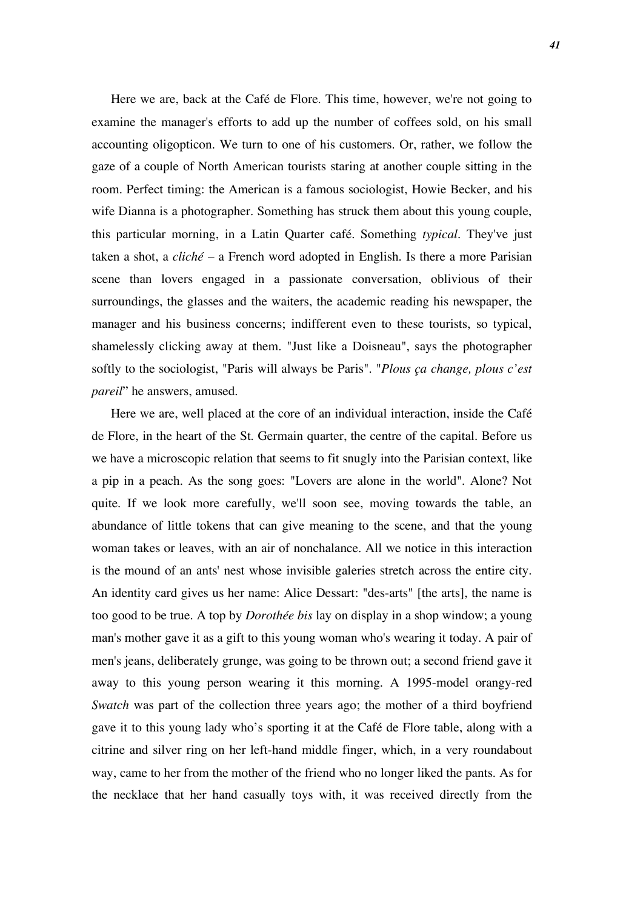Here we are, back at the Café de Flore. This time, however, we're not going to examine the manager's efforts to add up the number of coffees sold, on his small accounting oligopticon. We turn to one of his customers. Or, rather, we follow the gaze of a couple of North American tourists staring at another couple sitting in the room. Perfect timing: the American is a famous sociologist, Howie Becker, and his wife Dianna is a photographer. Something has struck them about this young couple, this particular morning, in a Latin Quarter café. Something *typical*. They've just taken a shot, a *cliché* – a French word adopted in English. Is there a more Parisian scene than lovers engaged in a passionate conversation, oblivious of their surroundings, the glasses and the waiters, the academic reading his newspaper, the manager and his business concerns; indifferent even to these tourists, so typical, shamelessly clicking away at them. "Just like a Doisneau", says the photographer softly to the sociologist, "Paris will always be Paris". "*Plous ça change, plous c'est pareil*" he answers, amused.

Here we are, well placed at the core of an individual interaction, inside the Café de Flore, in the heart of the St. Germain quarter, the centre of the capital. Before us we have a microscopic relation that seems to fit snugly into the Parisian context, like a pip in a peach. As the song goes: "Lovers are alone in the world". Alone? Not quite. If we look more carefully, we'll soon see, moving towards the table, an abundance of little tokens that can give meaning to the scene, and that the young woman takes or leaves, with an air of nonchalance. All we notice in this interaction is the mound of an ants' nest whose invisible galeries stretch across the entire city. An identity card gives us her name: Alice Dessart: "des-arts" [the arts], the name is too good to be true. A top by *Dorothée bis* lay on display in a shop window; a young man's mother gave it as a gift to this young woman who's wearing it today. A pair of men's jeans, deliberately grunge, was going to be thrown out; a second friend gave it away to this young person wearing it this morning. A 1995-model orangy-red *Swatch* was part of the collection three years ago; the mother of a third boyfriend gave it to this young lady who's sporting it at the Café de Flore table, along with a citrine and silver ring on her left-hand middle finger, which, in a very roundabout way, came to her from the mother of the friend who no longer liked the pants. As for the necklace that her hand casually toys with, it was received directly from the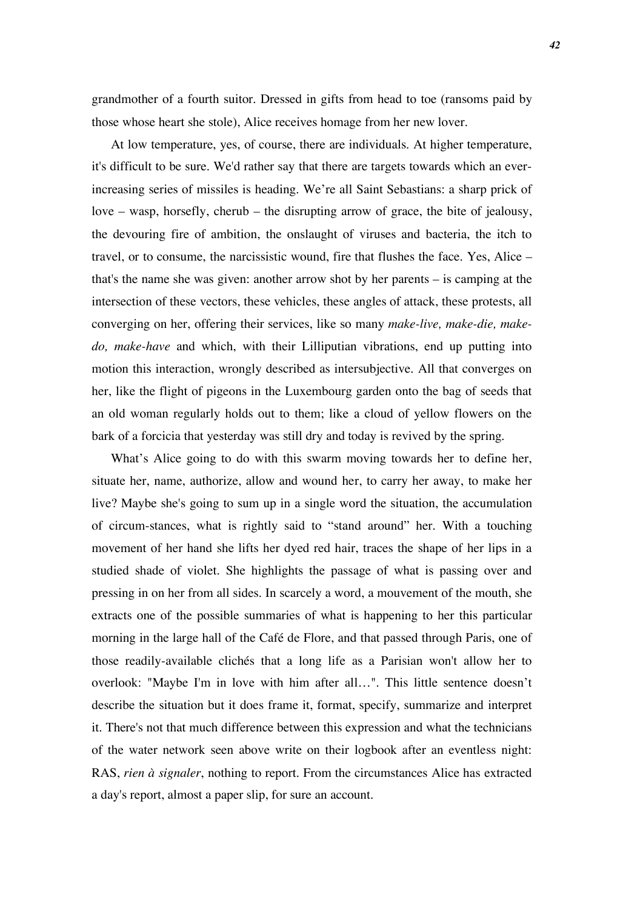grandmother of a fourth suitor. Dressed in gifts from head to toe (ransoms paid by those whose heart she stole), Alice receives homage from her new lover.

At low temperature, yes, of course, there are individuals. At higher temperature, it's difficult to be sure. We'd rather say that there are targets towards which an everincreasing series of missiles is heading. We're all Saint Sebastians: a sharp prick of love – wasp, horsefly, cherub – the disrupting arrow of grace, the bite of jealousy, the devouring fire of ambition, the onslaught of viruses and bacteria, the itch to travel, or to consume, the narcissistic wound, fire that flushes the face. Yes, Alice – that's the name she was given: another arrow shot by her parents – is camping at the intersection of these vectors, these vehicles, these angles of attack, these protests, all converging on her, offering their services, like so many *make-live, make-die, makedo, make-have* and which, with their Lilliputian vibrations, end up putting into motion this interaction, wrongly described as intersubjective. All that converges on her, like the flight of pigeons in the Luxembourg garden onto the bag of seeds that an old woman regularly holds out to them; like a cloud of yellow flowers on the bark of a forcicia that yesterday was still dry and today is revived by the spring.

What's Alice going to do with this swarm moving towards her to define her, situate her, name, authorize, allow and wound her, to carry her away, to make her live? Maybe she's going to sum up in a single word the situation, the accumulation of circum-stances, what is rightly said to "stand around" her. With a touching movement of her hand she lifts her dyed red hair, traces the shape of her lips in a studied shade of violet. She highlights the passage of what is passing over and pressing in on her from all sides. In scarcely a word, a mouvement of the mouth, she extracts one of the possible summaries of what is happening to her this particular morning in the large hall of the Café de Flore, and that passed through Paris, one of those readily-available clichés that a long life as a Parisian won't allow her to overlook: "Maybe I'm in love with him after all…". This little sentence doesn't describe the situation but it does frame it, format, specify, summarize and interpret it. There's not that much difference between this expression and what the technicians of the water network seen above write on their logbook after an eventless night: RAS, *rien à signaler*, nothing to report. From the circumstances Alice has extracted a day's report, almost a paper slip, for sure an account.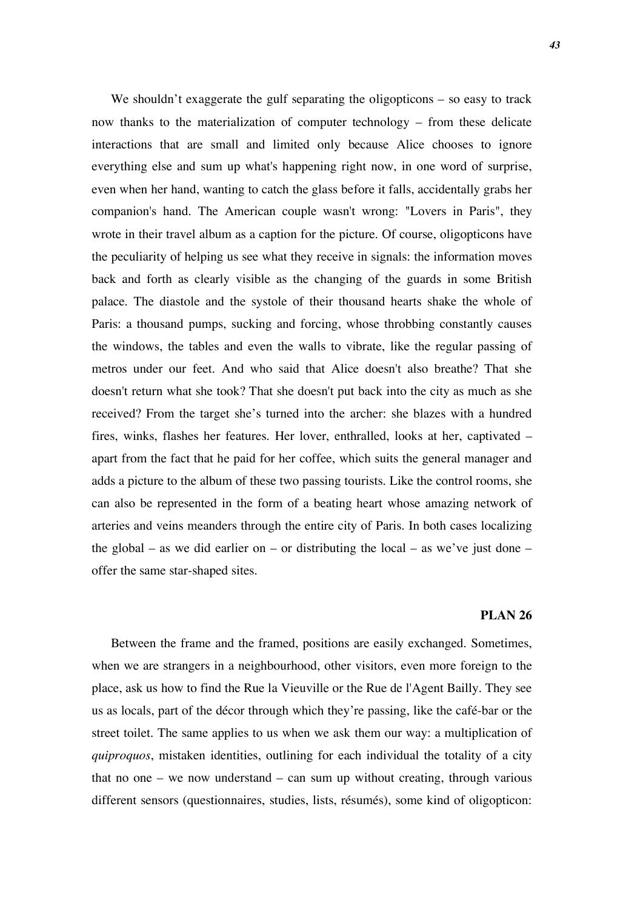We shouldn't exaggerate the gulf separating the oligopticons – so easy to track now thanks to the materialization of computer technology – from these delicate interactions that are small and limited only because Alice chooses to ignore everything else and sum up what's happening right now, in one word of surprise, even when her hand, wanting to catch the glass before it falls, accidentally grabs her companion's hand. The American couple wasn't wrong: "Lovers in Paris", they wrote in their travel album as a caption for the picture. Of course, oligopticons have the peculiarity of helping us see what they receive in signals: the information moves back and forth as clearly visible as the changing of the guards in some British palace*.* The diastole and the systole of their thousand hearts shake the whole of Paris: a thousand pumps, sucking and forcing, whose throbbing constantly causes the windows, the tables and even the walls to vibrate, like the regular passing of metros under our feet. And who said that Alice doesn't also breathe? That she doesn't return what she took? That she doesn't put back into the city as much as she received? From the target she's turned into the archer: she blazes with a hundred fires, winks, flashes her features. Her lover, enthralled, looks at her, captivated – apart from the fact that he paid for her coffee, which suits the general manager and adds a picture to the album of these two passing tourists. Like the control rooms, she can also be represented in the form of a beating heart whose amazing network of arteries and veins meanders through the entire city of Paris. In both cases localizing the global – as we did earlier on – or distributing the local – as we've just done – offer the same star-shaped sites.

### **PLAN 26**

Between the frame and the framed, positions are easily exchanged. Sometimes, when we are strangers in a neighbourhood, other visitors, even more foreign to the place, ask us how to find the Rue la Vieuville or the Rue de l'Agent Bailly. They see us as locals, part of the décor through which they're passing, like the café-bar or the street toilet. The same applies to us when we ask them our way: a multiplication of *quiproquos*, mistaken identities, outlining for each individual the totality of a city that no one – we now understand – can sum up without creating, through various different sensors (questionnaires, studies, lists, résumés), some kind of oligopticon: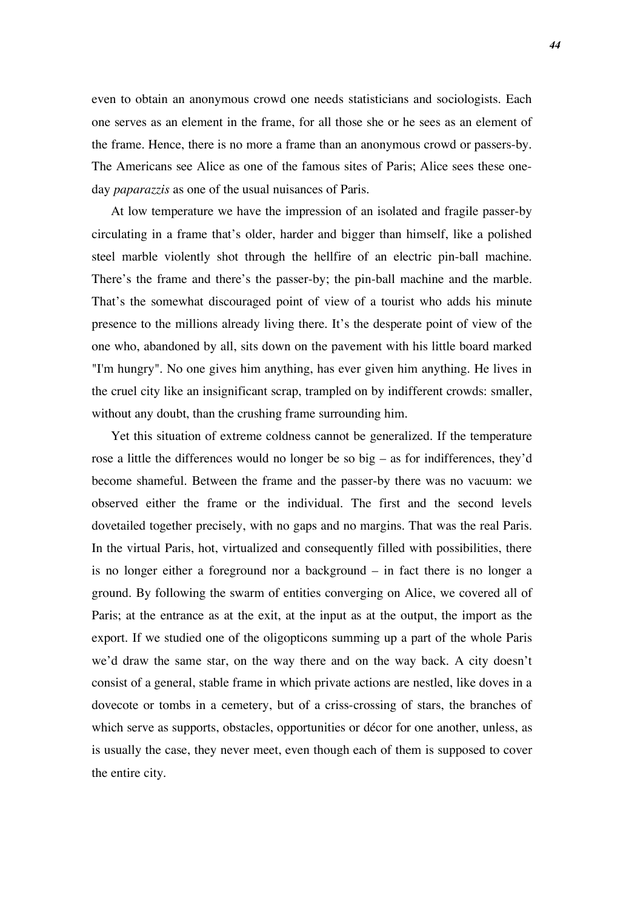even to obtain an anonymous crowd one needs statisticians and sociologists. Each one serves as an element in the frame, for all those she or he sees as an element of the frame. Hence, there is no more a frame than an anonymous crowd or passers-by. The Americans see Alice as one of the famous sites of Paris; Alice sees these oneday *paparazzis* as one of the usual nuisances of Paris.

At low temperature we have the impression of an isolated and fragile passer-by circulating in a frame that's older, harder and bigger than himself, like a polished steel marble violently shot through the hellfire of an electric pin-ball machine. There's the frame and there's the passer-by; the pin-ball machine and the marble. That's the somewhat discouraged point of view of a tourist who adds his minute presence to the millions already living there. It's the desperate point of view of the one who, abandoned by all, sits down on the pavement with his little board marked "I'm hungry". No one gives him anything, has ever given him anything. He lives in the cruel city like an insignificant scrap, trampled on by indifferent crowds: smaller, without any doubt, than the crushing frame surrounding him.

Yet this situation of extreme coldness cannot be generalized. If the temperature rose a little the differences would no longer be so big – as for indifferences, they'd become shameful. Between the frame and the passer-by there was no vacuum: we observed either the frame or the individual. The first and the second levels dovetailed together precisely, with no gaps and no margins. That was the real Paris. In the virtual Paris, hot, virtualized and consequently filled with possibilities, there is no longer either a foreground nor a background – in fact there is no longer a ground. By following the swarm of entities converging on Alice, we covered all of Paris; at the entrance as at the exit, at the input as at the output, the import as the export. If we studied one of the oligopticons summing up a part of the whole Paris we'd draw the same star, on the way there and on the way back. A city doesn't consist of a general, stable frame in which private actions are nestled, like doves in a dovecote or tombs in a cemetery, but of a criss-crossing of stars, the branches of which serve as supports, obstacles, opportunities or décor for one another, unless, as is usually the case, they never meet, even though each of them is supposed to cover the entire city.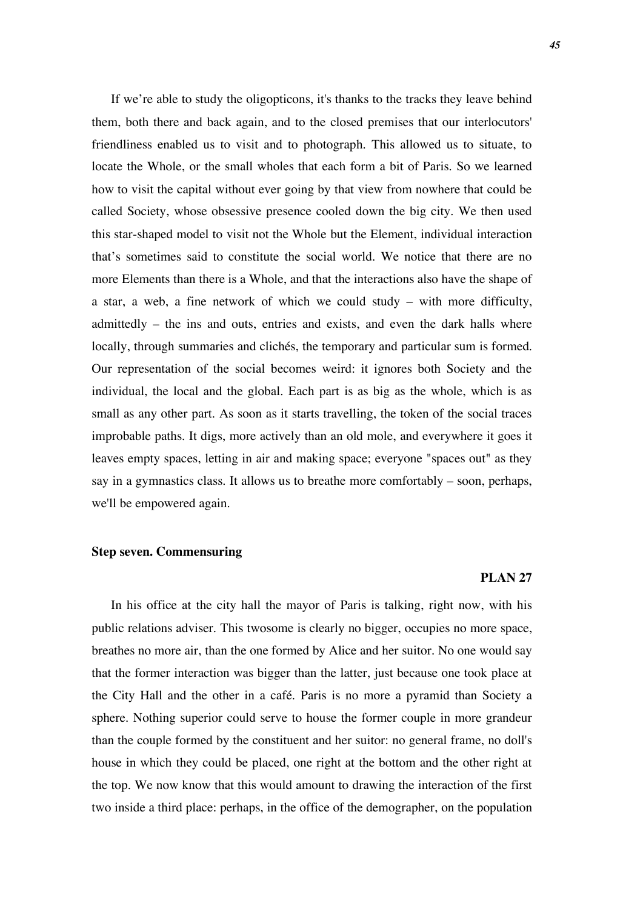If we're able to study the oligopticons, it's thanks to the tracks they leave behind them, both there and back again, and to the closed premises that our interlocutors' friendliness enabled us to visit and to photograph. This allowed us to situate, to locate the Whole, or the small wholes that each form a bit of Paris. So we learned how to visit the capital without ever going by that view from nowhere that could be called Society, whose obsessive presence cooled down the big city. We then used this star-shaped model to visit not the Whole but the Element, individual interaction that's sometimes said to constitute the social world. We notice that there are no more Elements than there is a Whole, and that the interactions also have the shape of a star, a web, a fine network of which we could study – with more difficulty, admittedly – the ins and outs, entries and exists, and even the dark halls where locally, through summaries and clichés, the temporary and particular sum is formed. Our representation of the social becomes weird: it ignores both Society and the individual, the local and the global. Each part is as big as the whole, which is as small as any other part. As soon as it starts travelling, the token of the social traces improbable paths. It digs, more actively than an old mole, and everywhere it goes it leaves empty spaces, letting in air and making space; everyone "spaces out" as they say in a gymnastics class. It allows us to breathe more comfortably – soon, perhaps, we'll be empowered again.

## **Step seven. Commensuring**

### **PLAN 27**

In his office at the city hall the mayor of Paris is talking, right now, with his public relations adviser. This twosome is clearly no bigger, occupies no more space, breathes no more air, than the one formed by Alice and her suitor. No one would say that the former interaction was bigger than the latter, just because one took place at the City Hall and the other in a café. Paris is no more a pyramid than Society a sphere. Nothing superior could serve to house the former couple in more grandeur than the couple formed by the constituent and her suitor: no general frame, no doll's house in which they could be placed, one right at the bottom and the other right at the top. We now know that this would amount to drawing the interaction of the first two inside a third place: perhaps, in the office of the demographer, on the population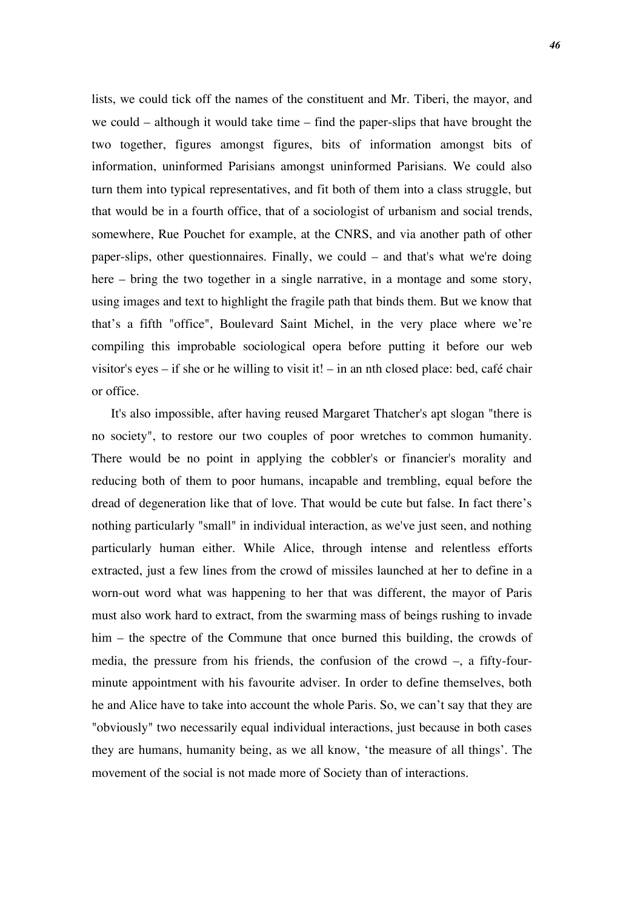lists, we could tick off the names of the constituent and Mr. Tiberi, the mayor, and we could – although it would take time – find the paper-slips that have brought the two together, figures amongst figures, bits of information amongst bits of information, uninformed Parisians amongst uninformed Parisians. We could also turn them into typical representatives, and fit both of them into a class struggle, but that would be in a fourth office, that of a sociologist of urbanism and social trends, somewhere, Rue Pouchet for example, at the CNRS, and via another path of other paper-slips, other questionnaires. Finally, we could – and that's what we're doing here – bring the two together in a single narrative, in a montage and some story, using images and text to highlight the fragile path that binds them. But we know that that's a fifth "office", Boulevard Saint Michel, in the very place where we're compiling this improbable sociological opera before putting it before our web visitor's eyes – if she or he willing to visit it! – in an nth closed place: bed, café chair or office.

It's also impossible, after having reused Margaret Thatcher's apt slogan "there is no society", to restore our two couples of poor wretches to common humanity. There would be no point in applying the cobbler's or financier's morality and reducing both of them to poor humans, incapable and trembling, equal before the dread of degeneration like that of love. That would be cute but false. In fact there's nothing particularly "small" in individual interaction, as we've just seen, and nothing particularly human either. While Alice, through intense and relentless efforts extracted, just a few lines from the crowd of missiles launched at her to define in a worn-out word what was happening to her that was different, the mayor of Paris must also work hard to extract, from the swarming mass of beings rushing to invade him – the spectre of the Commune that once burned this building, the crowds of media, the pressure from his friends, the confusion of the crowd –, a fifty-fourminute appointment with his favourite adviser. In order to define themselves, both he and Alice have to take into account the whole Paris. So, we can't say that they are "obviously" two necessarily equal individual interactions, just because in both cases they are humans, humanity being, as we all know, 'the measure of all things'. The movement of the social is not made more of Society than of interactions.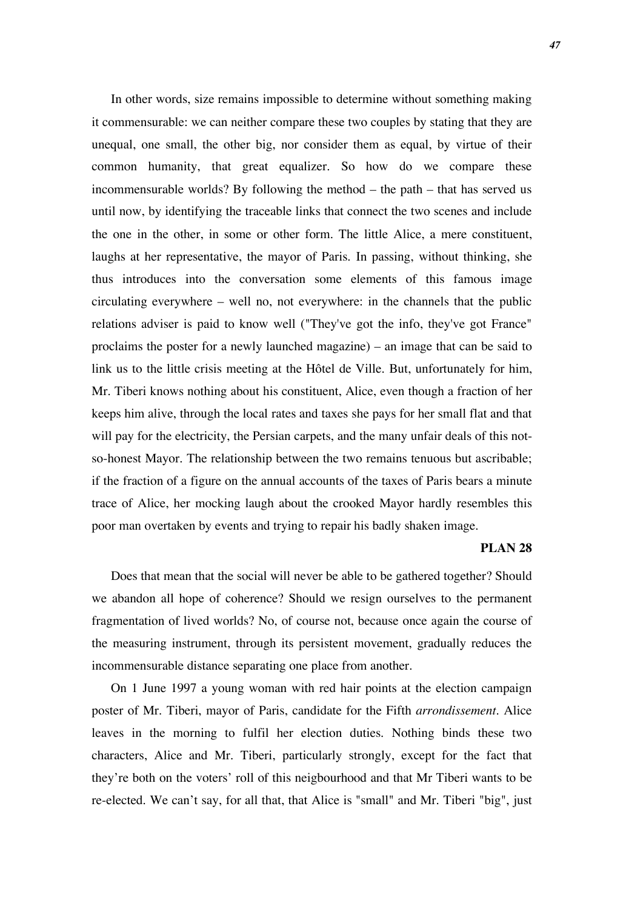In other words, size remains impossible to determine without something making it commensurable: we can neither compare these two couples by stating that they are unequal, one small, the other big, nor consider them as equal, by virtue of their common humanity, that great equalizer. So how do we compare these incommensurable worlds? By following the method – the path – that has served us until now, by identifying the traceable links that connect the two scenes and include the one in the other, in some or other form. The little Alice, a mere constituent, laughs at her representative, the mayor of Paris. In passing, without thinking, she thus introduces into the conversation some elements of this famous image circulating everywhere – well no, not everywhere: in the channels that the public relations adviser is paid to know well ("They've got the info, they've got France" proclaims the poster for a newly launched magazine) – an image that can be said to link us to the little crisis meeting at the Hôtel de Ville. But, unfortunately for him, Mr. Tiberi knows nothing about his constituent, Alice, even though a fraction of her keeps him alive, through the local rates and taxes she pays for her small flat and that will pay for the electricity, the Persian carpets, and the many unfair deals of this notso-honest Mayor. The relationship between the two remains tenuous but ascribable; if the fraction of a figure on the annual accounts of the taxes of Paris bears a minute trace of Alice, her mocking laugh about the crooked Mayor hardly resembles this poor man overtaken by events and trying to repair his badly shaken image.

### **PLAN 28**

Does that mean that the social will never be able to be gathered together? Should we abandon all hope of coherence? Should we resign ourselves to the permanent fragmentation of lived worlds? No, of course not, because once again the course of the measuring instrument, through its persistent movement, gradually reduces the incommensurable distance separating one place from another.

On 1 June 1997 a young woman with red hair points at the election campaign poster of Mr. Tiberi, mayor of Paris, candidate for the Fifth *arrondissement.* Alice leaves in the morning to fulfil her election duties. Nothing binds these two characters, Alice and Mr. Tiberi, particularly strongly, except for the fact that they're both on the voters' roll of this neigbourhood and that Mr Tiberi wants to be re-elected. We can't say, for all that, that Alice is "small" and Mr. Tiberi "big", just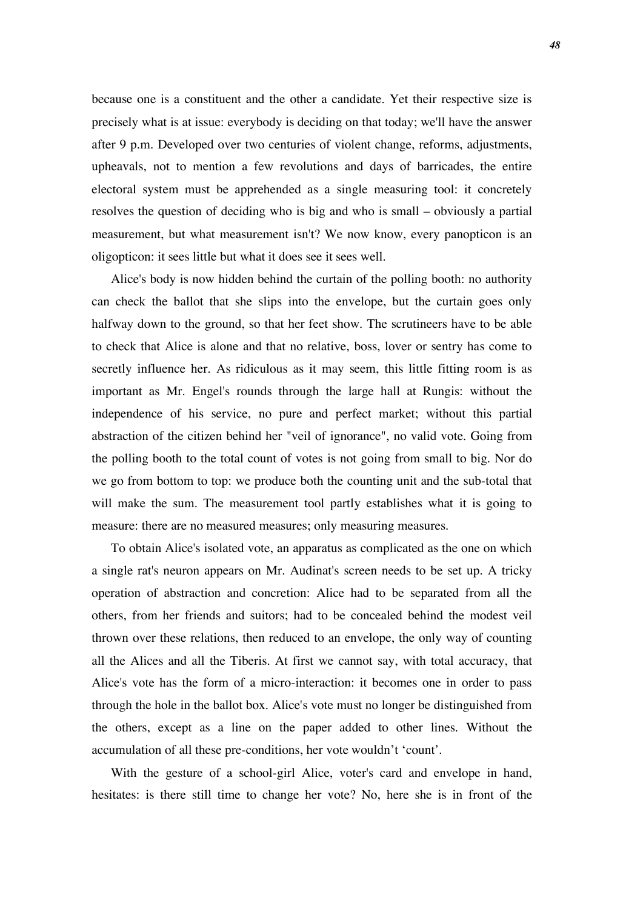because one is a constituent and the other a candidate. Yet their respective size is precisely what is at issue: everybody is deciding on that today; we'll have the answer after 9 p.m. Developed over two centuries of violent change, reforms, adjustments, upheavals, not to mention a few revolutions and days of barricades, the entire electoral system must be apprehended as a single measuring tool: it concretely resolves the question of deciding who is big and who is small – obviously a partial measurement, but what measurement isn't? We now know, every panopticon is an oligopticon: it sees little but what it does see it sees well.

Alice's body is now hidden behind the curtain of the polling booth: no authority can check the ballot that she slips into the envelope, but the curtain goes only halfway down to the ground, so that her feet show. The scrutineers have to be able to check that Alice is alone and that no relative, boss, lover or sentry has come to secretly influence her. As ridiculous as it may seem, this little fitting room is as important as Mr. Engel's rounds through the large hall at Rungis: without the independence of his service, no pure and perfect market; without this partial abstraction of the citizen behind her "veil of ignorance", no valid vote. Going from the polling booth to the total count of votes is not going from small to big. Nor do we go from bottom to top: we produce both the counting unit and the sub-total that will make the sum. The measurement tool partly establishes what it is going to measure: there are no measured measures; only measuring measures.

To obtain Alice's isolated vote, an apparatus as complicated as the one on which a single rat's neuron appears on Mr. Audinat's screen needs to be set up. A tricky operation of abstraction and concretion: Alice had to be separated from all the others, from her friends and suitors; had to be concealed behind the modest veil thrown over these relations, then reduced to an envelope, the only way of counting all the Alices and all the Tiberis. At first we cannot say, with total accuracy, that Alice's vote has the form of a micro-interaction: it becomes one in order to pass through the hole in the ballot box. Alice's vote must no longer be distinguished from the others, except as a line on the paper added to other lines. Without the accumulation of all these pre-conditions, her vote wouldn't 'count'.

With the gesture of a school-girl Alice, voter's card and envelope in hand, hesitates: is there still time to change her vote? No, here she is in front of the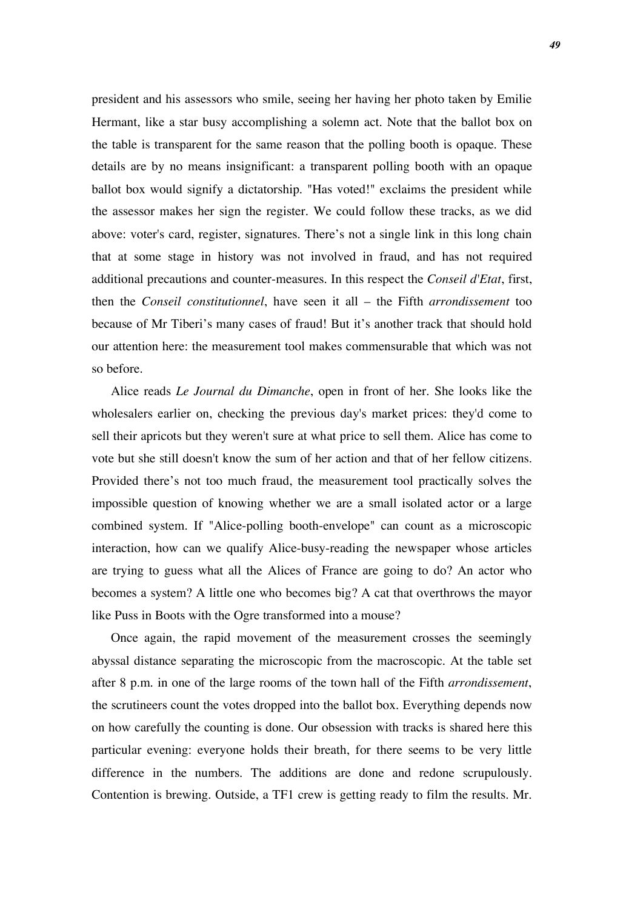president and his assessors who smile, seeing her having her photo taken by Emilie Hermant, like a star busy accomplishing a solemn act. Note that the ballot box on the table is transparent for the same reason that the polling booth is opaque. These details are by no means insignificant: a transparent polling booth with an opaque ballot box would signify a dictatorship. "Has voted!" exclaims the president while the assessor makes her sign the register. We could follow these tracks, as we did above: voter's card, register, signatures. There's not a single link in this long chain that at some stage in history was not involved in fraud, and has not required additional precautions and counter-measures. In this respect the *Conseil d'Etat*, first, then the *Conseil constitutionnel*, have seen it all – the Fifth *arrondissement* too because of Mr Tiberi's many cases of fraud! But it's another track that should hold our attention here: the measurement tool makes commensurable that which was not so before.

Alice reads *Le Journal du Dimanche*, open in front of her. She looks like the wholesalers earlier on, checking the previous day's market prices: they'd come to sell their apricots but they weren't sure at what price to sell them. Alice has come to vote but she still doesn't know the sum of her action and that of her fellow citizens. Provided there's not too much fraud, the measurement tool practically solves the impossible question of knowing whether we are a small isolated actor or a large combined system. If "Alice-polling booth-envelope" can count as a microscopic interaction, how can we qualify Alice-busy-reading the newspaper whose articles are trying to guess what all the Alices of France are going to do? An actor who becomes a system? A little one who becomes big? A cat that overthrows the mayor like Puss in Boots with the Ogre transformed into a mouse?

Once again, the rapid movement of the measurement crosses the seemingly abyssal distance separating the microscopic from the macroscopic. At the table set after 8 p.m. in one of the large rooms of the town hall of the Fifth *arrondissement*, the scrutineers count the votes dropped into the ballot box. Everything depends now on how carefully the counting is done. Our obsession with tracks is shared here this particular evening: everyone holds their breath, for there seems to be very little difference in the numbers. The additions are done and redone scrupulously. Contention is brewing. Outside, a TF1 crew is getting ready to film the results. Mr.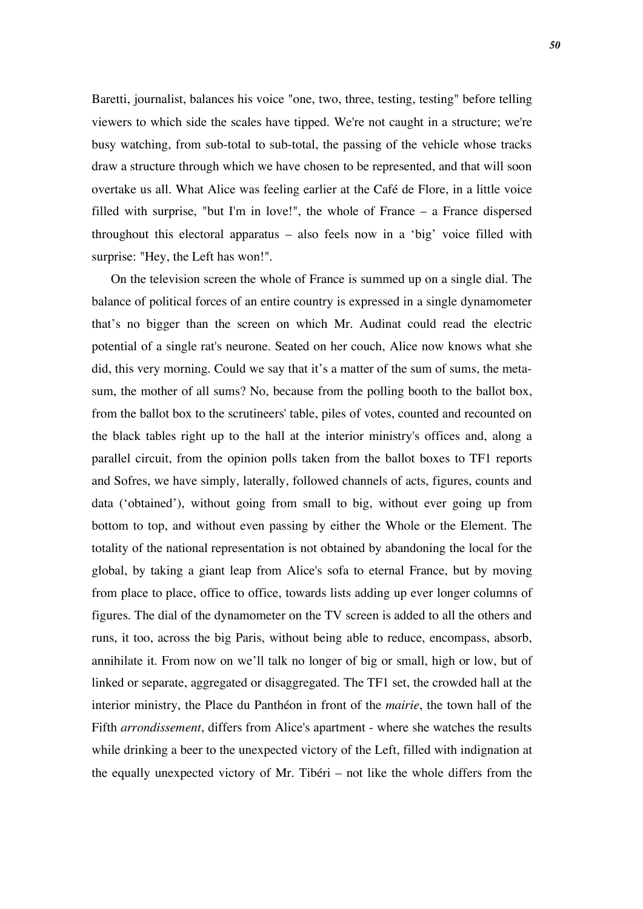Baretti, journalist, balances his voice "one, two, three, testing, testing" before telling viewers to which side the scales have tipped. We're not caught in a structure; we're busy watching, from sub-total to sub-total, the passing of the vehicle whose tracks draw a structure through which we have chosen to be represented, and that will soon overtake us all. What Alice was feeling earlier at the Café de Flore, in a little voice filled with surprise, "but I'm in love!", the whole of France – a France dispersed throughout this electoral apparatus – also feels now in a 'big' voice filled with surprise: "Hey, the Left has won!".

On the television screen the whole of France is summed up on a single dial. The balance of political forces of an entire country is expressed in a single dynamometer that's no bigger than the screen on which Mr. Audinat could read the electric potential of a single rat's neurone. Seated on her couch, Alice now knows what she did, this very morning. Could we say that it's a matter of the sum of sums, the metasum, the mother of all sums? No, because from the polling booth to the ballot box, from the ballot box to the scrutineers' table, piles of votes, counted and recounted on the black tables right up to the hall at the interior ministry's offices and, along a parallel circuit, from the opinion polls taken from the ballot boxes to TF1 reports and Sofres, we have simply, laterally, followed channels of acts, figures, counts and data ('obtained'), without going from small to big, without ever going up from bottom to top, and without even passing by either the Whole or the Element. The totality of the national representation is not obtained by abandoning the local for the global, by taking a giant leap from Alice's sofa to eternal France, but by moving from place to place, office to office, towards lists adding up ever longer columns of figures. The dial of the dynamometer on the TV screen is added to all the others and runs, it too, across the big Paris, without being able to reduce, encompass, absorb, annihilate it. From now on we'll talk no longer of big or small, high or low, but of linked or separate, aggregated or disaggregated. The TF1 set, the crowded hall at the interior ministry, the Place du Panthéon in front of the *mairie*, the town hall of the Fifth *arrondissement*, differs from Alice's apartment - where she watches the results while drinking a beer to the unexpected victory of the Left, filled with indignation at the equally unexpected victory of Mr. Tibéri – not like the whole differs from the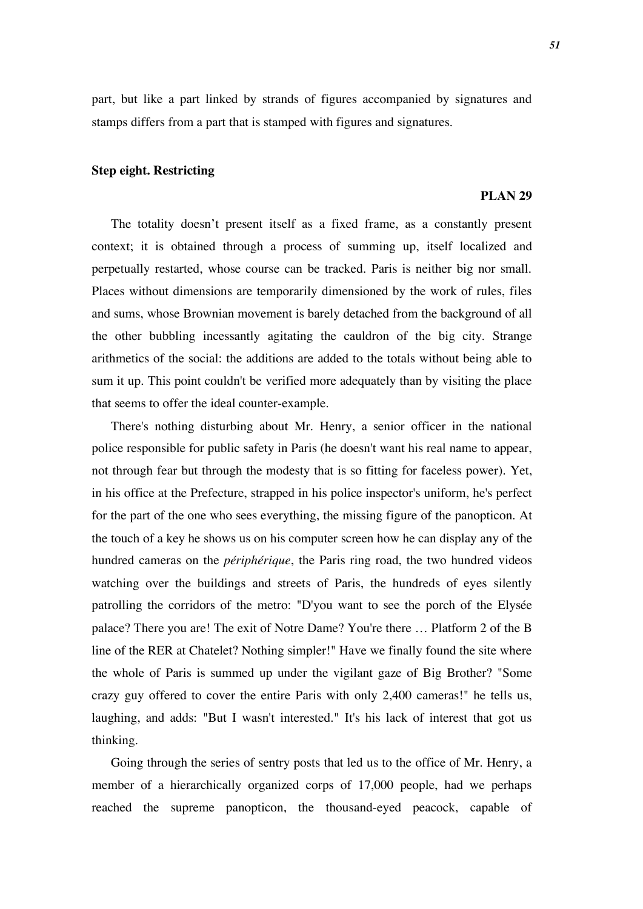part, but like a part linked by strands of figures accompanied by signatures and stamps differs from a part that is stamped with figures and signatures.

## **Step eight. Restricting**

### **PLAN 29**

The totality doesn't present itself as a fixed frame, as a constantly present context; it is obtained through a process of summing up, itself localized and perpetually restarted, whose course can be tracked. Paris is neither big nor small. Places without dimensions are temporarily dimensioned by the work of rules, files and sums, whose Brownian movement is barely detached from the background of all the other bubbling incessantly agitating the cauldron of the big city. Strange arithmetics of the social: the additions are added to the totals without being able to sum it up. This point couldn't be verified more adequately than by visiting the place that seems to offer the ideal counter-example.

There's nothing disturbing about Mr. Henry, a senior officer in the national police responsible for public safety in Paris (he doesn't want his real name to appear, not through fear but through the modesty that is so fitting for faceless power). Yet, in his office at the Prefecture, strapped in his police inspector's uniform, he's perfect for the part of the one who sees everything, the missing figure of the panopticon. At the touch of a key he shows us on his computer screen how he can display any of the hundred cameras on the *périphérique*, the Paris ring road, the two hundred videos watching over the buildings and streets of Paris, the hundreds of eyes silently patrolling the corridors of the metro: "D'you want to see the porch of the Elysée palace? There you are! The exit of Notre Dame? You're there … Platform 2 of the B line of the RER at Chatelet? Nothing simpler!" Have we finally found the site where the whole of Paris is summed up under the vigilant gaze of Big Brother? "Some crazy guy offered to cover the entire Paris with only 2,400 cameras!" he tells us, laughing, and adds: "But I wasn't interested." It's his lack of interest that got us thinking.

Going through the series of sentry posts that led us to the office of Mr. Henry, a member of a hierarchically organized corps of 17,000 people, had we perhaps reached the supreme panopticon, the thousand-eyed peacock, capable of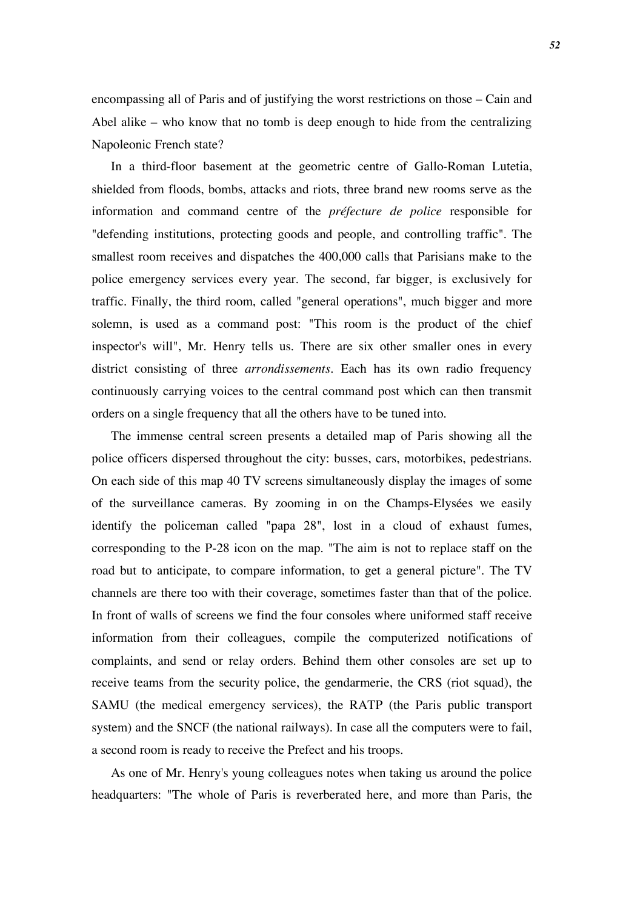encompassing all of Paris and of justifying the worst restrictions on those – Cain and Abel alike – who know that no tomb is deep enough to hide from the centralizing Napoleonic French state?

In a third-floor basement at the geometric centre of Gallo-Roman Lutetia, shielded from floods, bombs, attacks and riots, three brand new rooms serve as the information and command centre of the *préfecture de police* responsible for "defending institutions, protecting goods and people, and controlling traffic". The smallest room receives and dispatches the 400,000 calls that Parisians make to the police emergency services every year. The second, far bigger, is exclusively for traffic. Finally, the third room, called "general operations", much bigger and more solemn, is used as a command post: "This room is the product of the chief inspector's will", Mr. Henry tells us. There are six other smaller ones in every district consisting of three *arrondissements*. Each has its own radio frequency continuously carrying voices to the central command post which can then transmit orders on a single frequency that all the others have to be tuned into.

The immense central screen presents a detailed map of Paris showing all the police officers dispersed throughout the city: busses, cars, motorbikes, pedestrians. On each side of this map 40 TV screens simultaneously display the images of some of the surveillance cameras. By zooming in on the Champs-Elysées we easily identify the policeman called "papa 28", lost in a cloud of exhaust fumes, corresponding to the P-28 icon on the map. "The aim is not to replace staff on the road but to anticipate, to compare information, to get a general picture". The TV channels are there too with their coverage, sometimes faster than that of the police. In front of walls of screens we find the four consoles where uniformed staff receive information from their colleagues, compile the computerized notifications of complaints, and send or relay orders. Behind them other consoles are set up to receive teams from the security police, the gendarmerie, the CRS (riot squad), the SAMU (the medical emergency services), the RATP (the Paris public transport system) and the SNCF (the national railways). In case all the computers were to fail, a second room is ready to receive the Prefect and his troops.

As one of Mr. Henry's young colleagues notes when taking us around the police headquarters: "The whole of Paris is reverberated here, and more than Paris, the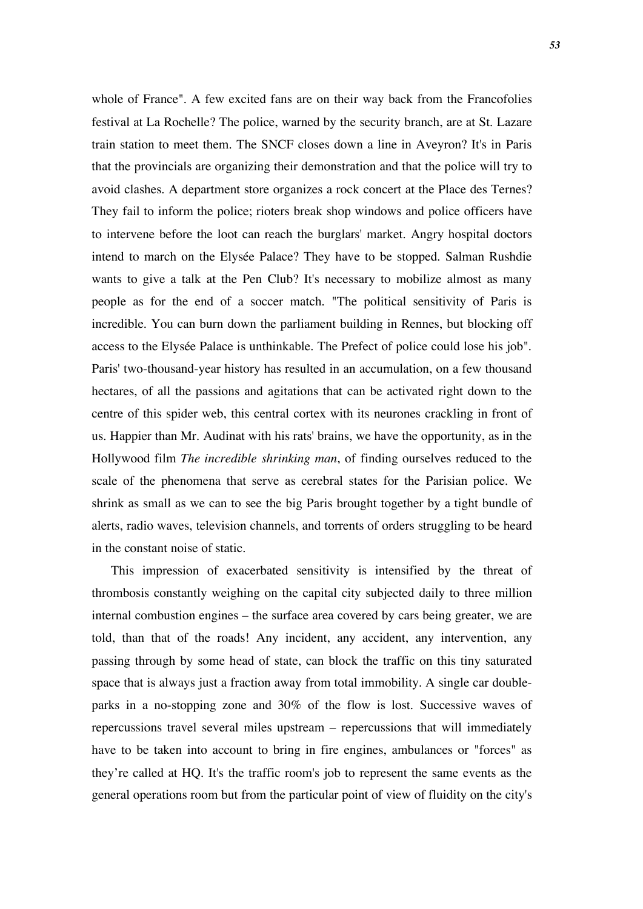whole of France". A few excited fans are on their way back from the Francofolies festival at La Rochelle? The police, warned by the security branch, are at St. Lazare train station to meet them. The SNCF closes down a line in Aveyron? It's in Paris that the provincials are organizing their demonstration and that the police will try to avoid clashes. A department store organizes a rock concert at the Place des Ternes? They fail to inform the police; rioters break shop windows and police officers have to intervene before the loot can reach the burglars' market. Angry hospital doctors intend to march on the Elysée Palace? They have to be stopped. Salman Rushdie wants to give a talk at the Pen Club? It's necessary to mobilize almost as many people as for the end of a soccer match. "The political sensitivity of Paris is incredible. You can burn down the parliament building in Rennes, but blocking off access to the Elysée Palace is unthinkable. The Prefect of police could lose his job". Paris' two-thousand-year history has resulted in an accumulation, on a few thousand hectares, of all the passions and agitations that can be activated right down to the centre of this spider web, this central cortex with its neurones crackling in front of us. Happier than Mr. Audinat with his rats' brains, we have the opportunity, as in the Hollywood film *The incredible shrinking man*, of finding ourselves reduced to the scale of the phenomena that serve as cerebral states for the Parisian police. We shrink as small as we can to see the big Paris brought together by a tight bundle of alerts, radio waves, television channels, and torrents of orders struggling to be heard in the constant noise of static.

This impression of exacerbated sensitivity is intensified by the threat of thrombosis constantly weighing on the capital city subjected daily to three million internal combustion engines – the surface area covered by cars being greater, we are told, than that of the roads! Any incident, any accident, any intervention, any passing through by some head of state, can block the traffic on this tiny saturated space that is always just a fraction away from total immobility. A single car doubleparks in a no-stopping zone and 30% of the flow is lost. Successive waves of repercussions travel several miles upstream – repercussions that will immediately have to be taken into account to bring in fire engines, ambulances or "forces" as they're called at HQ. It's the traffic room's job to represent the same events as the general operations room but from the particular point of view of fluidity on the city's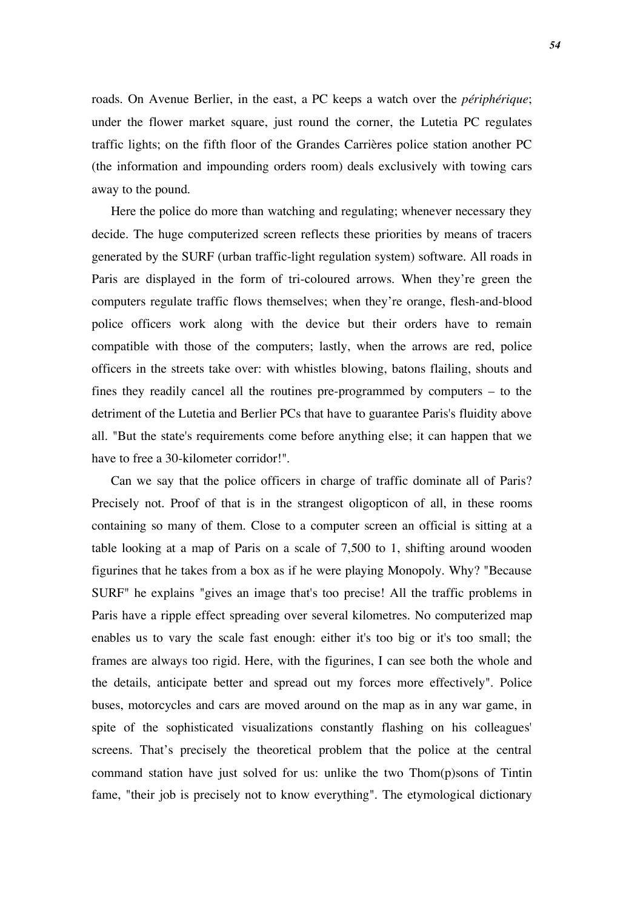roads. On Avenue Berlier, in the east, a PC keeps a watch over the *périphérique*; under the flower market square, just round the corner, the Lutetia PC regulates traffic lights; on the fifth floor of the Grandes Carrières police station another PC (the information and impounding orders room) deals exclusively with towing cars away to the pound.

Here the police do more than watching and regulating; whenever necessary they decide. The huge computerized screen reflects these priorities by means of tracers generated by the SURF (urban traffic-light regulation system) software. All roads in Paris are displayed in the form of tri-coloured arrows. When they're green the computers regulate traffic flows themselves; when they're orange, flesh-and-blood police officers work along with the device but their orders have to remain compatible with those of the computers; lastly, when the arrows are red, police officers in the streets take over: with whistles blowing, batons flailing, shouts and fines they readily cancel all the routines pre-programmed by computers – to the detriment of the Lutetia and Berlier PCs that have to guarantee Paris's fluidity above all. "But the state's requirements come before anything else; it can happen that we have to free a 30-kilometer corridor!".

Can we say that the police officers in charge of traffic dominate all of Paris? Precisely not. Proof of that is in the strangest oligopticon of all, in these rooms containing so many of them. Close to a computer screen an official is sitting at a table looking at a map of Paris on a scale of 7,500 to 1, shifting around wooden figurines that he takes from a box as if he were playing Monopoly. Why? "Because SURF" he explains "gives an image that's too precise! All the traffic problems in Paris have a ripple effect spreading over several kilometres. No computerized map enables us to vary the scale fast enough: either it's too big or it's too small; the frames are always too rigid. Here, with the figurines, I can see both the whole and the details, anticipate better and spread out my forces more effectively". Police buses, motorcycles and cars are moved around on the map as in any war game, in spite of the sophisticated visualizations constantly flashing on his colleagues' screens. That's precisely the theoretical problem that the police at the central command station have just solved for us: unlike the two Thom(p)sons of Tintin fame, "their job is precisely not to know everything". The etymological dictionary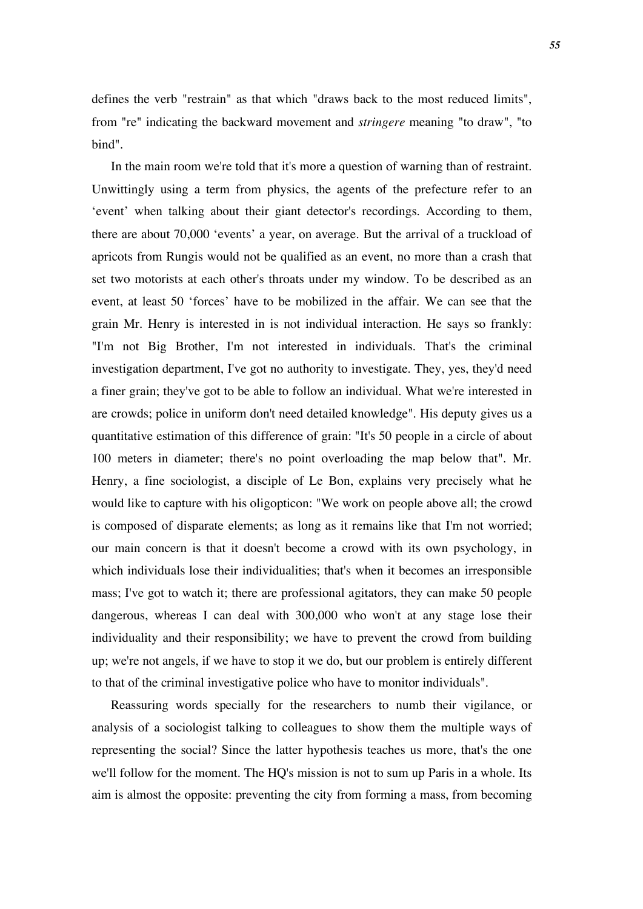defines the verb "restrain" as that which "draws back to the most reduced limits", from "re" indicating the backward movement and *stringere* meaning "to draw", "to bind".

In the main room we're told that it's more a question of warning than of restraint. Unwittingly using a term from physics, the agents of the prefecture refer to an 'event' when talking about their giant detector's recordings. According to them, there are about 70,000 'events' a year, on average. But the arrival of a truckload of apricots from Rungis would not be qualified as an event, no more than a crash that set two motorists at each other's throats under my window. To be described as an event, at least 50 'forces' have to be mobilized in the affair. We can see that the grain Mr. Henry is interested in is not individual interaction. He says so frankly: "I'm not Big Brother, I'm not interested in individuals. That's the criminal investigation department, I've got no authority to investigate. They, yes, they'd need a finer grain; they've got to be able to follow an individual. What we're interested in are crowds; police in uniform don't need detailed knowledge". His deputy gives us a quantitative estimation of this difference of grain: "It's 50 people in a circle of about 100 meters in diameter; there's no point overloading the map below that". Mr. Henry, a fine sociologist, a disciple of Le Bon, explains very precisely what he would like to capture with his oligopticon: "We work on people above all; the crowd is composed of disparate elements; as long as it remains like that I'm not worried; our main concern is that it doesn't become a crowd with its own psychology, in which individuals lose their individualities; that's when it becomes an irresponsible mass; I've got to watch it; there are professional agitators, they can make 50 people dangerous, whereas I can deal with 300,000 who won't at any stage lose their individuality and their responsibility; we have to prevent the crowd from building up; we're not angels, if we have to stop it we do, but our problem is entirely different to that of the criminal investigative police who have to monitor individuals".

Reassuring words specially for the researchers to numb their vigilance, or analysis of a sociologist talking to colleagues to show them the multiple ways of representing the social? Since the latter hypothesis teaches us more, that's the one we'll follow for the moment. The HQ's mission is not to sum up Paris in a whole. Its aim is almost the opposite: preventing the city from forming a mass, from becoming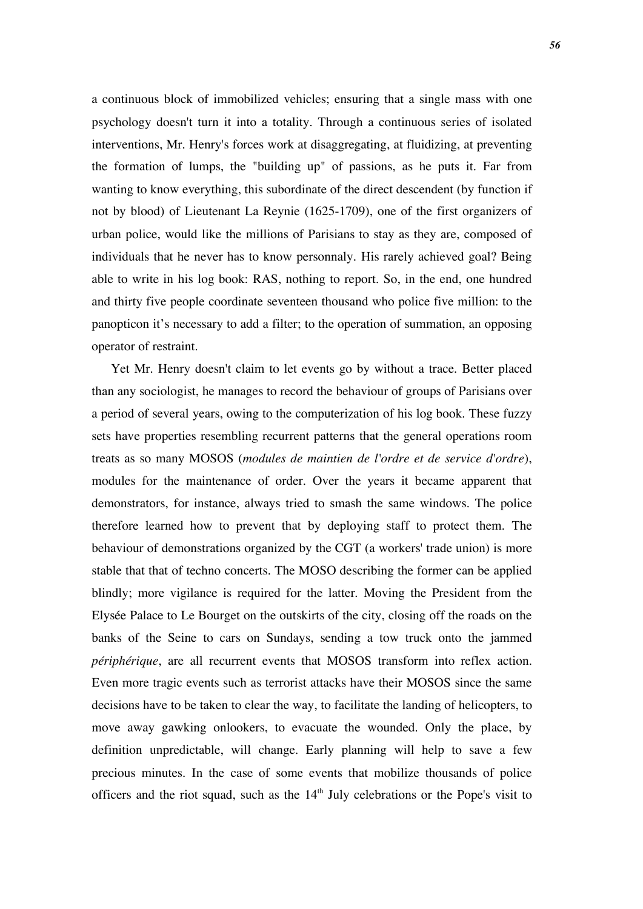a continuous block of immobilized vehicles; ensuring that a single mass with one psychology doesn't turn it into a totality. Through a continuous series of isolated interventions, Mr. Henry's forces work at disaggregating, at fluidizing, at preventing the formation of lumps, the "building up" of passions, as he puts it. Far from wanting to know everything, this subordinate of the direct descendent (by function if not by blood) of Lieutenant La Reynie (1625-1709), one of the first organizers of urban police, would like the millions of Parisians to stay as they are, composed of individuals that he never has to know personnaly. His rarely achieved goal? Being able to write in his log book: RAS, nothing to report. So, in the end, one hundred and thirty five people coordinate seventeen thousand who police five million: to the panopticon it's necessary to add a filter; to the operation of summation, an opposing operator of restraint.

Yet Mr. Henry doesn't claim to let events go by without a trace. Better placed than any sociologist, he manages to record the behaviour of groups of Parisians over a period of several years, owing to the computerization of his log book. These fuzzy sets have properties resembling recurrent patterns that the general operations room treats as so many MOSOS (*modules de maintien de l'ordre et de service d'ordre*), modules for the maintenance of order. Over the years it became apparent that demonstrators, for instance, always tried to smash the same windows. The police therefore learned how to prevent that by deploying staff to protect them. The behaviour of demonstrations organized by the CGT (a workers' trade union) is more stable that that of techno concerts. The MOSO describing the former can be applied blindly; more vigilance is required for the latter. Moving the President from the Elysée Palace to Le Bourget on the outskirts of the city, closing off the roads on the banks of the Seine to cars on Sundays, sending a tow truck onto the jammed *périphérique*, are all recurrent events that MOSOS transform into reflex action. Even more tragic events such as terrorist attacks have their MOSOS since the same decisions have to be taken to clear the way, to facilitate the landing of helicopters, to move away gawking onlookers, to evacuate the wounded. Only the place, by definition unpredictable, will change. Early planning will help to save a few precious minutes. In the case of some events that mobilize thousands of police officers and the riot squad, such as the  $14<sup>th</sup>$  July celebrations or the Pope's visit to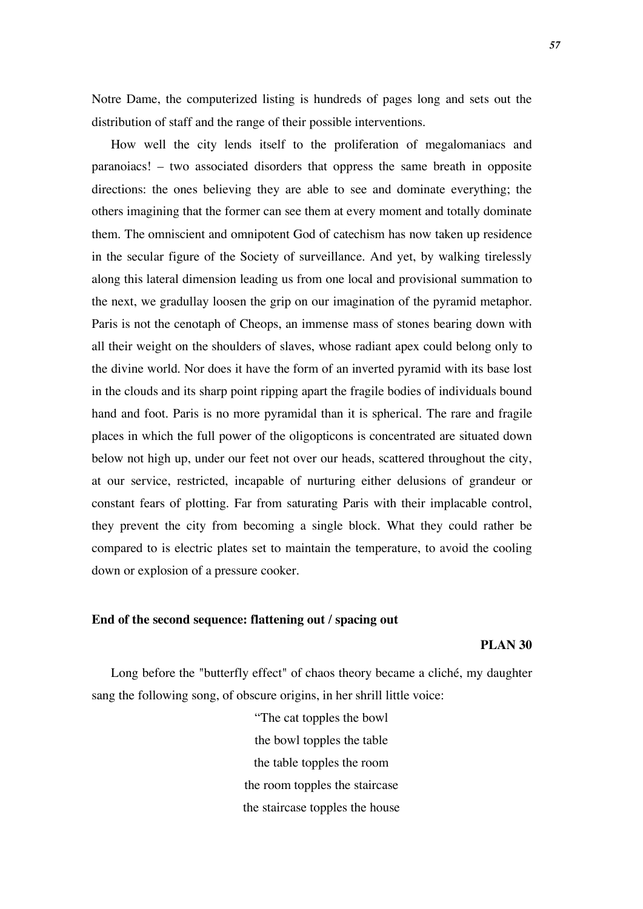Notre Dame, the computerized listing is hundreds of pages long and sets out the distribution of staff and the range of their possible interventions.

How well the city lends itself to the proliferation of megalomaniacs and paranoiacs! – two associated disorders that oppress the same breath in opposite directions: the ones believing they are able to see and dominate everything; the others imagining that the former can see them at every moment and totally dominate them. The omniscient and omnipotent God of catechism has now taken up residence in the secular figure of the Society of surveillance. And yet, by walking tirelessly along this lateral dimension leading us from one local and provisional summation to the next, we gradullay loosen the grip on our imagination of the pyramid metaphor. Paris is not the cenotaph of Cheops, an immense mass of stones bearing down with all their weight on the shoulders of slaves, whose radiant apex could belong only to the divine world. Nor does it have the form of an inverted pyramid with its base lost in the clouds and its sharp point ripping apart the fragile bodies of individuals bound hand and foot. Paris is no more pyramidal than it is spherical. The rare and fragile places in which the full power of the oligopticons is concentrated are situated down below not high up, under our feet not over our heads, scattered throughout the city, at our service, restricted, incapable of nurturing either delusions of grandeur or constant fears of plotting. Far from saturating Paris with their implacable control, they prevent the city from becoming a single block. What they could rather be compared to is electric plates set to maintain the temperature, to avoid the cooling down or explosion of a pressure cooker.

### **End of the second sequence: flattening out / spacing out**

**PLAN 30**

Long before the "butterfly effect" of chaos theory became a cliché, my daughter sang the following song, of obscure origins, in her shrill little voice:

> "The cat topples the bowl the bowl topples the table the table topples the room the room topples the staircase the staircase topples the house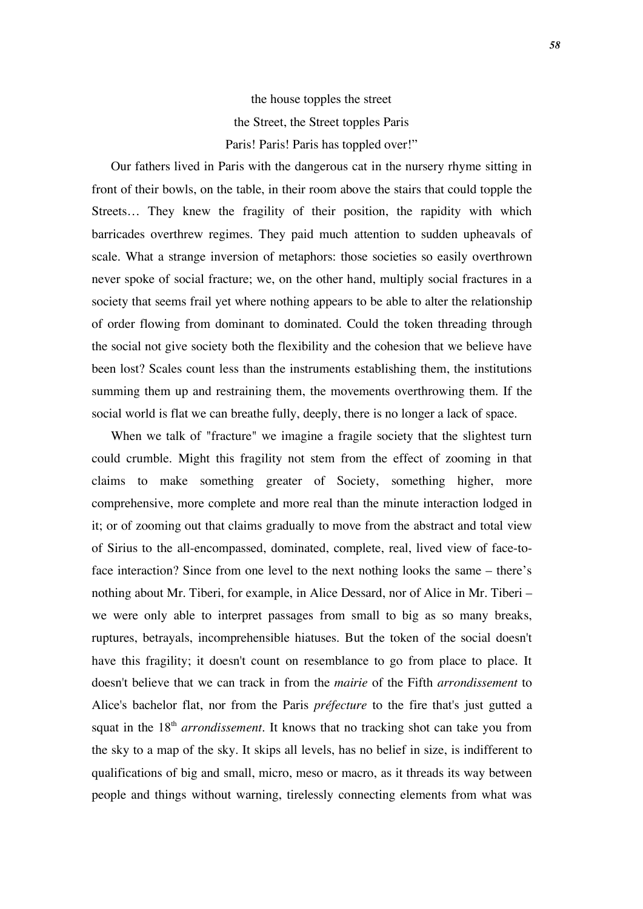# the house topples the street the Street, the Street topples Paris Paris! Paris! Paris has toppled over!"

Our fathers lived in Paris with the dangerous cat in the nursery rhyme sitting in front of their bowls, on the table, in their room above the stairs that could topple the Streets… They knew the fragility of their position, the rapidity with which barricades overthrew regimes. They paid much attention to sudden upheavals of scale. What a strange inversion of metaphors: those societies so easily overthrown never spoke of social fracture; we, on the other hand, multiply social fractures in a society that seems frail yet where nothing appears to be able to alter the relationship of order flowing from dominant to dominated. Could the token threading through the social not give society both the flexibility and the cohesion that we believe have been lost? Scales count less than the instruments establishing them, the institutions summing them up and restraining them, the movements overthrowing them. If the social world is flat we can breathe fully, deeply, there is no longer a lack of space.

When we talk of "fracture" we imagine a fragile society that the slightest turn could crumble. Might this fragility not stem from the effect of zooming in that claims to make something greater of Society, something higher, more comprehensive, more complete and more real than the minute interaction lodged in it; or of zooming out that claims gradually to move from the abstract and total view of Sirius to the all-encompassed, dominated, complete, real, lived view of face-toface interaction? Since from one level to the next nothing looks the same – there's nothing about Mr. Tiberi, for example, in Alice Dessard, nor of Alice in Mr. Tiberi – we were only able to interpret passages from small to big as so many breaks, ruptures, betrayals, incomprehensible hiatuses. But the token of the social doesn't have this fragility; it doesn't count on resemblance to go from place to place. It doesn't believe that we can track in from the *mairie* of the Fifth *arrondissement* to Alice's bachelor flat, nor from the Paris *préfecture* to the fire that's just gutted a squat in the 18<sup>th</sup> *arrondissement*. It knows that no tracking shot can take you from the sky to a map of the sky. It skips all levels, has no belief in size, is indifferent to qualifications of big and small, micro, meso or macro, as it threads its way between people and things without warning, tirelessly connecting elements from what was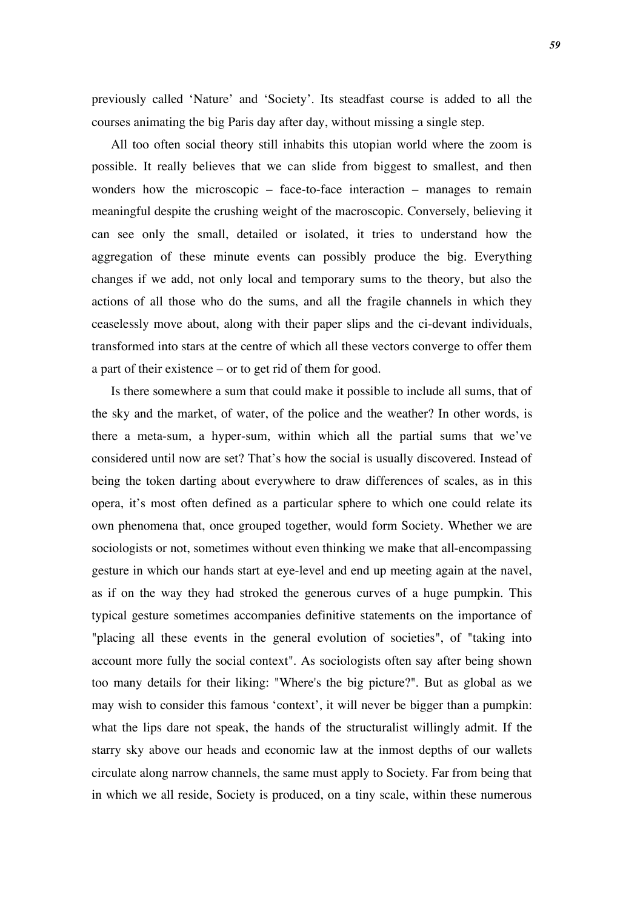previously called 'Nature' and 'Society'. Its steadfast course is added to all the courses animating the big Paris day after day, without missing a single step.

All too often social theory still inhabits this utopian world where the zoom is possible. It really believes that we can slide from biggest to smallest, and then wonders how the microscopic – face-to-face interaction – manages to remain meaningful despite the crushing weight of the macroscopic. Conversely, believing it can see only the small, detailed or isolated, it tries to understand how the aggregation of these minute events can possibly produce the big. Everything changes if we add, not only local and temporary sums to the theory, but also the actions of all those who do the sums, and all the fragile channels in which they ceaselessly move about, along with their paper slips and the ci-devant individuals, transformed into stars at the centre of which all these vectors converge to offer them a part of their existence – or to get rid of them for good.

Is there somewhere a sum that could make it possible to include all sums, that of the sky and the market, of water, of the police and the weather? In other words, is there a meta-sum, a hyper-sum, within which all the partial sums that we've considered until now are set? That's how the social is usually discovered. Instead of being the token darting about everywhere to draw differences of scales, as in this opera, it's most often defined as a particular sphere to which one could relate its own phenomena that, once grouped together, would form Society. Whether we are sociologists or not, sometimes without even thinking we make that all-encompassing gesture in which our hands start at eye-level and end up meeting again at the navel, as if on the way they had stroked the generous curves of a huge pumpkin. This typical gesture sometimes accompanies definitive statements on the importance of "placing all these events in the general evolution of societies", of "taking into account more fully the social context". As sociologists often say after being shown too many details for their liking: "Where's the big picture?". But as global as we may wish to consider this famous 'context', it will never be bigger than a pumpkin: what the lips dare not speak, the hands of the structuralist willingly admit. If the starry sky above our heads and economic law at the inmost depths of our wallets circulate along narrow channels, the same must apply to Society. Far from being that in which we all reside, Society is produced, on a tiny scale, within these numerous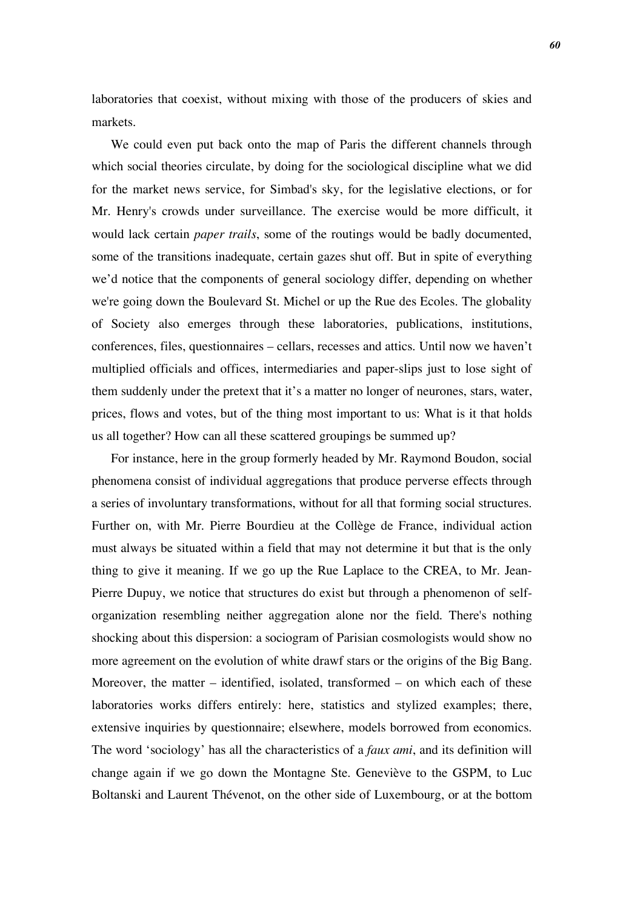laboratories that coexist, without mixing with those of the producers of skies and markets.

We could even put back onto the map of Paris the different channels through which social theories circulate, by doing for the sociological discipline what we did for the market news service, for Simbad's sky, for the legislative elections, or for Mr. Henry's crowds under surveillance. The exercise would be more difficult, it would lack certain *paper trails*, some of the routings would be badly documented, some of the transitions inadequate, certain gazes shut off. But in spite of everything we'd notice that the components of general sociology differ, depending on whether we're going down the Boulevard St. Michel or up the Rue des Ecoles. The globality of Society also emerges through these laboratories, publications, institutions, conferences, files, questionnaires – cellars, recesses and attics. Until now we haven't multiplied officials and offices, intermediaries and paper-slips just to lose sight of them suddenly under the pretext that it's a matter no longer of neurones, stars, water, prices, flows and votes, but of the thing most important to us: What is it that holds us all together? How can all these scattered groupings be summed up?

For instance, here in the group formerly headed by Mr. Raymond Boudon, social phenomena consist of individual aggregations that produce perverse effects through a series of involuntary transformations, without for all that forming social structures. Further on, with Mr. Pierre Bourdieu at the Collège de France, individual action must always be situated within a field that may not determine it but that is the only thing to give it meaning. If we go up the Rue Laplace to the CREA, to Mr. Jean-Pierre Dupuy, we notice that structures do exist but through a phenomenon of selforganization resembling neither aggregation alone nor the field. There's nothing shocking about this dispersion: a sociogram of Parisian cosmologists would show no more agreement on the evolution of white drawf stars or the origins of the Big Bang. Moreover, the matter – identified, isolated, transformed – on which each of these laboratories works differs entirely: here, statistics and stylized examples; there, extensive inquiries by questionnaire; elsewhere, models borrowed from economics. The word 'sociology' has all the characteristics of a *faux ami*, and its definition will change again if we go down the Montagne Ste. Geneviève to the GSPM, to Luc Boltanski and Laurent Thévenot, on the other side of Luxembourg, or at the bottom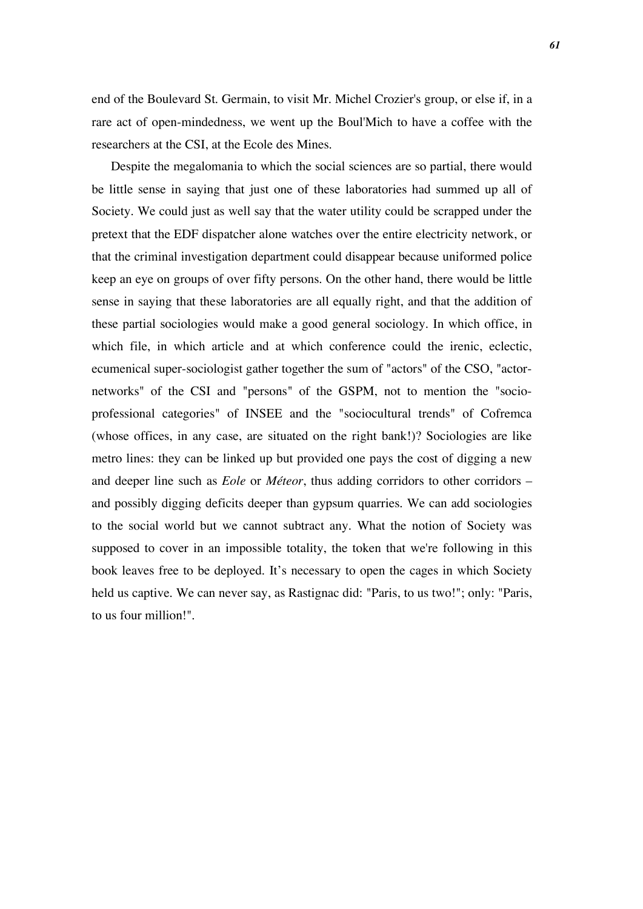end of the Boulevard St. Germain, to visit Mr. Michel Crozier's group, or else if, in a rare act of open-mindedness, we went up the Boul'Mich to have a coffee with the researchers at the CSI, at the Ecole des Mines.

Despite the megalomania to which the social sciences are so partial, there would be little sense in saying that just one of these laboratories had summed up all of Society. We could just as well say that the water utility could be scrapped under the pretext that the EDF dispatcher alone watches over the entire electricity network, or that the criminal investigation department could disappear because uniformed police keep an eye on groups of over fifty persons. On the other hand, there would be little sense in saying that these laboratories are all equally right, and that the addition of these partial sociologies would make a good general sociology. In which office, in which file, in which article and at which conference could the irenic, eclectic, ecumenical super-sociologist gather together the sum of "actors" of the CSO, "actornetworks" of the CSI and "persons" of the GSPM, not to mention the "socioprofessional categories" of INSEE and the "sociocultural trends" of Cofremca (whose offices, in any case, are situated on the right bank!)? Sociologies are like metro lines: they can be linked up but provided one pays the cost of digging a new and deeper line such as *Eole* or *Méteor*, thus adding corridors to other corridors – and possibly digging deficits deeper than gypsum quarries. We can add sociologies to the social world but we cannot subtract any. What the notion of Society was supposed to cover in an impossible totality, the token that we're following in this book leaves free to be deployed. It's necessary to open the cages in which Society held us captive. We can never say, as Rastignac did: "Paris, to us two!"; only: "Paris, to us four million!".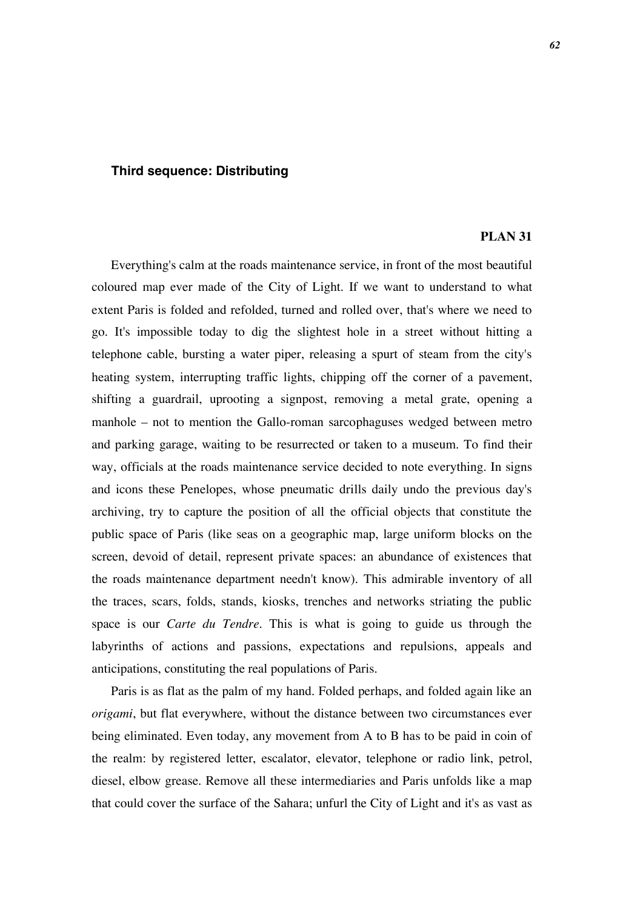## **Third sequence: Distributing**

### **PLAN 31**

Everything's calm at the roads maintenance service, in front of the most beautiful coloured map ever made of the City of Light. If we want to understand to what extent Paris is folded and refolded, turned and rolled over, that's where we need to go. It's impossible today to dig the slightest hole in a street without hitting a telephone cable, bursting a water piper, releasing a spurt of steam from the city's heating system, interrupting traffic lights, chipping off the corner of a pavement, shifting a guardrail, uprooting a signpost, removing a metal grate, opening a manhole – not to mention the Gallo-roman sarcophaguses wedged between metro and parking garage, waiting to be resurrected or taken to a museum. To find their way, officials at the roads maintenance service decided to note everything. In signs and icons these Penelopes, whose pneumatic drills daily undo the previous day's archiving, try to capture the position of all the official objects that constitute the public space of Paris (like seas on a geographic map, large uniform blocks on the screen, devoid of detail, represent private spaces: an abundance of existences that the roads maintenance department needn't know). This admirable inventory of all the traces, scars, folds, stands, kiosks, trenches and networks striating the public space is our *Carte du Tendre.* This is what is going to guide us through the labyrinths of actions and passions, expectations and repulsions, appeals and anticipations, constituting the real populations of Paris.

Paris is as flat as the palm of my hand. Folded perhaps, and folded again like an *origami*, but flat everywhere, without the distance between two circumstances ever being eliminated. Even today, any movement from A to B has to be paid in coin of the realm: by registered letter, escalator, elevator, telephone or radio link, petrol, diesel, elbow grease. Remove all these intermediaries and Paris unfolds like a map that could cover the surface of the Sahara; unfurl the City of Light and it's as vast as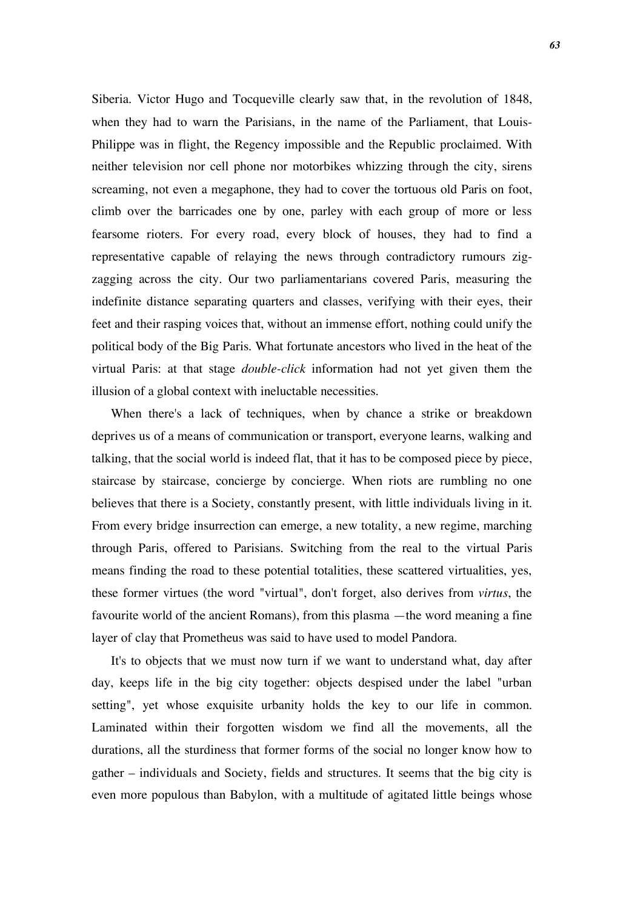Siberia. Victor Hugo and Tocqueville clearly saw that, in the revolution of 1848, when they had to warn the Parisians, in the name of the Parliament, that Louis-Philippe was in flight, the Regency impossible and the Republic proclaimed. With neither television nor cell phone nor motorbikes whizzing through the city, sirens screaming, not even a megaphone, they had to cover the tortuous old Paris on foot, climb over the barricades one by one, parley with each group of more or less fearsome rioters. For every road, every block of houses, they had to find a representative capable of relaying the news through contradictory rumours zigzagging across the city. Our two parliamentarians covered Paris, measuring the indefinite distance separating quarters and classes, verifying with their eyes, their feet and their rasping voices that, without an immense effort, nothing could unify the political body of the Big Paris. What fortunate ancestors who lived in the heat of the virtual Paris: at that stage *double-click* information had not yet given them the illusion of a global context with ineluctable necessities.

When there's a lack of techniques, when by chance a strike or breakdown deprives us of a means of communication or transport, everyone learns, walking and talking, that the social world is indeed flat, that it has to be composed piece by piece, staircase by staircase, concierge by concierge. When riots are rumbling no one believes that there is a Society, constantly present, with little individuals living in it. From every bridge insurrection can emerge, a new totality, a new regime, marching through Paris, offered to Parisians. Switching from the real to the virtual Paris means finding the road to these potential totalities, these scattered virtualities, yes, these former virtues (the word "virtual", don't forget, also derives from *virtus*, the favourite world of the ancient Romans), from this plasma —the word meaning a fine layer of clay that Prometheus was said to have used to model Pandora.

It's to objects that we must now turn if we want to understand what, day after day, keeps life in the big city together: objects despised under the label "urban setting", yet whose exquisite urbanity holds the key to our life in common. Laminated within their forgotten wisdom we find all the movements, all the durations, all the sturdiness that former forms of the social no longer know how to gather – individuals and Society, fields and structures. It seems that the big city is even more populous than Babylon, with a multitude of agitated little beings whose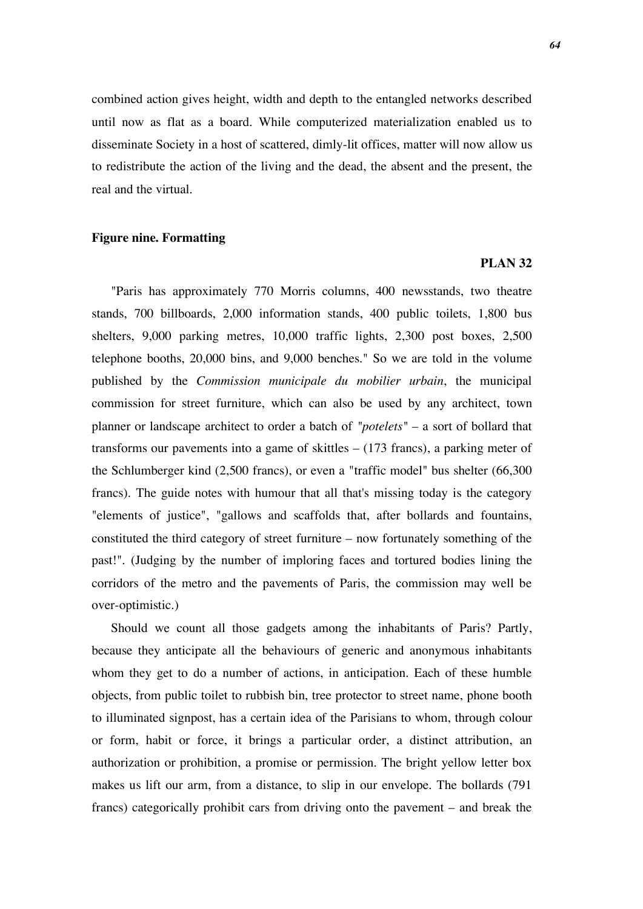combined action gives height, width and depth to the entangled networks described until now as flat as a board. While computerized materialization enabled us to disseminate Society in a host of scattered, dimly-lit offices, matter will now allow us to redistribute the action of the living and the dead, the absent and the present, the real and the virtual.

## **Figure nine. Formatting**

#### **PLAN 32**

"Paris has approximately 770 Morris columns, 400 newsstands, two theatre stands, 700 billboards, 2,000 information stands, 400 public toilets, 1,800 bus shelters, 9,000 parking metres, 10,000 traffic lights, 2,300 post boxes, 2,500 telephone booths, 20,000 bins, and 9,000 benches." So we are told in the volume published by the *Commission municipale du mobilier urbain*, the municipal commission for street furniture, which can also be used by any architect, town planner or landscape architect to order a batch of *"potelets"* – a sort of bollard that transforms our pavements into a game of skittles – (173 francs), a parking meter of the Schlumberger kind (2,500 francs), or even a "traffic model" bus shelter (66,300 francs). The guide notes with humour that all that's missing today is the category "elements of justice", "gallows and scaffolds that, after bollards and fountains, constituted the third category of street furniture – now fortunately something of the past!". (Judging by the number of imploring faces and tortured bodies lining the corridors of the metro and the pavements of Paris, the commission may well be over-optimistic.)

Should we count all those gadgets among the inhabitants of Paris? Partly, because they anticipate all the behaviours of generic and anonymous inhabitants whom they get to do a number of actions, in anticipation. Each of these humble objects, from public toilet to rubbish bin, tree protector to street name, phone booth to illuminated signpost, has a certain idea of the Parisians to whom, through colour or form, habit or force, it brings a particular order, a distinct attribution, an authorization or prohibition, a promise or permission. The bright yellow letter box makes us lift our arm, from a distance, to slip in our envelope. The bollards (791 francs) categorically prohibit cars from driving onto the pavement – and break the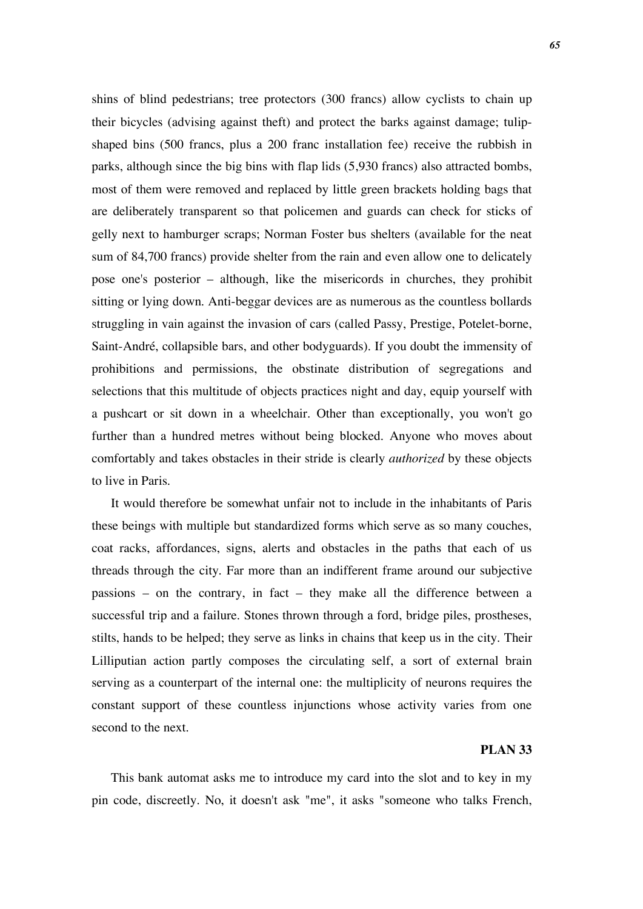shins of blind pedestrians; tree protectors (300 francs) allow cyclists to chain up their bicycles (advising against theft) and protect the barks against damage; tulipshaped bins (500 francs, plus a 200 franc installation fee) receive the rubbish in parks, although since the big bins with flap lids (5,930 francs) also attracted bombs, most of them were removed and replaced by little green brackets holding bags that are deliberately transparent so that policemen and guards can check for sticks of gelly next to hamburger scraps; Norman Foster bus shelters (available for the neat sum of 84,700 francs) provide shelter from the rain and even allow one to delicately pose one's posterior – although, like the misericords in churches, they prohibit sitting or lying down. Anti-beggar devices are as numerous as the countless bollards struggling in vain against the invasion of cars (called Passy, Prestige, Potelet-borne, Saint-André, collapsible bars, and other bodyguards). If you doubt the immensity of prohibitions and permissions, the obstinate distribution of segregations and selections that this multitude of objects practices night and day, equip yourself with a pushcart or sit down in a wheelchair. Other than exceptionally, you won't go further than a hundred metres without being blocked. Anyone who moves about comfortably and takes obstacles in their stride is clearly *authorized* by these objects to live in Paris.

It would therefore be somewhat unfair not to include in the inhabitants of Paris these beings with multiple but standardized forms which serve as so many couches, coat racks, affordances, signs, alerts and obstacles in the paths that each of us threads through the city. Far more than an indifferent frame around our subjective passions – on the contrary, in fact – they make all the difference between a successful trip and a failure. Stones thrown through a ford, bridge piles, prostheses, stilts, hands to be helped; they serve as links in chains that keep us in the city. Their Lilliputian action partly composes the circulating self, a sort of external brain serving as a counterpart of the internal one: the multiplicity of neurons requires the constant support of these countless injunctions whose activity varies from one second to the next.

## **PLAN 33**

This bank automat asks me to introduce my card into the slot and to key in my pin code, discreetly. No, it doesn't ask "me", it asks "someone who talks French,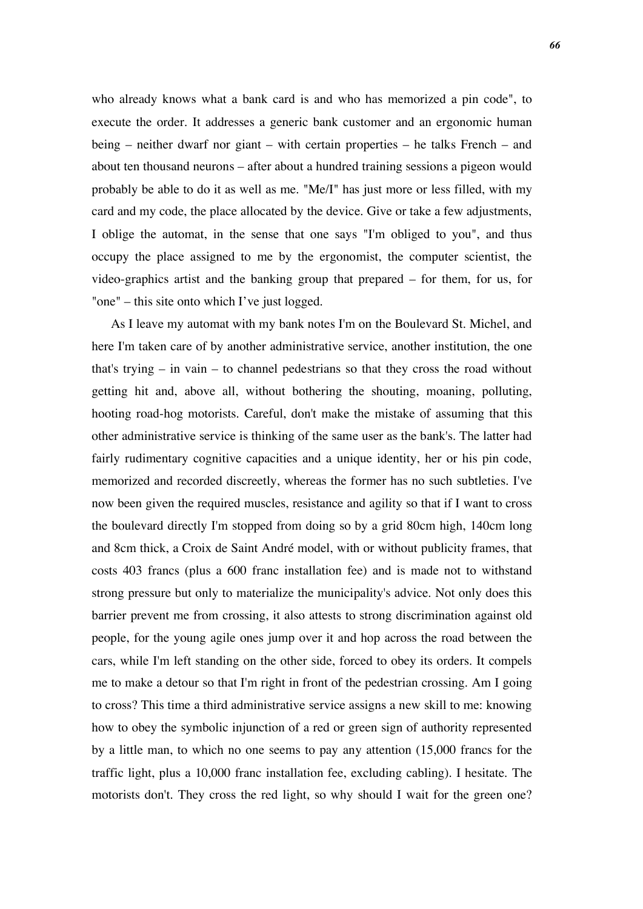who already knows what a bank card is and who has memorized a pin code", to execute the order. It addresses a generic bank customer and an ergonomic human being – neither dwarf nor giant – with certain properties – he talks French – and about ten thousand neurons – after about a hundred training sessions a pigeon would probably be able to do it as well as me. "Me/I" has just more or less filled, with my card and my code, the place allocated by the device. Give or take a few adjustments, I oblige the automat, in the sense that one says "I'm obliged to you", and thus occupy the place assigned to me by the ergonomist, the computer scientist, the video-graphics artist and the banking group that prepared – for them, for us, for "one" – this site onto which I've just logged.

As I leave my automat with my bank notes I'm on the Boulevard St. Michel, and here I'm taken care of by another administrative service, another institution, the one that's trying – in vain – to channel pedestrians so that they cross the road without getting hit and, above all, without bothering the shouting, moaning, polluting, hooting road-hog motorists. Careful, don't make the mistake of assuming that this other administrative service is thinking of the same user as the bank's. The latter had fairly rudimentary cognitive capacities and a unique identity, her or his pin code, memorized and recorded discreetly, whereas the former has no such subtleties. I've now been given the required muscles, resistance and agility so that if I want to cross the boulevard directly I'm stopped from doing so by a grid 80cm high, 140cm long and 8cm thick, a Croix de Saint André model, with or without publicity frames, that costs 403 francs (plus a 600 franc installation fee) and is made not to withstand strong pressure but only to materialize the municipality's advice. Not only does this barrier prevent me from crossing, it also attests to strong discrimination against old people, for the young agile ones jump over it and hop across the road between the cars, while I'm left standing on the other side, forced to obey its orders. It compels me to make a detour so that I'm right in front of the pedestrian crossing. Am I going to cross? This time a third administrative service assigns a new skill to me: knowing how to obey the symbolic injunction of a red or green sign of authority represented by a little man, to which no one seems to pay any attention (15,000 francs for the traffic light, plus a 10,000 franc installation fee, excluding cabling). I hesitate. The motorists don't. They cross the red light, so why should I wait for the green one?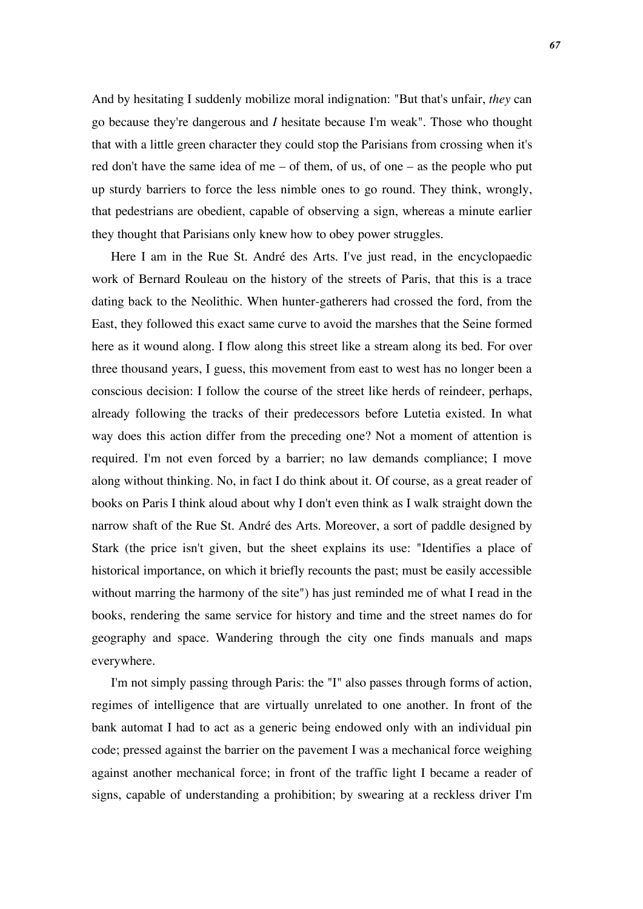And by hesitating I suddenly mobilize moral indignation: "But that's unfair, *they* can go because they're dangerous and *I* hesitate because I'm weak". Those who thought that with a little green character they could stop the Parisians from crossing when it's red don't have the same idea of me – of them, of us, of one – as the people who put up sturdy barriers to force the less nimble ones to go round. They think, wrongly, that pedestrians are obedient, capable of observing a sign, whereas a minute earlier they thought that Parisians only knew how to obey power struggles.

Here I am in the Rue St. André des Arts. I've just read, in the encyclopaedic work of Bernard Rouleau on the history of the streets of Paris, that this is a trace dating back to the Neolithic. When hunter-gatherers had crossed the ford, from the East, they followed this exact same curve to avoid the marshes that the Seine formed here as it wound along. I flow along this street like a stream along its bed. For over three thousand years, I guess, this movement from east to west has no longer been a conscious decision: I follow the course of the street like herds of reindeer, perhaps, already following the tracks of their predecessors before Lutetia existed. In what way does this action differ from the preceding one? Not a moment of attention is required. I'm not even forced by a barrier; no law demands compliance; I move along without thinking. No, in fact I do think about it. Of course, as a great reader of books on Paris I think aloud about why I don't even think as I walk straight down the narrow shaft of the Rue St. André des Arts. Moreover, a sort of paddle designed by Stark (the price isn't given, but the sheet explains its use: "Identifies a place of historical importance, on which it briefly recounts the past; must be easily accessible without marring the harmony of the site") has just reminded me of what I read in the books, rendering the same service for history and time and the street names do for geography and space. Wandering through the city one finds manuals and maps everywhere.

I'm not simply passing through Paris: the "I" also passes through forms of action, regimes of intelligence that are virtually unrelated to one another. In front of the bank automat I had to act as a generic being endowed only with an individual pin code; pressed against the barrier on the pavement I was a mechanical force weighing against another mechanical force; in front of the traffic light I became a reader of signs, capable of understanding a prohibition; by swearing at a reckless driver I'm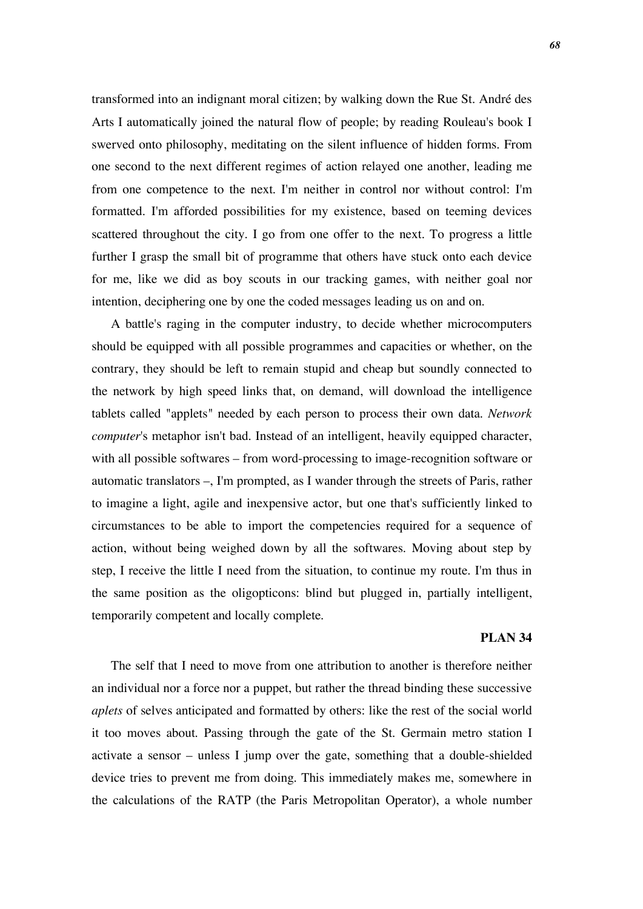transformed into an indignant moral citizen; by walking down the Rue St. André des Arts I automatically joined the natural flow of people; by reading Rouleau's book I swerved onto philosophy, meditating on the silent influence of hidden forms. From one second to the next different regimes of action relayed one another, leading me from one competence to the next. I'm neither in control nor without control: I'm formatted. I'm afforded possibilities for my existence, based on teeming devices scattered throughout the city. I go from one offer to the next. To progress a little further I grasp the small bit of programme that others have stuck onto each device for me, like we did as boy scouts in our tracking games, with neither goal nor intention, deciphering one by one the coded messages leading us on and on.

A battle's raging in the computer industry, to decide whether microcomputers should be equipped with all possible programmes and capacities or whether, on the contrary, they should be left to remain stupid and cheap but soundly connected to the network by high speed links that, on demand, will download the intelligence tablets called "applets" needed by each person to process their own data. *Network computer*'s metaphor isn't bad. Instead of an intelligent, heavily equipped character, with all possible softwares – from word-processing to image-recognition software or automatic translators –, I'm prompted, as I wander through the streets of Paris, rather to imagine a light, agile and inexpensive actor, but one that's sufficiently linked to circumstances to be able to import the competencies required for a sequence of action, without being weighed down by all the softwares. Moving about step by step, I receive the little I need from the situation, to continue my route. I'm thus in the same position as the oligopticons: blind but plugged in, partially intelligent, temporarily competent and locally complete.

### **PLAN 34**

The self that I need to move from one attribution to another is therefore neither an individual nor a force nor a puppet, but rather the thread binding these successive *aplets* of selves anticipated and formatted by others: like the rest of the social world it too moves about. Passing through the gate of the St. Germain metro station I activate a sensor – unless I jump over the gate, something that a double-shielded device tries to prevent me from doing. This immediately makes me, somewhere in the calculations of the RATP (the Paris Metropolitan Operator), a whole number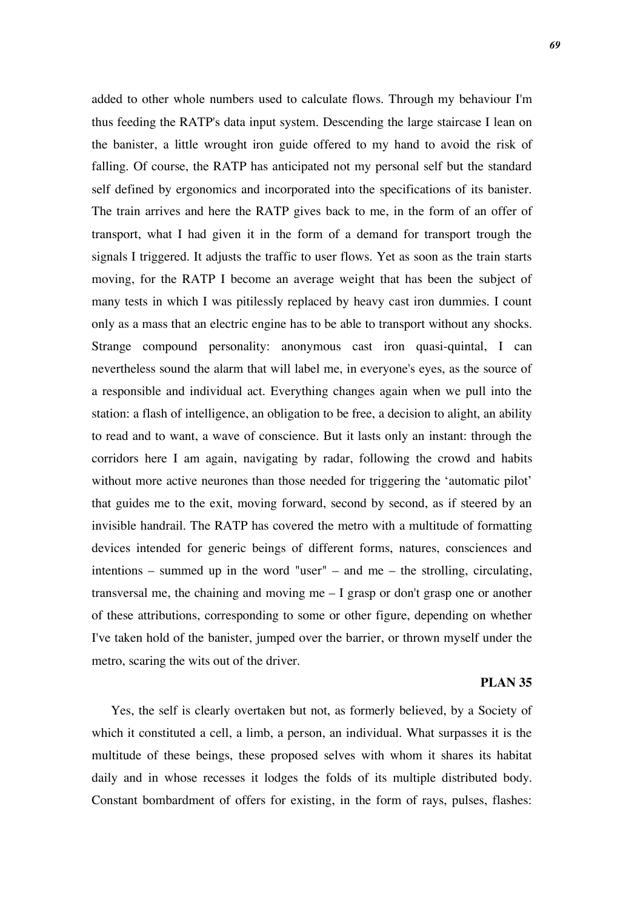added to other whole numbers used to calculate flows. Through my behaviour I'm thus feeding the RATP's data input system. Descending the large staircase I lean on the banister, a little wrought iron guide offered to my hand to avoid the risk of falling. Of course, the RATP has anticipated not my personal self but the standard self defined by ergonomics and incorporated into the specifications of its banister. The train arrives and here the RATP gives back to me, in the form of an offer of transport, what I had given it in the form of a demand for transport trough the signals I triggered. It adjusts the traffic to user flows. Yet as soon as the train starts moving, for the RATP I become an average weight that has been the subject of many tests in which I was pitilessly replaced by heavy cast iron dummies. I count only as a mass that an electric engine has to be able to transport without any shocks. Strange compound personality: anonymous cast iron quasi-quintal, I can nevertheless sound the alarm that will label me, in everyone's eyes, as the source of a responsible and individual act. Everything changes again when we pull into the station: a flash of intelligence, an obligation to be free, a decision to alight, an ability to read and to want, a wave of conscience. But it lasts only an instant: through the corridors here I am again, navigating by radar, following the crowd and habits without more active neurones than those needed for triggering the 'automatic pilot' that guides me to the exit, moving forward, second by second, as if steered by an invisible handrail. The RATP has covered the metro with a multitude of formatting devices intended for generic beings of different forms, natures, consciences and intentions – summed up in the word "user" – and me – the strolling, circulating, transversal me, the chaining and moving me – I grasp or don't grasp one or another of these attributions, corresponding to some or other figure, depending on whether I've taken hold of the banister, jumped over the barrier, or thrown myself under the metro, scaring the wits out of the driver.

## **PLAN 35**

Yes, the self is clearly overtaken but not, as formerly believed, by a Society of which it constituted a cell, a limb, a person, an individual. What surpasses it is the multitude of these beings, these proposed selves with whom it shares its habitat daily and in whose recesses it lodges the folds of its multiple distributed body. Constant bombardment of offers for existing, in the form of rays, pulses, flashes: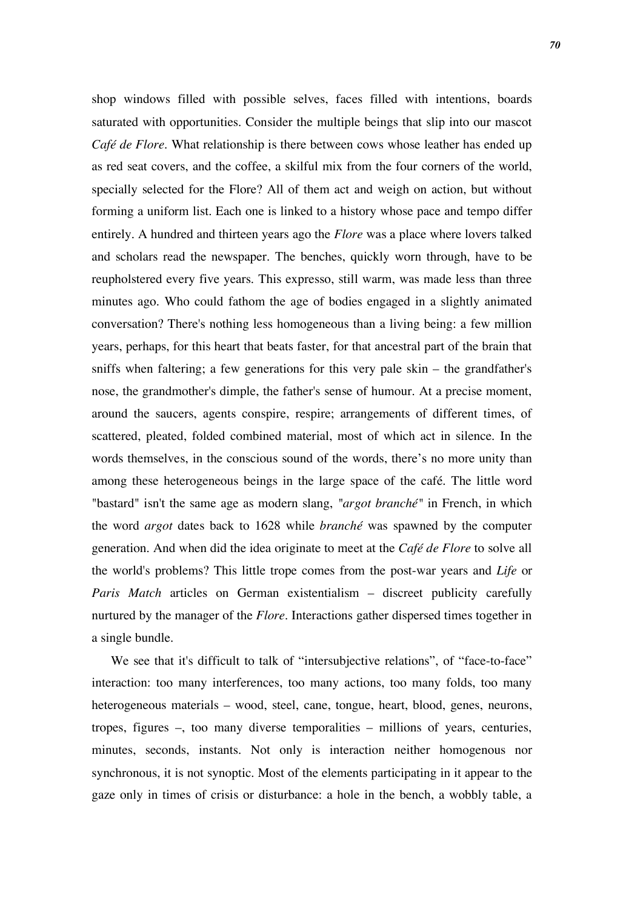shop windows filled with possible selves, faces filled with intentions, boards saturated with opportunities. Consider the multiple beings that slip into our mascot *Café de Flore*. What relationship is there between cows whose leather has ended up as red seat covers, and the coffee, a skilful mix from the four corners of the world, specially selected for the Flore? All of them act and weigh on action, but without forming a uniform list. Each one is linked to a history whose pace and tempo differ entirely. A hundred and thirteen years ago the *Flore* was a place where lovers talked and scholars read the newspaper. The benches, quickly worn through, have to be reupholstered every five years. This expresso, still warm, was made less than three minutes ago. Who could fathom the age of bodies engaged in a slightly animated conversation? There's nothing less homogeneous than a living being: a few million years, perhaps, for this heart that beats faster, for that ancestral part of the brain that sniffs when faltering; a few generations for this very pale skin – the grandfather's nose, the grandmother's dimple, the father's sense of humour. At a precise moment, around the saucers, agents conspire, respire; arrangements of different times, of scattered, pleated, folded combined material, most of which act in silence. In the words themselves, in the conscious sound of the words, there's no more unity than among these heterogeneous beings in the large space of the café. The little word "bastard" isn't the same age as modern slang, *"argot branché"* in French, in which the word *argot* dates back to 1628 while *branché* was spawned by the computer generation. And when did the idea originate to meet at the *Café de Flore* to solve all the world's problems? This little trope comes from the post-war years and *Life* or *Paris Match* articles on German existentialism – discreet publicity carefully nurtured by the manager of the *Flore*. Interactions gather dispersed times together in a single bundle.

We see that it's difficult to talk of "intersubjective relations", of "face-to-face" interaction: too many interferences, too many actions, too many folds, too many heterogeneous materials – wood, steel, cane, tongue, heart, blood, genes, neurons, tropes, figures –, too many diverse temporalities – millions of years, centuries, minutes, seconds, instants. Not only is interaction neither homogenous nor synchronous, it is not synoptic. Most of the elements participating in it appear to the gaze only in times of crisis or disturbance: a hole in the bench, a wobbly table, a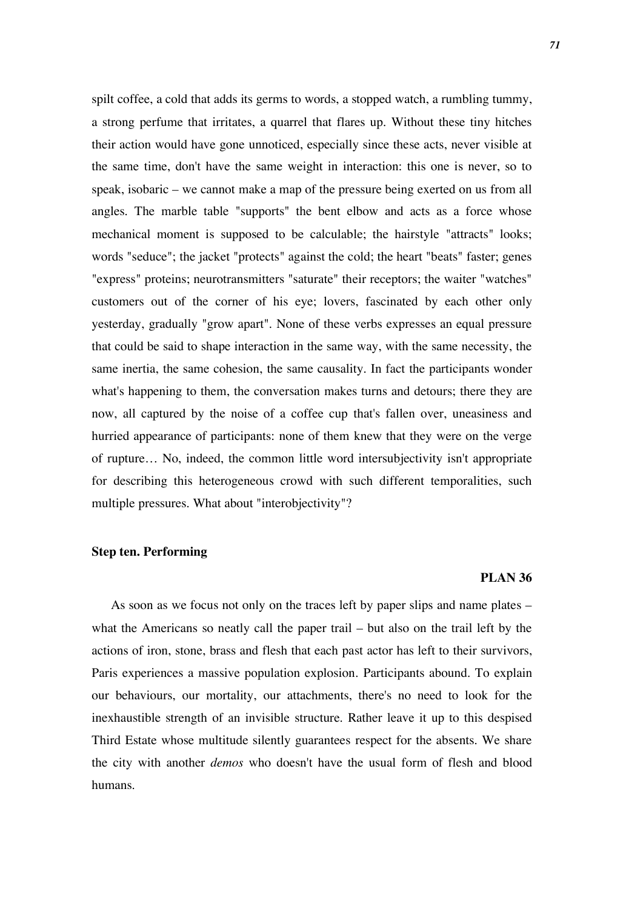spilt coffee, a cold that adds its germs to words, a stopped watch, a rumbling tummy, a strong perfume that irritates, a quarrel that flares up. Without these tiny hitches their action would have gone unnoticed, especially since these acts, never visible at the same time, don't have the same weight in interaction: this one is never, so to speak, isobaric – we cannot make a map of the pressure being exerted on us from all angles. The marble table "supports" the bent elbow and acts as a force whose mechanical moment is supposed to be calculable; the hairstyle "attracts" looks; words "seduce"; the jacket "protects" against the cold; the heart "beats" faster; genes "express" proteins; neurotransmitters "saturate" their receptors; the waiter "watches" customers out of the corner of his eye; lovers, fascinated by each other only yesterday, gradually "grow apart". None of these verbs expresses an equal pressure that could be said to shape interaction in the same way, with the same necessity, the same inertia, the same cohesion, the same causality. In fact the participants wonder what's happening to them, the conversation makes turns and detours; there they are now, all captured by the noise of a coffee cup that's fallen over, uneasiness and hurried appearance of participants: none of them knew that they were on the verge of rupture… No, indeed, the common little word intersubjectivity isn't appropriate for describing this heterogeneous crowd with such different temporalities, such multiple pressures. What about "interobjectivity"?

## **Step ten. Performing**

## **PLAN 36**

As soon as we focus not only on the traces left by paper slips and name plates – what the Americans so neatly call the paper trail – but also on the trail left by the actions of iron, stone, brass and flesh that each past actor has left to their survivors, Paris experiences a massive population explosion. Participants abound. To explain our behaviours, our mortality, our attachments, there's no need to look for the inexhaustible strength of an invisible structure. Rather leave it up to this despised Third Estate whose multitude silently guarantees respect for the absents. We share the city with another *demos* who doesn't have the usual form of flesh and blood humans.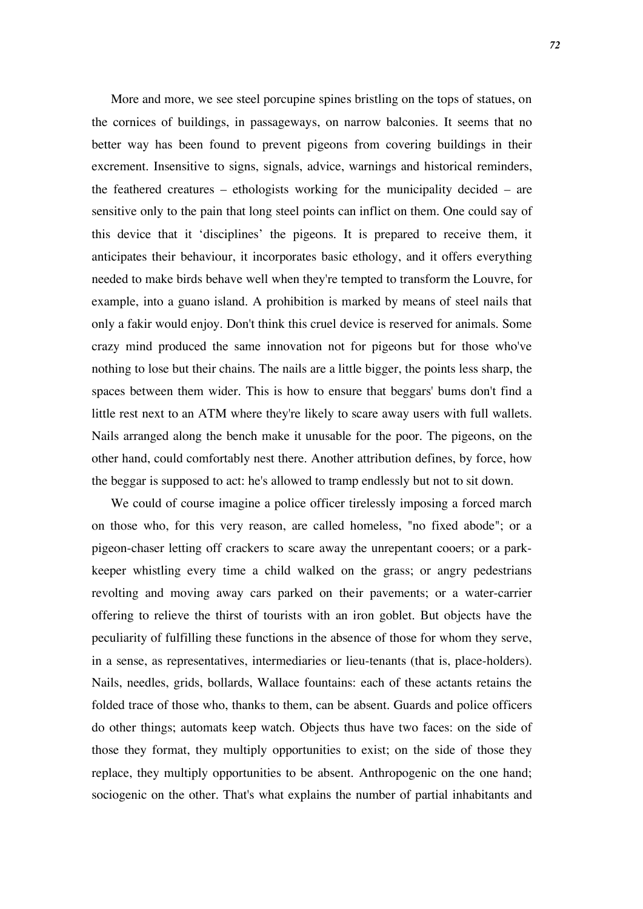More and more, we see steel porcupine spines bristling on the tops of statues, on the cornices of buildings, in passageways, on narrow balconies. It seems that no better way has been found to prevent pigeons from covering buildings in their excrement. Insensitive to signs, signals, advice, warnings and historical reminders, the feathered creatures – ethologists working for the municipality decided – are sensitive only to the pain that long steel points can inflict on them. One could say of this device that it 'disciplines' the pigeons. It is prepared to receive them, it anticipates their behaviour, it incorporates basic ethology, and it offers everything needed to make birds behave well when they're tempted to transform the Louvre, for example, into a guano island. A prohibition is marked by means of steel nails that only a fakir would enjoy. Don't think this cruel device is reserved for animals. Some crazy mind produced the same innovation not for pigeons but for those who've nothing to lose but their chains. The nails are a little bigger, the points less sharp, the spaces between them wider. This is how to ensure that beggars' bums don't find a little rest next to an ATM where they're likely to scare away users with full wallets. Nails arranged along the bench make it unusable for the poor. The pigeons, on the other hand, could comfortably nest there. Another attribution defines, by force, how the beggar is supposed to act: he's allowed to tramp endlessly but not to sit down.

We could of course imagine a police officer tirelessly imposing a forced march on those who, for this very reason, are called homeless, "no fixed abode"; or a pigeon-chaser letting off crackers to scare away the unrepentant cooers; or a parkkeeper whistling every time a child walked on the grass; or angry pedestrians revolting and moving away cars parked on their pavements; or a water-carrier offering to relieve the thirst of tourists with an iron goblet. But objects have the peculiarity of fulfilling these functions in the absence of those for whom they serve, in a sense, as representatives, intermediaries or lieu-tenants (that is, place-holders). Nails, needles, grids, bollards, Wallace fountains: each of these actants retains the folded trace of those who, thanks to them, can be absent. Guards and police officers do other things; automats keep watch. Objects thus have two faces: on the side of those they format, they multiply opportunities to exist; on the side of those they replace, they multiply opportunities to be absent. Anthropogenic on the one hand; sociogenic on the other. That's what explains the number of partial inhabitants and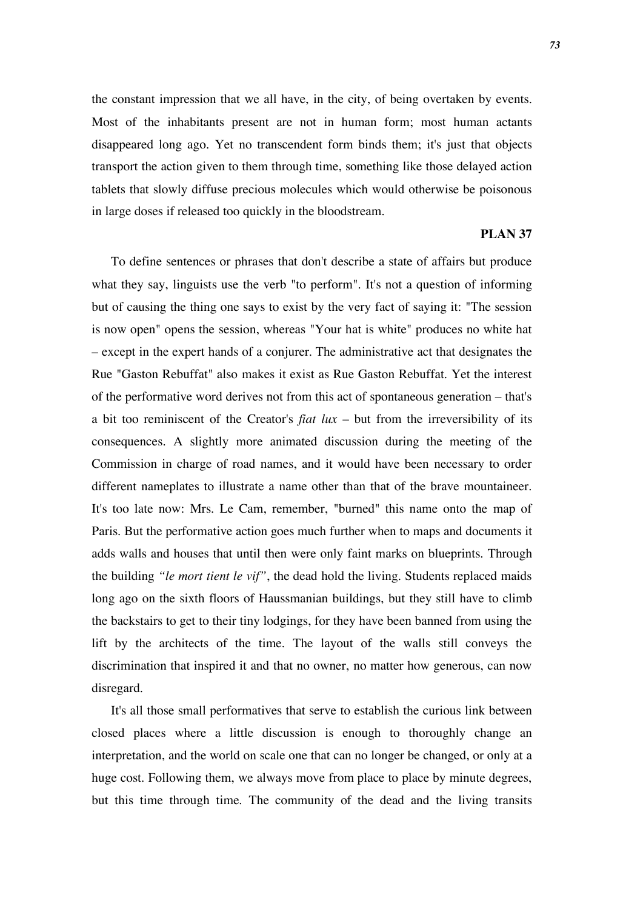the constant impression that we all have, in the city, of being overtaken by events. Most of the inhabitants present are not in human form; most human actants disappeared long ago. Yet no transcendent form binds them; it's just that objects transport the action given to them through time, something like those delayed action tablets that slowly diffuse precious molecules which would otherwise be poisonous in large doses if released too quickly in the bloodstream.

#### **PLAN 37**

To define sentences or phrases that don't describe a state of affairs but produce what they say, linguists use the verb "to perform". It's not a question of informing but of causing the thing one says to exist by the very fact of saying it: "The session is now open" opens the session, whereas "Your hat is white" produces no white hat – except in the expert hands of a conjurer. The administrative act that designates the Rue "Gaston Rebuffat" also makes it exist as Rue Gaston Rebuffat. Yet the interest of the performative word derives not from this act of spontaneous generation – that's a bit too reminiscent of the Creator's *fiat lux* – but from the irreversibility of its consequences. A slightly more animated discussion during the meeting of the Commission in charge of road names, and it would have been necessary to order different nameplates to illustrate a name other than that of the brave mountaineer. It's too late now: Mrs. Le Cam, remember, "burned" this name onto the map of Paris. But the performative action goes much further when to maps and documents it adds walls and houses that until then were only faint marks on blueprints. Through the building *"le mort tient le vif"*, the dead hold the living. Students replaced maids long ago on the sixth floors of Haussmanian buildings, but they still have to climb the backstairs to get to their tiny lodgings, for they have been banned from using the lift by the architects of the time. The layout of the walls still conveys the discrimination that inspired it and that no owner, no matter how generous, can now disregard.

It's all those small performatives that serve to establish the curious link between closed places where a little discussion is enough to thoroughly change an interpretation, and the world on scale one that can no longer be changed, or only at a huge cost. Following them, we always move from place to place by minute degrees, but this time through time. The community of the dead and the living transits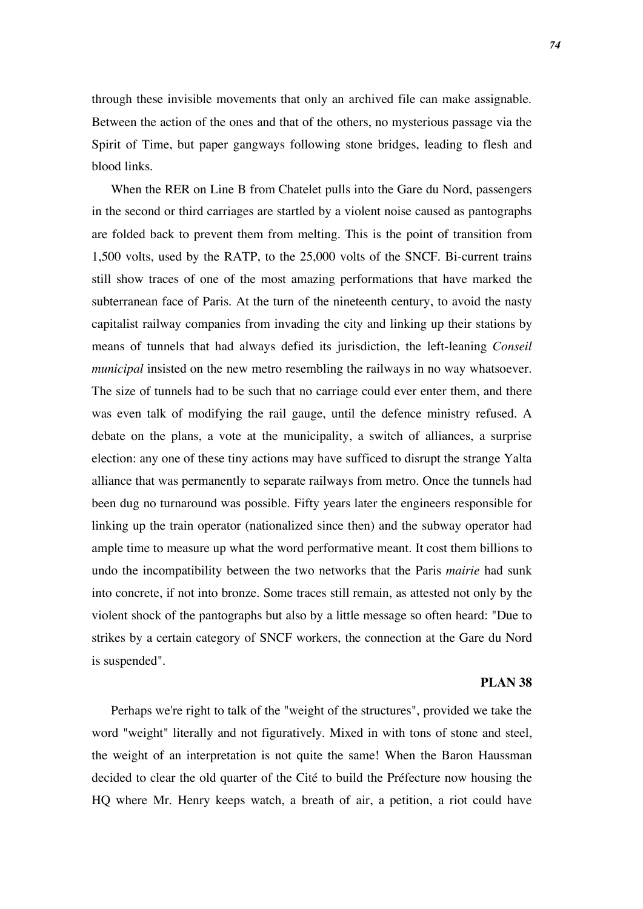through these invisible movements that only an archived file can make assignable. Between the action of the ones and that of the others, no mysterious passage via the Spirit of Time, but paper gangways following stone bridges, leading to flesh and blood links.

When the RER on Line B from Chatelet pulls into the Gare du Nord, passengers in the second or third carriages are startled by a violent noise caused as pantographs are folded back to prevent them from melting. This is the point of transition from 1,500 volts, used by the RATP, to the 25,000 volts of the SNCF. Bi-current trains still show traces of one of the most amazing performations that have marked the subterranean face of Paris. At the turn of the nineteenth century, to avoid the nasty capitalist railway companies from invading the city and linking up their stations by means of tunnels that had always defied its jurisdiction, the left-leaning *Conseil municipal* insisted on the new metro resembling the railways in no way whatsoever. The size of tunnels had to be such that no carriage could ever enter them, and there was even talk of modifying the rail gauge, until the defence ministry refused. A debate on the plans, a vote at the municipality, a switch of alliances, a surprise election: any one of these tiny actions may have sufficed to disrupt the strange Yalta alliance that was permanently to separate railways from metro. Once the tunnels had been dug no turnaround was possible. Fifty years later the engineers responsible for linking up the train operator (nationalized since then) and the subway operator had ample time to measure up what the word performative meant. It cost them billions to undo the incompatibility between the two networks that the Paris *mairie* had sunk into concrete, if not into bronze. Some traces still remain, as attested not only by the violent shock of the pantographs but also by a little message so often heard: "Due to strikes by a certain category of SNCF workers, the connection at the Gare du Nord is suspended".

# **PLAN 38**

Perhaps we're right to talk of the "weight of the structures", provided we take the word "weight" literally and not figuratively. Mixed in with tons of stone and steel, the weight of an interpretation is not quite the same! When the Baron Haussman decided to clear the old quarter of the Cité to build the Préfecture now housing the HQ where Mr. Henry keeps watch, a breath of air, a petition, a riot could have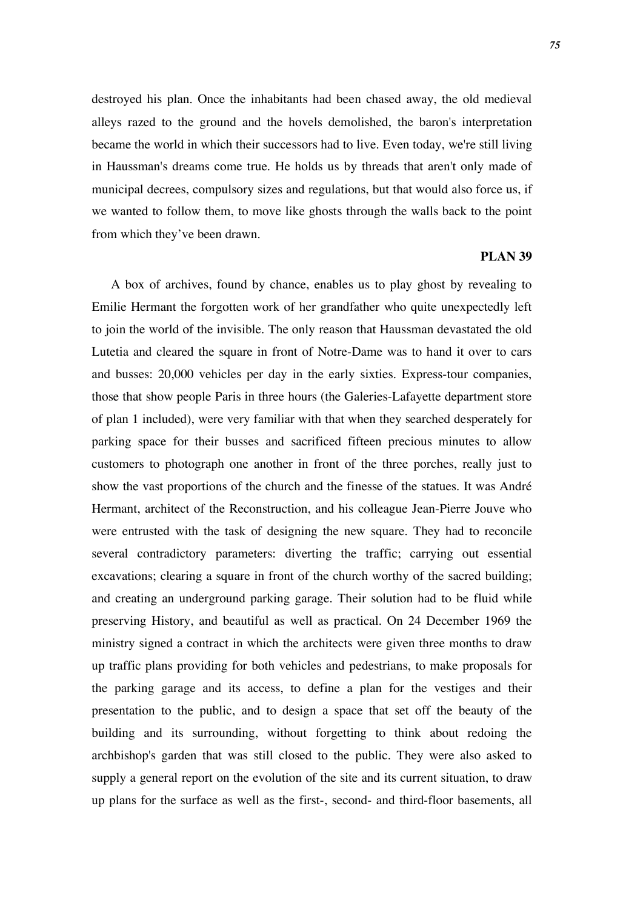destroyed his plan. Once the inhabitants had been chased away, the old medieval alleys razed to the ground and the hovels demolished, the baron's interpretation became the world in which their successors had to live. Even today, we're still living in Haussman's dreams come true. He holds us by threads that aren't only made of municipal decrees, compulsory sizes and regulations, but that would also force us, if we wanted to follow them, to move like ghosts through the walls back to the point from which they've been drawn.

## **PLAN 39**

A box of archives, found by chance, enables us to play ghost by revealing to Emilie Hermant the forgotten work of her grandfather who quite unexpectedly left to join the world of the invisible. The only reason that Haussman devastated the old Lutetia and cleared the square in front of Notre-Dame was to hand it over to cars and busses: 20,000 vehicles per day in the early sixties. Express-tour companies, those that show people Paris in three hours (the Galeries-Lafayette department store of plan 1 included), were very familiar with that when they searched desperately for parking space for their busses and sacrificed fifteen precious minutes to allow customers to photograph one another in front of the three porches, really just to show the vast proportions of the church and the finesse of the statues. It was André Hermant, architect of the Reconstruction, and his colleague Jean-Pierre Jouve who were entrusted with the task of designing the new square. They had to reconcile several contradictory parameters: diverting the traffic; carrying out essential excavations; clearing a square in front of the church worthy of the sacred building; and creating an underground parking garage. Their solution had to be fluid while preserving History, and beautiful as well as practical. On 24 December 1969 the ministry signed a contract in which the architects were given three months to draw up traffic plans providing for both vehicles and pedestrians, to make proposals for the parking garage and its access, to define a plan for the vestiges and their presentation to the public, and to design a space that set off the beauty of the building and its surrounding, without forgetting to think about redoing the archbishop's garden that was still closed to the public. They were also asked to supply a general report on the evolution of the site and its current situation, to draw up plans for the surface as well as the first-, second- and third-floor basements, all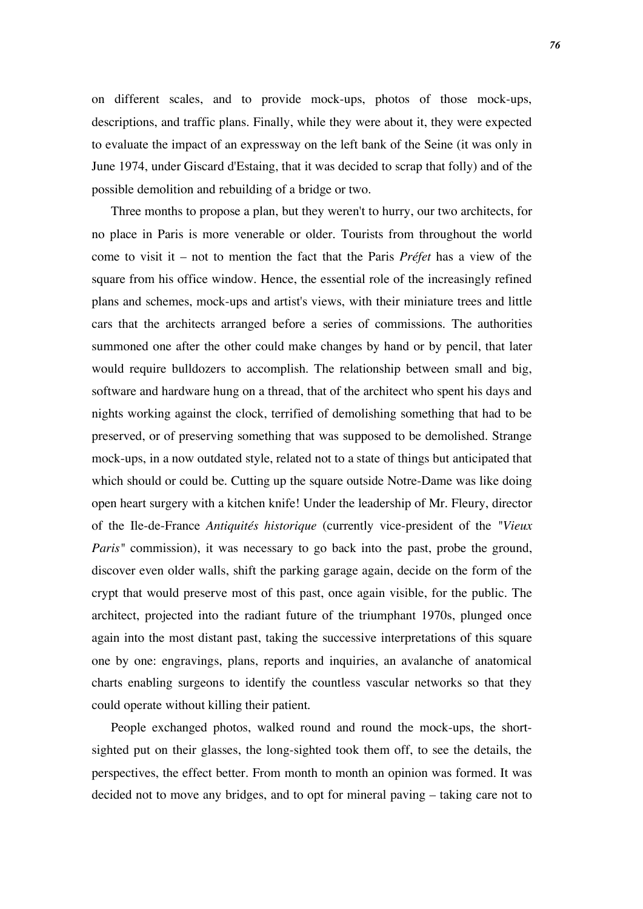on different scales, and to provide mock-ups, photos of those mock-ups, descriptions, and traffic plans. Finally, while they were about it, they were expected to evaluate the impact of an expressway on the left bank of the Seine (it was only in June 1974, under Giscard d'Estaing, that it was decided to scrap that folly) and of the possible demolition and rebuilding of a bridge or two.

Three months to propose a plan, but they weren't to hurry, our two architects, for no place in Paris is more venerable or older. Tourists from throughout the world come to visit it – not to mention the fact that the Paris *Préfet* has a view of the square from his office window. Hence, the essential role of the increasingly refined plans and schemes, mock-ups and artist's views, with their miniature trees and little cars that the architects arranged before a series of commissions. The authorities summoned one after the other could make changes by hand or by pencil, that later would require bulldozers to accomplish. The relationship between small and big, software and hardware hung on a thread, that of the architect who spent his days and nights working against the clock, terrified of demolishing something that had to be preserved, or of preserving something that was supposed to be demolished. Strange mock-ups, in a now outdated style, related not to a state of things but anticipated that which should or could be. Cutting up the square outside Notre-Dame was like doing open heart surgery with a kitchen knife! Under the leadership of Mr. Fleury, director of the Ile-de-France *Antiquités historique* (currently vice-president of the *"Vieux Paris*" commission), it was necessary to go back into the past, probe the ground, discover even older walls, shift the parking garage again, decide on the form of the crypt that would preserve most of this past, once again visible, for the public. The architect, projected into the radiant future of the triumphant 1970s, plunged once again into the most distant past, taking the successive interpretations of this square one by one: engravings, plans, reports and inquiries, an avalanche of anatomical charts enabling surgeons to identify the countless vascular networks so that they could operate without killing their patient.

People exchanged photos, walked round and round the mock-ups, the shortsighted put on their glasses, the long-sighted took them off, to see the details, the perspectives, the effect better. From month to month an opinion was formed. It was decided not to move any bridges, and to opt for mineral paving – taking care not to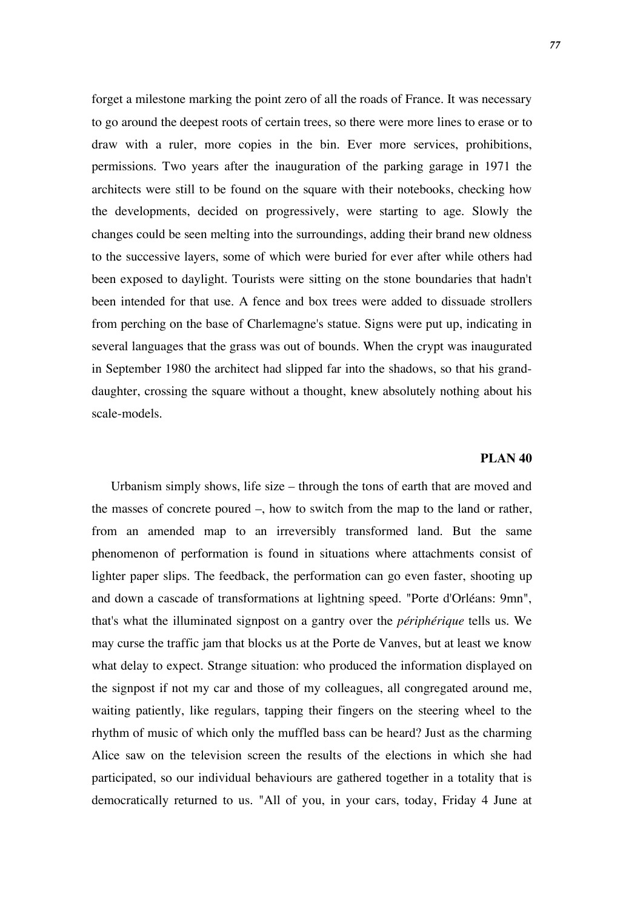forget a milestone marking the point zero of all the roads of France. It was necessary to go around the deepest roots of certain trees, so there were more lines to erase or to draw with a ruler, more copies in the bin. Ever more services, prohibitions, permissions. Two years after the inauguration of the parking garage in 1971 the architects were still to be found on the square with their notebooks, checking how the developments, decided on progressively, were starting to age. Slowly the changes could be seen melting into the surroundings, adding their brand new oldness to the successive layers, some of which were buried for ever after while others had been exposed to daylight. Tourists were sitting on the stone boundaries that hadn't been intended for that use. A fence and box trees were added to dissuade strollers from perching on the base of Charlemagne's statue. Signs were put up, indicating in several languages that the grass was out of bounds. When the crypt was inaugurated in September 1980 the architect had slipped far into the shadows, so that his granddaughter, crossing the square without a thought, knew absolutely nothing about his scale-models.

# **PLAN 40**

Urbanism simply shows, life size – through the tons of earth that are moved and the masses of concrete poured –, how to switch from the map to the land or rather, from an amended map to an irreversibly transformed land. But the same phenomenon of performation is found in situations where attachments consist of lighter paper slips. The feedback, the performation can go even faster, shooting up and down a cascade of transformations at lightning speed. "Porte d'Orléans: 9mn", that's what the illuminated signpost on a gantry over the *périphérique* tells us. We may curse the traffic jam that blocks us at the Porte de Vanves, but at least we know what delay to expect. Strange situation: who produced the information displayed on the signpost if not my car and those of my colleagues, all congregated around me, waiting patiently, like regulars, tapping their fingers on the steering wheel to the rhythm of music of which only the muffled bass can be heard? Just as the charming Alice saw on the television screen the results of the elections in which she had participated, so our individual behaviours are gathered together in a totality that is democratically returned to us. "All of you, in your cars, today, Friday 4 June at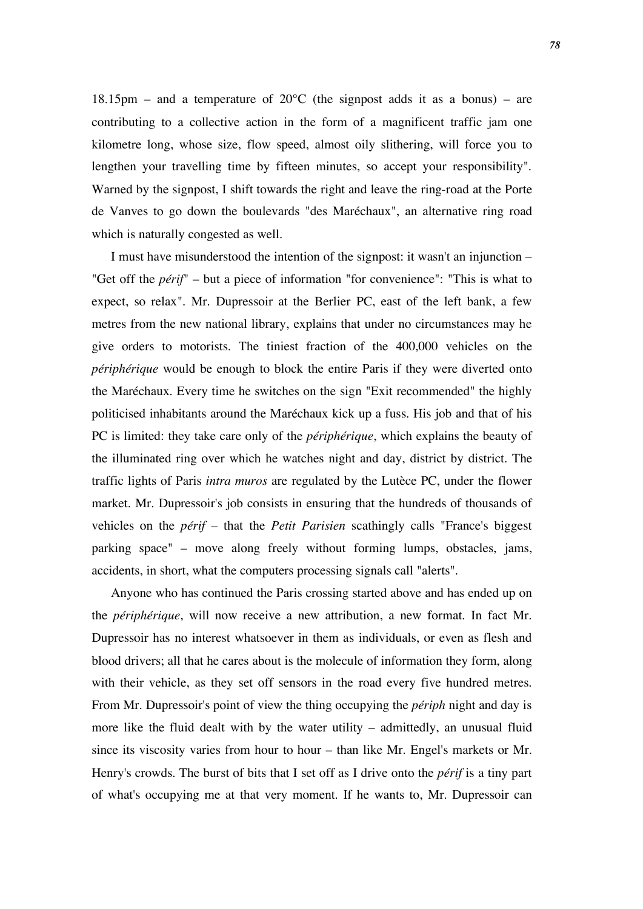18.15pm – and a temperature of  $20^{\circ}$ C (the signpost adds it as a bonus) – are contributing to a collective action in the form of a magnificent traffic jam one kilometre long, whose size, flow speed, almost oily slithering, will force you to lengthen your travelling time by fifteen minutes, so accept your responsibility". Warned by the signpost, I shift towards the right and leave the ring-road at the Porte de Vanves to go down the boulevards "des Maréchaux", an alternative ring road which is naturally congested as well.

I must have misunderstood the intention of the signpost: it wasn't an injunction – "Get off the *périf*" – but a piece of information "for convenience": "This is what to expect, so relax". Mr. Dupressoir at the Berlier PC, east of the left bank, a few metres from the new national library, explains that under no circumstances may he give orders to motorists. The tiniest fraction of the 400,000 vehicles on the *périphérique* would be enough to block the entire Paris if they were diverted onto the Maréchaux. Every time he switches on the sign "Exit recommended" the highly politicised inhabitants around the Maréchaux kick up a fuss. His job and that of his PC is limited: they take care only of the *périphérique*, which explains the beauty of the illuminated ring over which he watches night and day, district by district. The traffic lights of Paris *intra muros* are regulated by the Lutèce PC, under the flower market. Mr. Dupressoir's job consists in ensuring that the hundreds of thousands of vehicles on the *périf* – that the *Petit Parisien* scathingly calls "France's biggest parking space" – move along freely without forming lumps, obstacles, jams, accidents, in short, what the computers processing signals call "alerts".

Anyone who has continued the Paris crossing started above and has ended up on the *périphérique*, will now receive a new attribution, a new format. In fact Mr. Dupressoir has no interest whatsoever in them as individuals, or even as flesh and blood drivers; all that he cares about is the molecule of information they form, along with their vehicle, as they set off sensors in the road every five hundred metres. From Mr. Dupressoir's point of view the thing occupying the *périph* night and day is more like the fluid dealt with by the water utility – admittedly, an unusual fluid since its viscosity varies from hour to hour – than like Mr. Engel's markets or Mr. Henry's crowds. The burst of bits that I set off as I drive onto the *périf* is a tiny part of what's occupying me at that very moment. If he wants to, Mr. Dupressoir can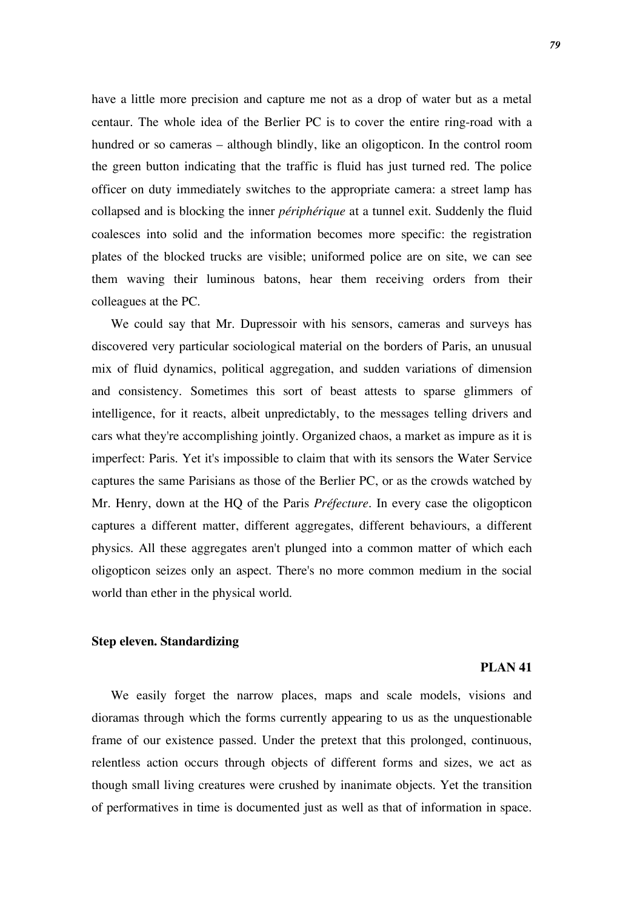have a little more precision and capture me not as a drop of water but as a metal centaur. The whole idea of the Berlier PC is to cover the entire ring-road with a hundred or so cameras – although blindly, like an oligopticon. In the control room the green button indicating that the traffic is fluid has just turned red. The police officer on duty immediately switches to the appropriate camera: a street lamp has collapsed and is blocking the inner *périphérique* at a tunnel exit. Suddenly the fluid coalesces into solid and the information becomes more specific: the registration plates of the blocked trucks are visible; uniformed police are on site, we can see them waving their luminous batons, hear them receiving orders from their colleagues at the PC.

We could say that Mr. Dupressoir with his sensors, cameras and surveys has discovered very particular sociological material on the borders of Paris, an unusual mix of fluid dynamics, political aggregation, and sudden variations of dimension and consistency. Sometimes this sort of beast attests to sparse glimmers of intelligence, for it reacts, albeit unpredictably, to the messages telling drivers and cars what they're accomplishing jointly. Organized chaos, a market as impure as it is imperfect: Paris. Yet it's impossible to claim that with its sensors the Water Service captures the same Parisians as those of the Berlier PC, or as the crowds watched by Mr. Henry, down at the HQ of the Paris *Préfecture*. In every case the oligopticon captures a different matter, different aggregates, different behaviours, a different physics. All these aggregates aren't plunged into a common matter of which each oligopticon seizes only an aspect. There's no more common medium in the social world than ether in the physical world.

### **Step eleven. Standardizing**

#### **PLAN 41**

We easily forget the narrow places, maps and scale models, visions and dioramas through which the forms currently appearing to us as the unquestionable frame of our existence passed. Under the pretext that this prolonged, continuous, relentless action occurs through objects of different forms and sizes, we act as though small living creatures were crushed by inanimate objects. Yet the transition of performatives in time is documented just as well as that of information in space.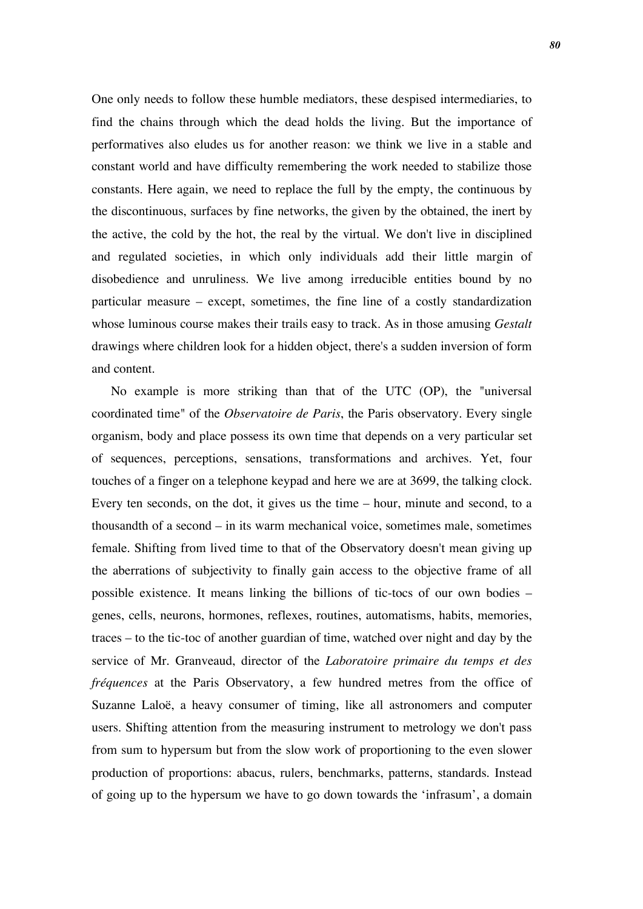One only needs to follow these humble mediators, these despised intermediaries, to find the chains through which the dead holds the living. But the importance of performatives also eludes us for another reason: we think we live in a stable and constant world and have difficulty remembering the work needed to stabilize those constants. Here again, we need to replace the full by the empty, the continuous by the discontinuous, surfaces by fine networks, the given by the obtained, the inert by the active, the cold by the hot, the real by the virtual. We don't live in disciplined and regulated societies, in which only individuals add their little margin of disobedience and unruliness. We live among irreducible entities bound by no particular measure – except, sometimes, the fine line of a costly standardization whose luminous course makes their trails easy to track. As in those amusing *Gestalt* drawings where children look for a hidden object, there's a sudden inversion of form and content.

No example is more striking than that of the UTC (OP), the "universal coordinated time" of the *Observatoire de Paris*, the Paris observatory. Every single organism, body and place possess its own time that depends on a very particular set of sequences, perceptions, sensations, transformations and archives. Yet, four touches of a finger on a telephone keypad and here we are at 3699, the talking clock. Every ten seconds, on the dot, it gives us the time – hour, minute and second, to a thousandth of a second – in its warm mechanical voice, sometimes male, sometimes female. Shifting from lived time to that of the Observatory doesn't mean giving up the aberrations of subjectivity to finally gain access to the objective frame of all possible existence. It means linking the billions of tic-tocs of our own bodies – genes, cells, neurons, hormones, reflexes, routines, automatisms, habits, memories, traces – to the tic-toc of another guardian of time, watched over night and day by the service of Mr. Granveaud, director of the *Laboratoire primaire du temps et des fréquences* at the Paris Observatory, a few hundred metres from the office of Suzanne Laloë, a heavy consumer of timing, like all astronomers and computer users. Shifting attention from the measuring instrument to metrology we don't pass from sum to hypersum but from the slow work of proportioning to the even slower production of proportions: abacus, rulers, benchmarks, patterns, standards. Instead of going up to the hypersum we have to go down towards the 'infrasum', a domain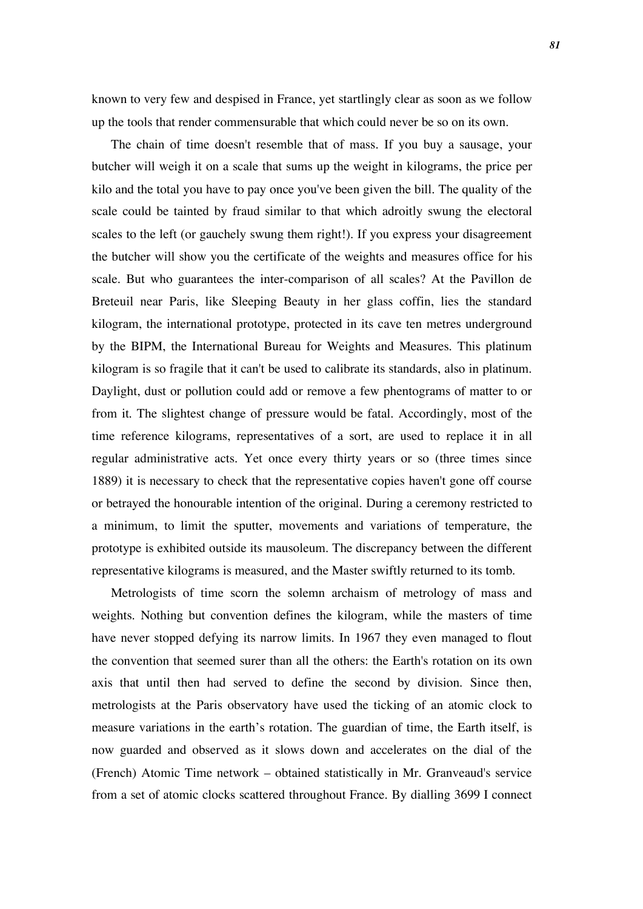known to very few and despised in France, yet startlingly clear as soon as we follow up the tools that render commensurable that which could never be so on its own.

The chain of time doesn't resemble that of mass. If you buy a sausage, your butcher will weigh it on a scale that sums up the weight in kilograms, the price per kilo and the total you have to pay once you've been given the bill. The quality of the scale could be tainted by fraud similar to that which adroitly swung the electoral scales to the left (or gauchely swung them right!). If you express your disagreement the butcher will show you the certificate of the weights and measures office for his scale. But who guarantees the inter-comparison of all scales? At the Pavillon de Breteuil near Paris, like Sleeping Beauty in her glass coffin, lies the standard kilogram, the international prototype, protected in its cave ten metres underground by the BIPM, the International Bureau for Weights and Measures. This platinum kilogram is so fragile that it can't be used to calibrate its standards, also in platinum. Daylight, dust or pollution could add or remove a few phentograms of matter to or from it. The slightest change of pressure would be fatal. Accordingly, most of the time reference kilograms, representatives of a sort, are used to replace it in all regular administrative acts. Yet once every thirty years or so (three times since 1889) it is necessary to check that the representative copies haven't gone off course or betrayed the honourable intention of the original. During a ceremony restricted to a minimum, to limit the sputter, movements and variations of temperature, the prototype is exhibited outside its mausoleum. The discrepancy between the different representative kilograms is measured, and the Master swiftly returned to its tomb.

Metrologists of time scorn the solemn archaism of metrology of mass and weights. Nothing but convention defines the kilogram, while the masters of time have never stopped defying its narrow limits. In 1967 they even managed to flout the convention that seemed surer than all the others: the Earth's rotation on its own axis that until then had served to define the second by division. Since then, metrologists at the Paris observatory have used the ticking of an atomic clock to measure variations in the earth's rotation. The guardian of time, the Earth itself, is now guarded and observed as it slows down and accelerates on the dial of the (French) Atomic Time network – obtained statistically in Mr. Granveaud's service from a set of atomic clocks scattered throughout France. By dialling 3699 I connect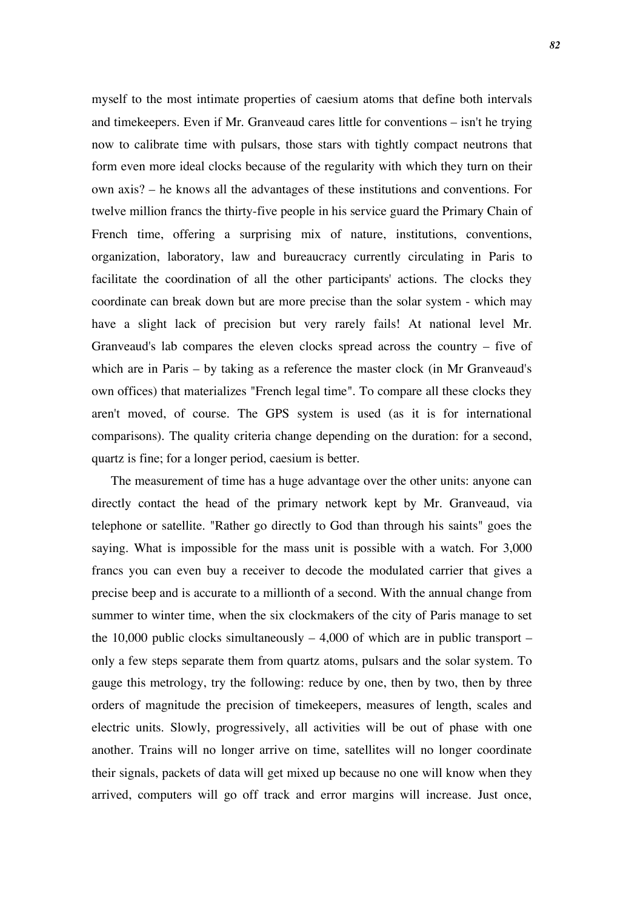myself to the most intimate properties of caesium atoms that define both intervals and timekeepers. Even if Mr. Granveaud cares little for conventions – isn't he trying now to calibrate time with pulsars, those stars with tightly compact neutrons that form even more ideal clocks because of the regularity with which they turn on their own axis? – he knows all the advantages of these institutions and conventions. For twelve million francs the thirty-five people in his service guard the Primary Chain of French time, offering a surprising mix of nature, institutions, conventions, organization, laboratory, law and bureaucracy currently circulating in Paris to facilitate the coordination of all the other participants' actions. The clocks they coordinate can break down but are more precise than the solar system - which may have a slight lack of precision but very rarely fails! At national level Mr. Granveaud's lab compares the eleven clocks spread across the country – five of which are in Paris – by taking as a reference the master clock (in Mr Granveaud's own offices) that materializes "French legal time". To compare all these clocks they aren't moved, of course. The GPS system is used (as it is for international comparisons). The quality criteria change depending on the duration: for a second, quartz is fine; for a longer period, caesium is better.

The measurement of time has a huge advantage over the other units: anyone can directly contact the head of the primary network kept by Mr. Granveaud, via telephone or satellite. "Rather go directly to God than through his saints" goes the saying. What is impossible for the mass unit is possible with a watch. For 3,000 francs you can even buy a receiver to decode the modulated carrier that gives a precise beep and is accurate to a millionth of a second. With the annual change from summer to winter time, when the six clockmakers of the city of Paris manage to set the 10,000 public clocks simultaneously  $-4,000$  of which are in public transport – only a few steps separate them from quartz atoms, pulsars and the solar system. To gauge this metrology, try the following: reduce by one, then by two, then by three orders of magnitude the precision of timekeepers, measures of length, scales and electric units. Slowly, progressively, all activities will be out of phase with one another. Trains will no longer arrive on time, satellites will no longer coordinate their signals, packets of data will get mixed up because no one will know when they arrived, computers will go off track and error margins will increase. Just once,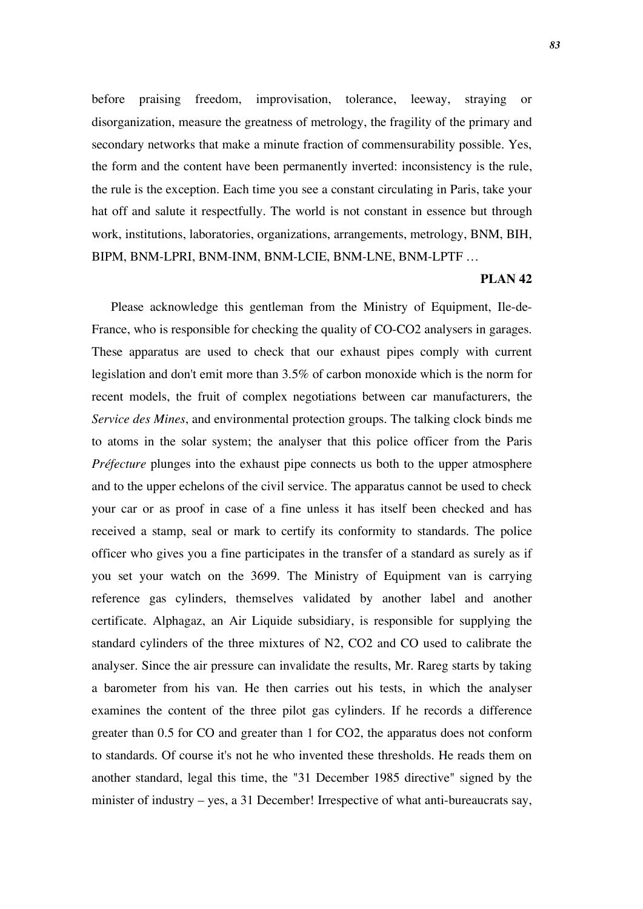before praising freedom, improvisation, tolerance, leeway, straying or disorganization, measure the greatness of metrology, the fragility of the primary and secondary networks that make a minute fraction of commensurability possible. Yes, the form and the content have been permanently inverted: inconsistency is the rule, the rule is the exception. Each time you see a constant circulating in Paris, take your hat off and salute it respectfully. The world is not constant in essence but through work, institutions, laboratories, organizations, arrangements, metrology, BNM, BIH, BIPM, BNM-LPRI, BNM-INM, BNM-LCIE, BNM-LNE, BNM-LPTF …

### **PLAN 42**

Please acknowledge this gentleman from the Ministry of Equipment, Ile-de-France, who is responsible for checking the quality of CO-CO2 analysers in garages. These apparatus are used to check that our exhaust pipes comply with current legislation and don't emit more than 3.5% of carbon monoxide which is the norm for recent models, the fruit of complex negotiations between car manufacturers, the *Service des Mines*, and environmental protection groups. The talking clock binds me to atoms in the solar system; the analyser that this police officer from the Paris *Préfecture* plunges into the exhaust pipe connects us both to the upper atmosphere and to the upper echelons of the civil service. The apparatus cannot be used to check your car or as proof in case of a fine unless it has itself been checked and has received a stamp, seal or mark to certify its conformity to standards. The police officer who gives you a fine participates in the transfer of a standard as surely as if you set your watch on the 3699. The Ministry of Equipment van is carrying reference gas cylinders, themselves validated by another label and another certificate. Alphagaz, an Air Liquide subsidiary, is responsible for supplying the standard cylinders of the three mixtures of N2, CO2 and CO used to calibrate the analyser. Since the air pressure can invalidate the results, Mr. Rareg starts by taking a barometer from his van. He then carries out his tests, in which the analyser examines the content of the three pilot gas cylinders. If he records a difference greater than 0.5 for CO and greater than 1 for CO2, the apparatus does not conform to standards. Of course it's not he who invented these thresholds. He reads them on another standard, legal this time, the "31 December 1985 directive" signed by the minister of industry – yes, a 31 December! Irrespective of what anti-bureaucrats say,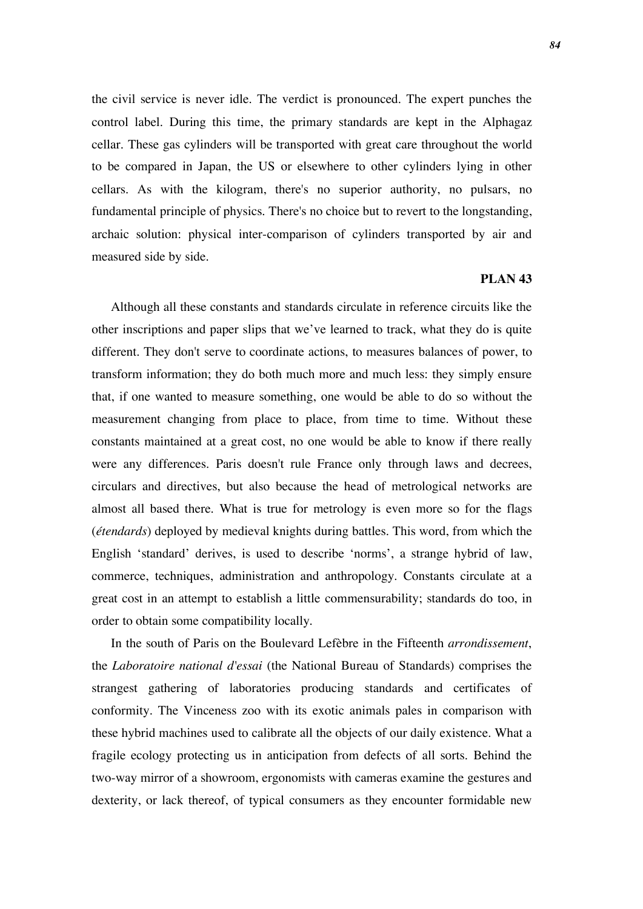the civil service is never idle. The verdict is pronounced. The expert punches the control label. During this time, the primary standards are kept in the Alphagaz cellar. These gas cylinders will be transported with great care throughout the world to be compared in Japan, the US or elsewhere to other cylinders lying in other cellars. As with the kilogram, there's no superior authority, no pulsars, no fundamental principle of physics. There's no choice but to revert to the longstanding, archaic solution: physical inter-comparison of cylinders transported by air and measured side by side.

## **PLAN 43**

Although all these constants and standards circulate in reference circuits like the other inscriptions and paper slips that we've learned to track, what they do is quite different. They don't serve to coordinate actions, to measures balances of power, to transform information; they do both much more and much less: they simply ensure that, if one wanted to measure something, one would be able to do so without the measurement changing from place to place, from time to time. Without these constants maintained at a great cost, no one would be able to know if there really were any differences. Paris doesn't rule France only through laws and decrees, circulars and directives, but also because the head of metrological networks are almost all based there. What is true for metrology is even more so for the flags (*étendards*) deployed by medieval knights during battles. This word, from which the English 'standard' derives, is used to describe 'norms', a strange hybrid of law, commerce, techniques, administration and anthropology. Constants circulate at a great cost in an attempt to establish a little commensurability; standards do too, in order to obtain some compatibility locally.

In the south of Paris on the Boulevard Lefèbre in the Fifteenth *arrondissement*, the *Laboratoire national d'essai* (the National Bureau of Standards) comprises the strangest gathering of laboratories producing standards and certificates of conformity. The Vinceness zoo with its exotic animals pales in comparison with these hybrid machines used to calibrate all the objects of our daily existence. What a fragile ecology protecting us in anticipation from defects of all sorts. Behind the two-way mirror of a showroom, ergonomists with cameras examine the gestures and dexterity, or lack thereof, of typical consumers as they encounter formidable new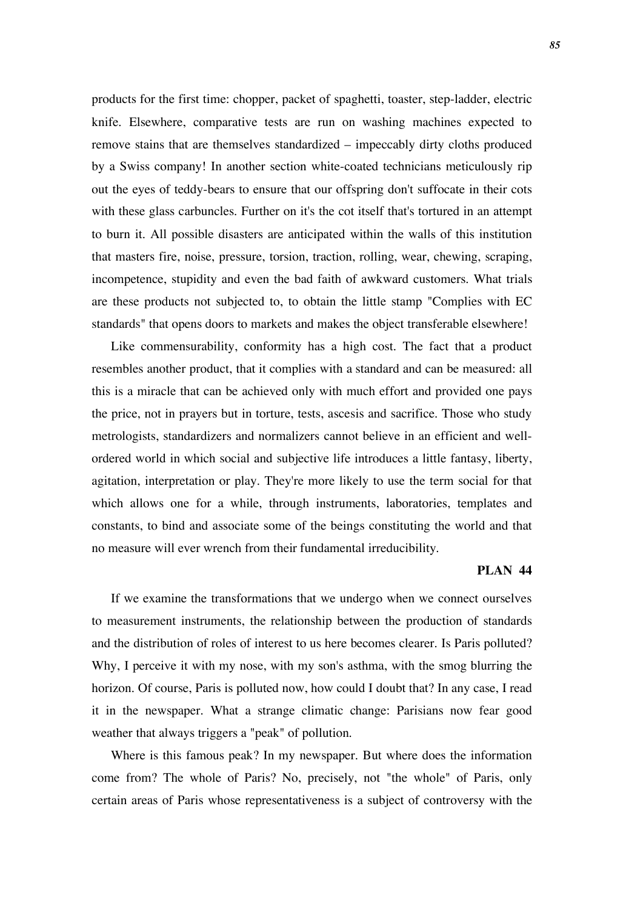products for the first time: chopper, packet of spaghetti, toaster, step-ladder, electric knife. Elsewhere, comparative tests are run on washing machines expected to remove stains that are themselves standardized – impeccably dirty cloths produced by a Swiss company! In another section white-coated technicians meticulously rip out the eyes of teddy-bears to ensure that our offspring don't suffocate in their cots with these glass carbuncles. Further on it's the cot itself that's tortured in an attempt to burn it. All possible disasters are anticipated within the walls of this institution that masters fire, noise, pressure, torsion, traction, rolling, wear, chewing, scraping, incompetence, stupidity and even the bad faith of awkward customers. What trials are these products not subjected to, to obtain the little stamp "Complies with EC standards" that opens doors to markets and makes the object transferable elsewhere!

Like commensurability, conformity has a high cost. The fact that a product resembles another product, that it complies with a standard and can be measured: all this is a miracle that can be achieved only with much effort and provided one pays the price, not in prayers but in torture, tests, ascesis and sacrifice. Those who study metrologists, standardizers and normalizers cannot believe in an efficient and wellordered world in which social and subjective life introduces a little fantasy, liberty, agitation, interpretation or play. They're more likely to use the term social for that which allows one for a while, through instruments, laboratories, templates and constants, to bind and associate some of the beings constituting the world and that no measure will ever wrench from their fundamental irreducibility.

### **PLAN 44**

If we examine the transformations that we undergo when we connect ourselves to measurement instruments, the relationship between the production of standards and the distribution of roles of interest to us here becomes clearer. Is Paris polluted? Why, I perceive it with my nose, with my son's asthma, with the smog blurring the horizon. Of course, Paris is polluted now, how could I doubt that? In any case, I read it in the newspaper. What a strange climatic change: Parisians now fear good weather that always triggers a "peak" of pollution.

Where is this famous peak? In my newspaper. But where does the information come from? The whole of Paris? No, precisely, not "the whole" of Paris, only certain areas of Paris whose representativeness is a subject of controversy with the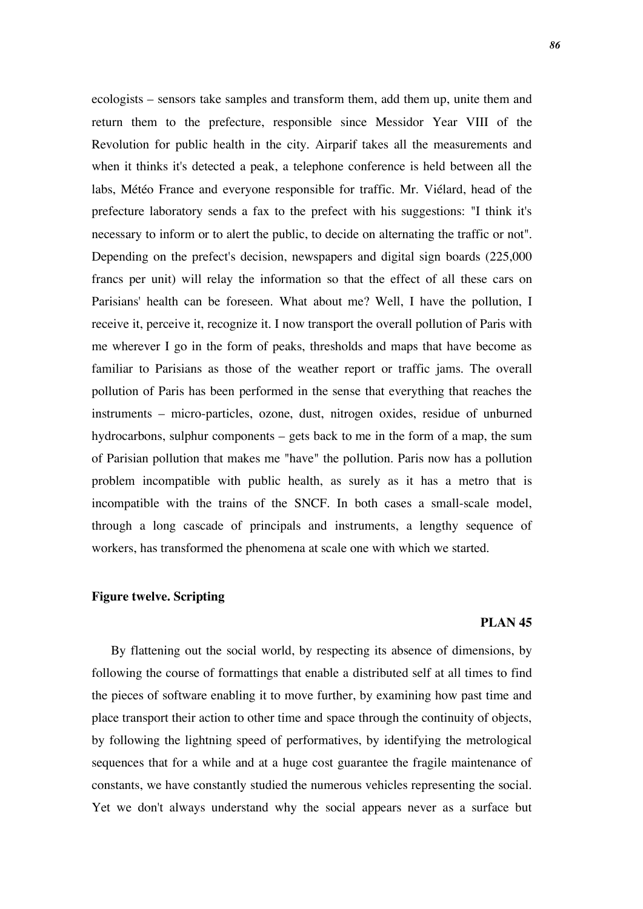ecologists – sensors take samples and transform them, add them up, unite them and return them to the prefecture, responsible since Messidor Year VIII of the Revolution for public health in the city. Airparif takes all the measurements and when it thinks it's detected a peak, a telephone conference is held between all the labs, Météo France and everyone responsible for traffic. Mr. Viélard, head of the prefecture laboratory sends a fax to the prefect with his suggestions: "I think it's necessary to inform or to alert the public, to decide on alternating the traffic or not". Depending on the prefect's decision, newspapers and digital sign boards (225,000 francs per unit) will relay the information so that the effect of all these cars on Parisians' health can be foreseen. What about me? Well, I have the pollution, I receive it, perceive it, recognize it. I now transport the overall pollution of Paris with me wherever I go in the form of peaks, thresholds and maps that have become as familiar to Parisians as those of the weather report or traffic jams. The overall pollution of Paris has been performed in the sense that everything that reaches the instruments – micro-particles, ozone, dust, nitrogen oxides, residue of unburned hydrocarbons, sulphur components – gets back to me in the form of a map, the sum of Parisian pollution that makes me "have" the pollution. Paris now has a pollution problem incompatible with public health, as surely as it has a metro that is incompatible with the trains of the SNCF. In both cases a small-scale model, through a long cascade of principals and instruments, a lengthy sequence of workers, has transformed the phenomena at scale one with which we started.

## **Figure twelve. Scripting**

### **PLAN 45**

By flattening out the social world, by respecting its absence of dimensions, by following the course of formattings that enable a distributed self at all times to find the pieces of software enabling it to move further, by examining how past time and place transport their action to other time and space through the continuity of objects, by following the lightning speed of performatives, by identifying the metrological sequences that for a while and at a huge cost guarantee the fragile maintenance of constants, we have constantly studied the numerous vehicles representing the social. Yet we don't always understand why the social appears never as a surface but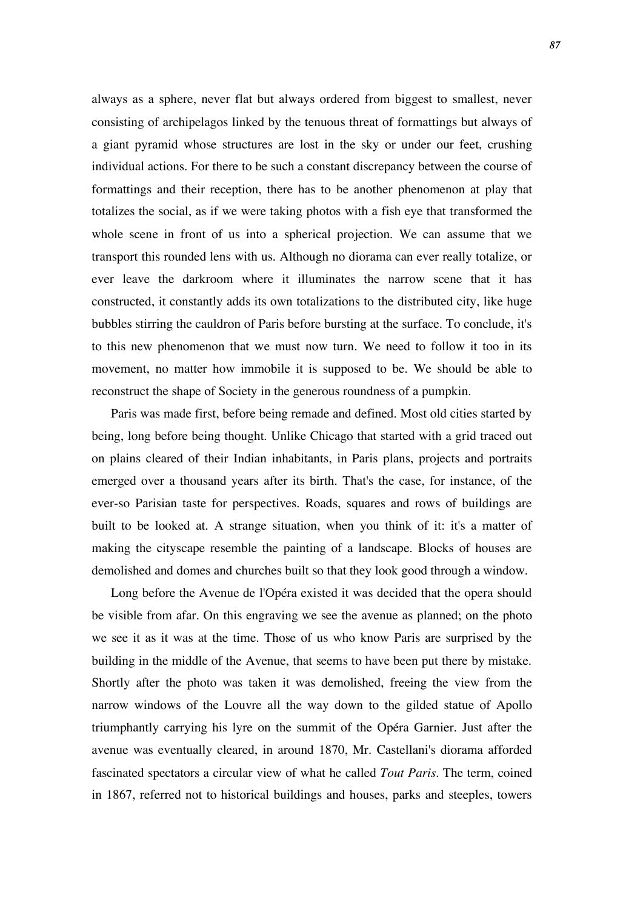always as a sphere, never flat but always ordered from biggest to smallest, never consisting of archipelagos linked by the tenuous threat of formattings but always of a giant pyramid whose structures are lost in the sky or under our feet, crushing individual actions. For there to be such a constant discrepancy between the course of formattings and their reception, there has to be another phenomenon at play that totalizes the social, as if we were taking photos with a fish eye that transformed the whole scene in front of us into a spherical projection. We can assume that we transport this rounded lens with us. Although no diorama can ever really totalize, or ever leave the darkroom where it illuminates the narrow scene that it has constructed, it constantly adds its own totalizations to the distributed city, like huge bubbles stirring the cauldron of Paris before bursting at the surface. To conclude, it's to this new phenomenon that we must now turn. We need to follow it too in its movement, no matter how immobile it is supposed to be. We should be able to reconstruct the shape of Society in the generous roundness of a pumpkin.

Paris was made first, before being remade and defined. Most old cities started by being, long before being thought. Unlike Chicago that started with a grid traced out on plains cleared of their Indian inhabitants, in Paris plans, projects and portraits emerged over a thousand years after its birth. That's the case, for instance, of the ever-so Parisian taste for perspectives. Roads, squares and rows of buildings are built to be looked at. A strange situation, when you think of it: it's a matter of making the cityscape resemble the painting of a landscape. Blocks of houses are demolished and domes and churches built so that they look good through a window.

Long before the Avenue de l'Opéra existed it was decided that the opera should be visible from afar. On this engraving we see the avenue as planned; on the photo we see it as it was at the time. Those of us who know Paris are surprised by the building in the middle of the Avenue, that seems to have been put there by mistake. Shortly after the photo was taken it was demolished, freeing the view from the narrow windows of the Louvre all the way down to the gilded statue of Apollo triumphantly carrying his lyre on the summit of the Opéra Garnier. Just after the avenue was eventually cleared, in around 1870, Mr. Castellani's diorama afforded fascinated spectators a circular view of what he called *Tout Paris*. The term, coined in 1867, referred not to historical buildings and houses, parks and steeples, towers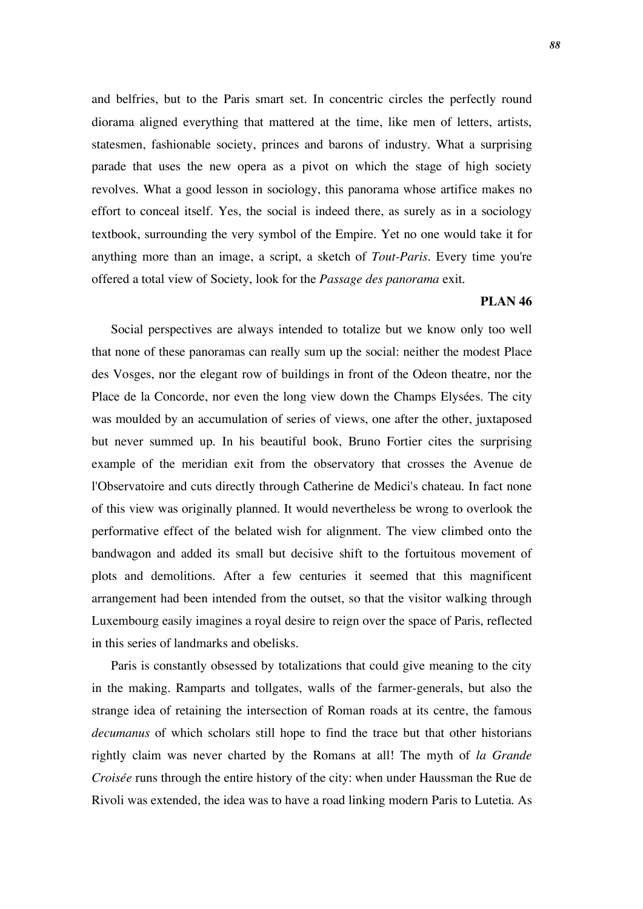and belfries, but to the Paris smart set. In concentric circles the perfectly round diorama aligned everything that mattered at the time, like men of letters, artists, statesmen, fashionable society, princes and barons of industry. What a surprising parade that uses the new opera as a pivot on which the stage of high society revolves. What a good lesson in sociology, this panorama whose artifice makes no effort to conceal itself. Yes, the social is indeed there, as surely as in a sociology textbook, surrounding the very symbol of the Empire. Yet no one would take it for anything more than an image, a script, a sketch of *Tout-Paris*. Every time you're offered a total view of Society, look for the *Passage des panorama* exit.

## **PLAN 46**

Social perspectives are always intended to totalize but we know only too well that none of these panoramas can really sum up the social: neither the modest Place des Vosges, nor the elegant row of buildings in front of the Odeon theatre, nor the Place de la Concorde, nor even the long view down the Champs Elysées. The city was moulded by an accumulation of series of views, one after the other, juxtaposed but never summed up. In his beautiful book, Bruno Fortier cites the surprising example of the meridian exit from the observatory that crosses the Avenue de l'Observatoire and cuts directly through Catherine de Medici's chateau. In fact none of this view was originally planned. It would nevertheless be wrong to overlook the performative effect of the belated wish for alignment. The view climbed onto the bandwagon and added its small but decisive shift to the fortuitous movement of plots and demolitions. After a few centuries it seemed that this magnificent arrangement had been intended from the outset, so that the visitor walking through Luxembourg easily imagines a royal desire to reign over the space of Paris, reflected in this series of landmarks and obelisks.

Paris is constantly obsessed by totalizations that could give meaning to the city in the making. Ramparts and tollgates, walls of the farmer-generals, but also the strange idea of retaining the intersection of Roman roads at its centre, the famous *decumanus* of which scholars still hope to find the trace but that other historians rightly claim was never charted by the Romans at all! The myth of *la Grande Croisée* runs through the entire history of the city: when under Haussman the Rue de Rivoli was extended, the idea was to have a road linking modern Paris to Lutetia. As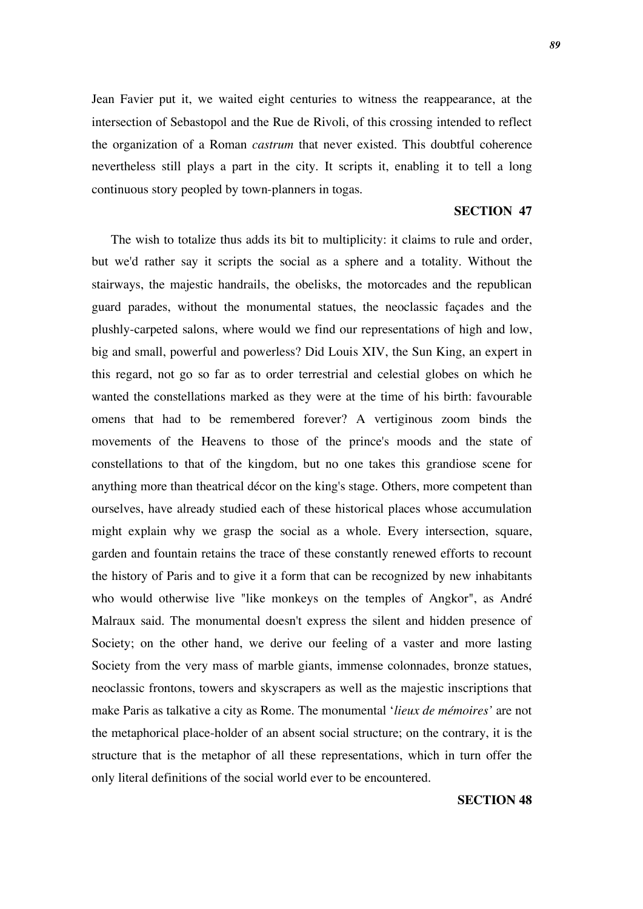Jean Favier put it, we waited eight centuries to witness the reappearance, at the intersection of Sebastopol and the Rue de Rivoli, of this crossing intended to reflect the organization of a Roman *castrum* that never existed. This doubtful coherence nevertheless still plays a part in the city. It scripts it, enabling it to tell a long continuous story peopled by town-planners in togas.

# **SECTION 47**

The wish to totalize thus adds its bit to multiplicity: it claims to rule and order, but we'd rather say it scripts the social as a sphere and a totality. Without the stairways, the majestic handrails, the obelisks, the motorcades and the republican guard parades, without the monumental statues, the neoclassic façades and the plushly-carpeted salons, where would we find our representations of high and low, big and small, powerful and powerless? Did Louis XIV, the Sun King, an expert in this regard, not go so far as to order terrestrial and celestial globes on which he wanted the constellations marked as they were at the time of his birth: favourable omens that had to be remembered forever? A vertiginous zoom binds the movements of the Heavens to those of the prince's moods and the state of constellations to that of the kingdom, but no one takes this grandiose scene for anything more than theatrical décor on the king's stage. Others, more competent than ourselves, have already studied each of these historical places whose accumulation might explain why we grasp the social as a whole. Every intersection, square, garden and fountain retains the trace of these constantly renewed efforts to recount the history of Paris and to give it a form that can be recognized by new inhabitants who would otherwise live "like monkeys on the temples of Angkor", as André Malraux said. The monumental doesn't express the silent and hidden presence of Society; on the other hand, we derive our feeling of a vaster and more lasting Society from the very mass of marble giants, immense colonnades, bronze statues, neoclassic frontons, towers and skyscrapers as well as the majestic inscriptions that make Paris as talkative a city as Rome. The monumental '*lieux de mémoires'* are not the metaphorical place-holder of an absent social structure; on the contrary, it is the structure that is the metaphor of all these representations, which in turn offer the only literal definitions of the social world ever to be encountered.

### **SECTION 48**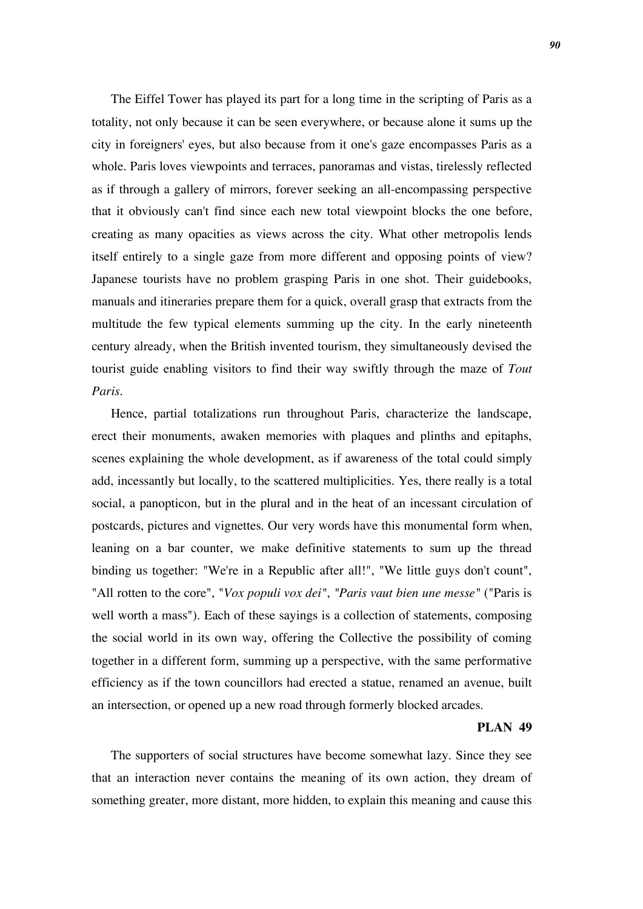The Eiffel Tower has played its part for a long time in the scripting of Paris as a totality, not only because it can be seen everywhere, or because alone it sums up the city in foreigners' eyes, but also because from it one's gaze encompasses Paris as a whole. Paris loves viewpoints and terraces, panoramas and vistas, tirelessly reflected as if through a gallery of mirrors, forever seeking an all-encompassing perspective that it obviously can't find since each new total viewpoint blocks the one before, creating as many opacities as views across the city. What other metropolis lends itself entirely to a single gaze from more different and opposing points of view? Japanese tourists have no problem grasping Paris in one shot. Their guidebooks, manuals and itineraries prepare them for a quick, overall grasp that extracts from the multitude the few typical elements summing up the city. In the early nineteenth century already, when the British invented tourism, they simultaneously devised the tourist guide enabling visitors to find their way swiftly through the maze of *Tout Paris.*

Hence, partial totalizations run throughout Paris, characterize the landscape, erect their monuments, awaken memories with plaques and plinths and epitaphs, scenes explaining the whole development, as if awareness of the total could simply add, incessantly but locally, to the scattered multiplicities. Yes, there really is a total social, a panopticon, but in the plural and in the heat of an incessant circulation of postcards, pictures and vignettes. Our very words have this monumental form when, leaning on a bar counter, we make definitive statements to sum up the thread binding us together: "We're in a Republic after all!", "We little guys don't count", "All rotten to the core", "*Vox populi vox dei"*, *"Paris vaut bien une messe"* ("Paris is well worth a mass"). Each of these sayings is a collection of statements, composing the social world in its own way, offering the Collective the possibility of coming together in a different form, summing up a perspective, with the same performative efficiency as if the town councillors had erected a statue, renamed an avenue, built an intersection, or opened up a new road through formerly blocked arcades.

#### **PLAN 49**

The supporters of social structures have become somewhat lazy. Since they see that an interaction never contains the meaning of its own action, they dream of something greater, more distant, more hidden, to explain this meaning and cause this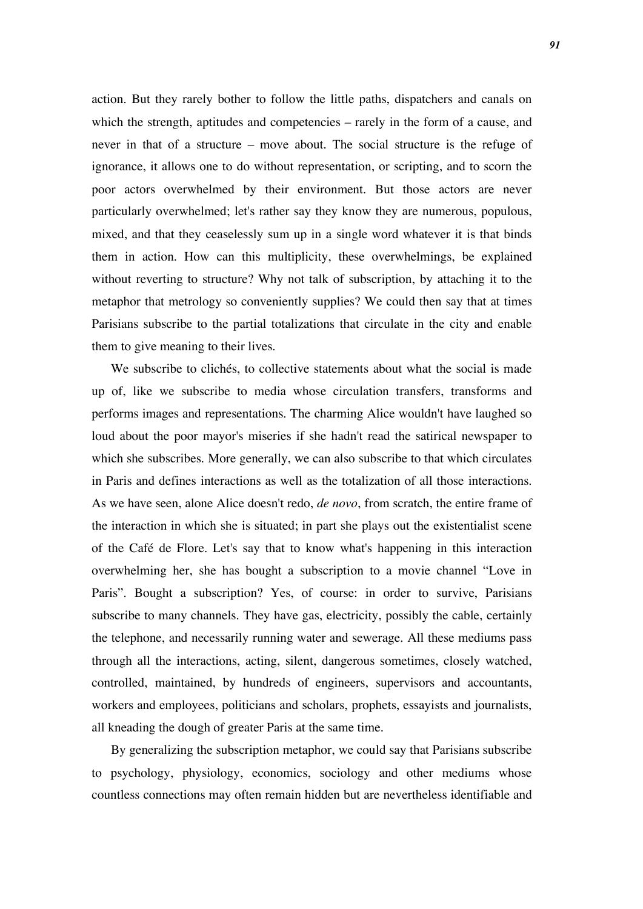action. But they rarely bother to follow the little paths, dispatchers and canals on which the strength, aptitudes and competencies – rarely in the form of a cause, and never in that of a structure – move about. The social structure is the refuge of ignorance, it allows one to do without representation, or scripting, and to scorn the poor actors overwhelmed by their environment. But those actors are never particularly overwhelmed; let's rather say they know they are numerous, populous, mixed, and that they ceaselessly sum up in a single word whatever it is that binds them in action. How can this multiplicity, these overwhelmings, be explained without reverting to structure? Why not talk of subscription, by attaching it to the metaphor that metrology so conveniently supplies? We could then say that at times Parisians subscribe to the partial totalizations that circulate in the city and enable them to give meaning to their lives.

We subscribe to clichés, to collective statements about what the social is made up of, like we subscribe to media whose circulation transfers, transforms and performs images and representations. The charming Alice wouldn't have laughed so loud about the poor mayor's miseries if she hadn't read the satirical newspaper to which she subscribes. More generally, we can also subscribe to that which circulates in Paris and defines interactions as well as the totalization of all those interactions. As we have seen, alone Alice doesn't redo, *de novo*, from scratch, the entire frame of the interaction in which she is situated; in part she plays out the existentialist scene of the Café de Flore. Let's say that to know what's happening in this interaction overwhelming her, she has bought a subscription to a movie channel "Love in Paris". Bought a subscription? Yes, of course: in order to survive, Parisians subscribe to many channels. They have gas, electricity, possibly the cable, certainly the telephone, and necessarily running water and sewerage. All these mediums pass through all the interactions, acting, silent, dangerous sometimes, closely watched, controlled, maintained, by hundreds of engineers, supervisors and accountants, workers and employees, politicians and scholars, prophets, essayists and journalists, all kneading the dough of greater Paris at the same time.

By generalizing the subscription metaphor, we could say that Parisians subscribe to psychology, physiology, economics, sociology and other mediums whose countless connections may often remain hidden but are nevertheless identifiable and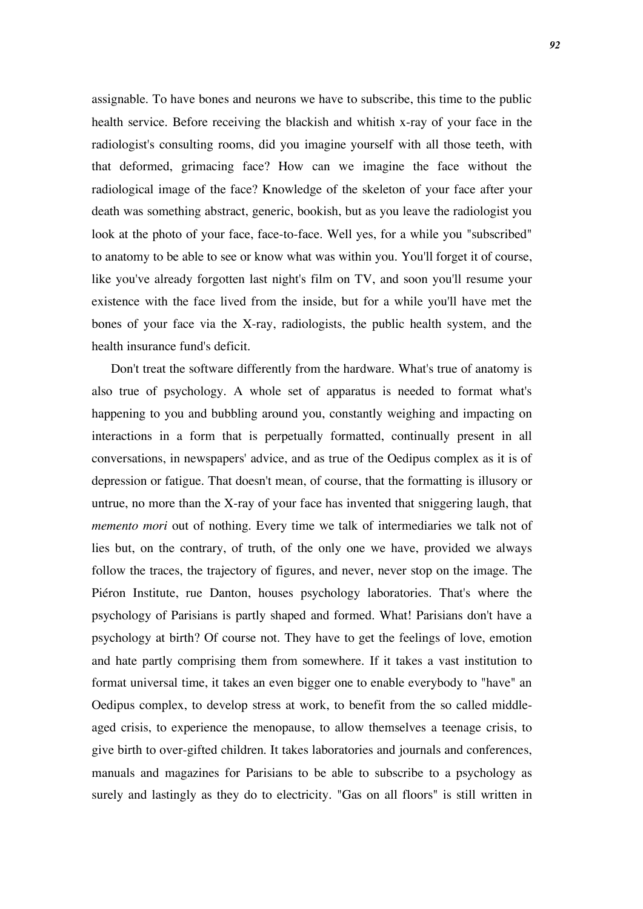assignable. To have bones and neurons we have to subscribe, this time to the public health service. Before receiving the blackish and whitish x-ray of your face in the radiologist's consulting rooms, did you imagine yourself with all those teeth, with that deformed, grimacing face? How can we imagine the face without the radiological image of the face? Knowledge of the skeleton of your face after your death was something abstract, generic, bookish, but as you leave the radiologist you look at the photo of your face, face-to-face. Well yes, for a while you "subscribed" to anatomy to be able to see or know what was within you. You'll forget it of course, like you've already forgotten last night's film on TV, and soon you'll resume your existence with the face lived from the inside, but for a while you'll have met the bones of your face via the X-ray, radiologists, the public health system, and the health insurance fund's deficit.

Don't treat the software differently from the hardware. What's true of anatomy is also true of psychology. A whole set of apparatus is needed to format what's happening to you and bubbling around you, constantly weighing and impacting on interactions in a form that is perpetually formatted, continually present in all conversations, in newspapers' advice, and as true of the Oedipus complex as it is of depression or fatigue. That doesn't mean, of course, that the formatting is illusory or untrue, no more than the X-ray of your face has invented that sniggering laugh, that *memento mori* out of nothing. Every time we talk of intermediaries we talk not of lies but, on the contrary, of truth, of the only one we have, provided we always follow the traces, the trajectory of figures, and never, never stop on the image. The Piéron Institute, rue Danton, houses psychology laboratories. That's where the psychology of Parisians is partly shaped and formed. What! Parisians don't have a psychology at birth? Of course not. They have to get the feelings of love, emotion and hate partly comprising them from somewhere. If it takes a vast institution to format universal time, it takes an even bigger one to enable everybody to "have" an Oedipus complex, to develop stress at work, to benefit from the so called middleaged crisis, to experience the menopause, to allow themselves a teenage crisis, to give birth to over-gifted children. It takes laboratories and journals and conferences, manuals and magazines for Parisians to be able to subscribe to a psychology as surely and lastingly as they do to electricity. "Gas on all floors" is still written in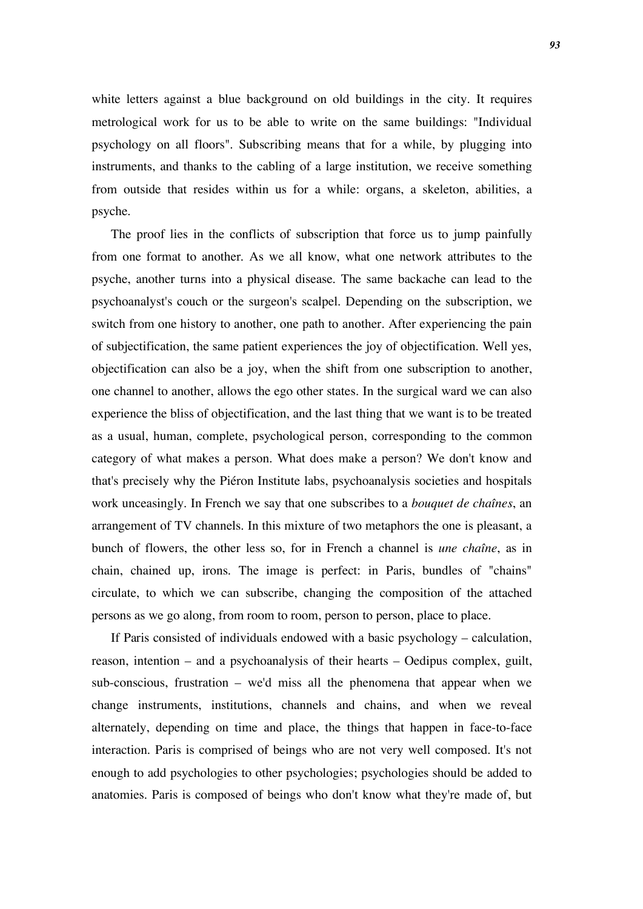white letters against a blue background on old buildings in the city. It requires metrological work for us to be able to write on the same buildings: "Individual psychology on all floors". Subscribing means that for a while, by plugging into instruments, and thanks to the cabling of a large institution, we receive something from outside that resides within us for a while: organs, a skeleton, abilities, a psyche.

The proof lies in the conflicts of subscription that force us to jump painfully from one format to another. As we all know, what one network attributes to the psyche, another turns into a physical disease. The same backache can lead to the psychoanalyst's couch or the surgeon's scalpel. Depending on the subscription, we switch from one history to another, one path to another. After experiencing the pain of subjectification, the same patient experiences the joy of objectification. Well yes, objectification can also be a joy, when the shift from one subscription to another, one channel to another, allows the ego other states. In the surgical ward we can also experience the bliss of objectification, and the last thing that we want is to be treated as a usual, human, complete, psychological person, corresponding to the common category of what makes a person. What does make a person? We don't know and that's precisely why the Piéron Institute labs, psychoanalysis societies and hospitals work unceasingly. In French we say that one subscribes to a *bouquet de chaînes*, an arrangement of TV channels. In this mixture of two metaphors the one is pleasant, a bunch of flowers, the other less so, for in French a channel is *une chaîne*, as in chain, chained up, irons. The image is perfect: in Paris, bundles of "chains" circulate, to which we can subscribe, changing the composition of the attached persons as we go along, from room to room, person to person, place to place.

If Paris consisted of individuals endowed with a basic psychology – calculation, reason, intention – and a psychoanalysis of their hearts – Oedipus complex, guilt, sub-conscious, frustration – we'd miss all the phenomena that appear when we change instruments, institutions, channels and chains, and when we reveal alternately, depending on time and place, the things that happen in face-to-face interaction. Paris is comprised of beings who are not very well composed. It's not enough to add psychologies to other psychologies; psychologies should be added to anatomies. Paris is composed of beings who don't know what they're made of, but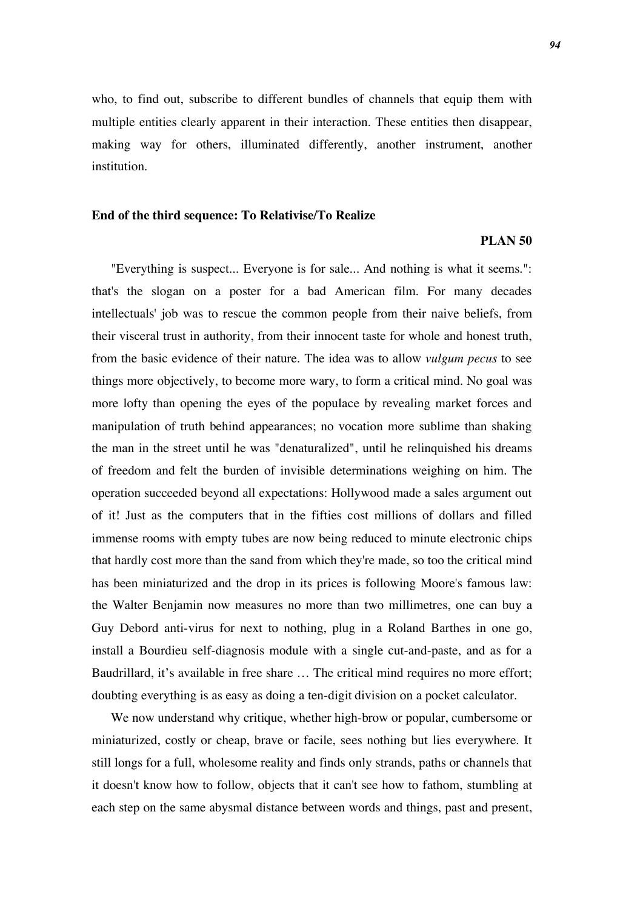who, to find out, subscribe to different bundles of channels that equip them with multiple entities clearly apparent in their interaction. These entities then disappear, making way for others, illuminated differently, another instrument, another institution.

#### **End of the third sequence: To Relativise/To Realize**

### **PLAN 50**

"Everything is suspect... Everyone is for sale... And nothing is what it seems.": that's the slogan on a poster for a bad American film. For many decades intellectuals' job was to rescue the common people from their naive beliefs, from their visceral trust in authority, from their innocent taste for whole and honest truth, from the basic evidence of their nature. The idea was to allow *vulgum pecus* to see things more objectively, to become more wary, to form a critical mind. No goal was more lofty than opening the eyes of the populace by revealing market forces and manipulation of truth behind appearances; no vocation more sublime than shaking the man in the street until he was "denaturalized", until he relinquished his dreams of freedom and felt the burden of invisible determinations weighing on him. The operation succeeded beyond all expectations: Hollywood made a sales argument out of it! Just as the computers that in the fifties cost millions of dollars and filled immense rooms with empty tubes are now being reduced to minute electronic chips that hardly cost more than the sand from which they're made, so too the critical mind has been miniaturized and the drop in its prices is following Moore's famous law: the Walter Benjamin now measures no more than two millimetres, one can buy a Guy Debord anti-virus for next to nothing, plug in a Roland Barthes in one go, install a Bourdieu self-diagnosis module with a single cut-and-paste, and as for a Baudrillard, it's available in free share … The critical mind requires no more effort; doubting everything is as easy as doing a ten-digit division on a pocket calculator.

We now understand why critique, whether high-brow or popular, cumbersome or miniaturized, costly or cheap, brave or facile, sees nothing but lies everywhere. It still longs for a full, wholesome reality and finds only strands, paths or channels that it doesn't know how to follow, objects that it can't see how to fathom, stumbling at each step on the same abysmal distance between words and things, past and present,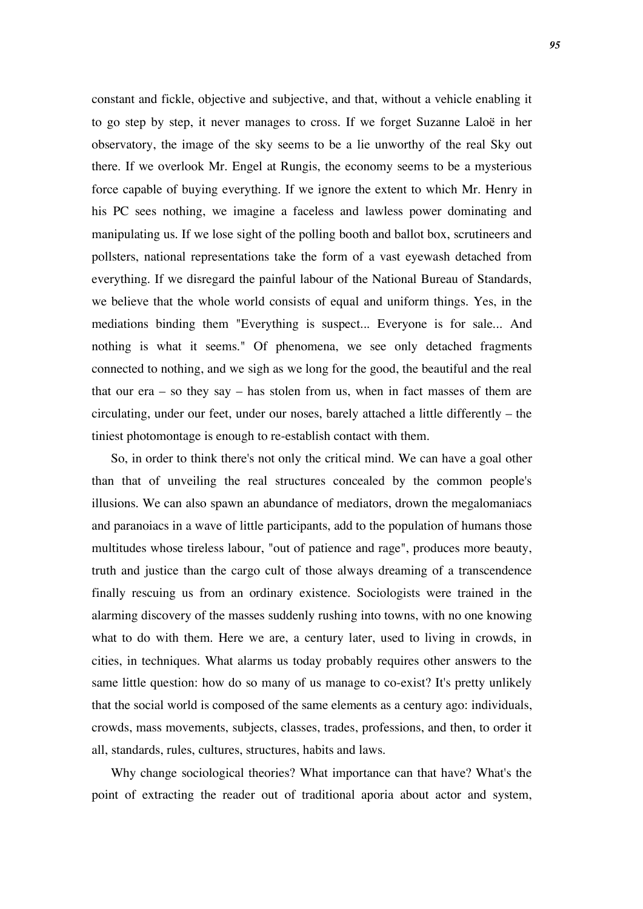constant and fickle, objective and subjective, and that, without a vehicle enabling it to go step by step, it never manages to cross. If we forget Suzanne Laloë in her observatory, the image of the sky seems to be a lie unworthy of the real Sky out there. If we overlook Mr. Engel at Rungis, the economy seems to be a mysterious force capable of buying everything. If we ignore the extent to which Mr. Henry in his PC sees nothing, we imagine a faceless and lawless power dominating and manipulating us. If we lose sight of the polling booth and ballot box, scrutineers and pollsters, national representations take the form of a vast eyewash detached from everything. If we disregard the painful labour of the National Bureau of Standards, we believe that the whole world consists of equal and uniform things. Yes, in the mediations binding them "Everything is suspect... Everyone is for sale... And nothing is what it seems." Of phenomena, we see only detached fragments connected to nothing, and we sigh as we long for the good, the beautiful and the real that our  $era - so$  they say – has stolen from us, when in fact masses of them are circulating, under our feet, under our noses, barely attached a little differently – the tiniest photomontage is enough to re-establish contact with them.

So, in order to think there's not only the critical mind. We can have a goal other than that of unveiling the real structures concealed by the common people's illusions. We can also spawn an abundance of mediators, drown the megalomaniacs and paranoiacs in a wave of little participants, add to the population of humans those multitudes whose tireless labour, "out of patience and rage", produces more beauty, truth and justice than the cargo cult of those always dreaming of a transcendence finally rescuing us from an ordinary existence. Sociologists were trained in the alarming discovery of the masses suddenly rushing into towns, with no one knowing what to do with them. Here we are, a century later, used to living in crowds, in cities, in techniques. What alarms us today probably requires other answers to the same little question: how do so many of us manage to co-exist? It's pretty unlikely that the social world is composed of the same elements as a century ago: individuals, crowds, mass movements, subjects, classes, trades, professions, and then, to order it all, standards, rules, cultures, structures, habits and laws.

Why change sociological theories? What importance can that have? What's the point of extracting the reader out of traditional aporia about actor and system,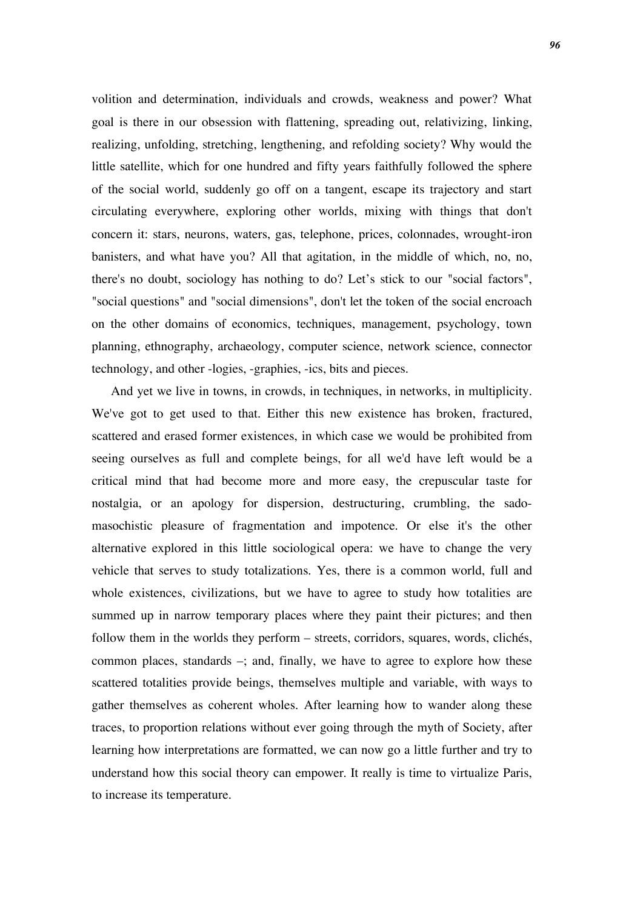volition and determination, individuals and crowds, weakness and power? What goal is there in our obsession with flattening, spreading out, relativizing, linking, realizing, unfolding, stretching, lengthening, and refolding society? Why would the little satellite, which for one hundred and fifty years faithfully followed the sphere of the social world, suddenly go off on a tangent, escape its trajectory and start circulating everywhere, exploring other worlds, mixing with things that don't concern it: stars, neurons, waters, gas, telephone, prices, colonnades, wrought-iron banisters, and what have you? All that agitation, in the middle of which, no, no, there's no doubt, sociology has nothing to do? Let's stick to our "social factors", "social questions" and "social dimensions", don't let the token of the social encroach on the other domains of economics, techniques, management, psychology, town planning, ethnography, archaeology, computer science, network science, connector technology, and other -logies, -graphies, -ics, bits and pieces.

And yet we live in towns, in crowds, in techniques, in networks, in multiplicity. We've got to get used to that. Either this new existence has broken, fractured, scattered and erased former existences, in which case we would be prohibited from seeing ourselves as full and complete beings, for all we'd have left would be a critical mind that had become more and more easy, the crepuscular taste for nostalgia, or an apology for dispersion, destructuring, crumbling, the sadomasochistic pleasure of fragmentation and impotence. Or else it's the other alternative explored in this little sociological opera: we have to change the very vehicle that serves to study totalizations. Yes, there is a common world, full and whole existences, civilizations, but we have to agree to study how totalities are summed up in narrow temporary places where they paint their pictures; and then follow them in the worlds they perform – streets, corridors, squares, words, clichés, common places, standards –; and, finally, we have to agree to explore how these scattered totalities provide beings, themselves multiple and variable, with ways to gather themselves as coherent wholes. After learning how to wander along these traces, to proportion relations without ever going through the myth of Society, after learning how interpretations are formatted, we can now go a little further and try to understand how this social theory can empower. It really is time to virtualize Paris, to increase its temperature.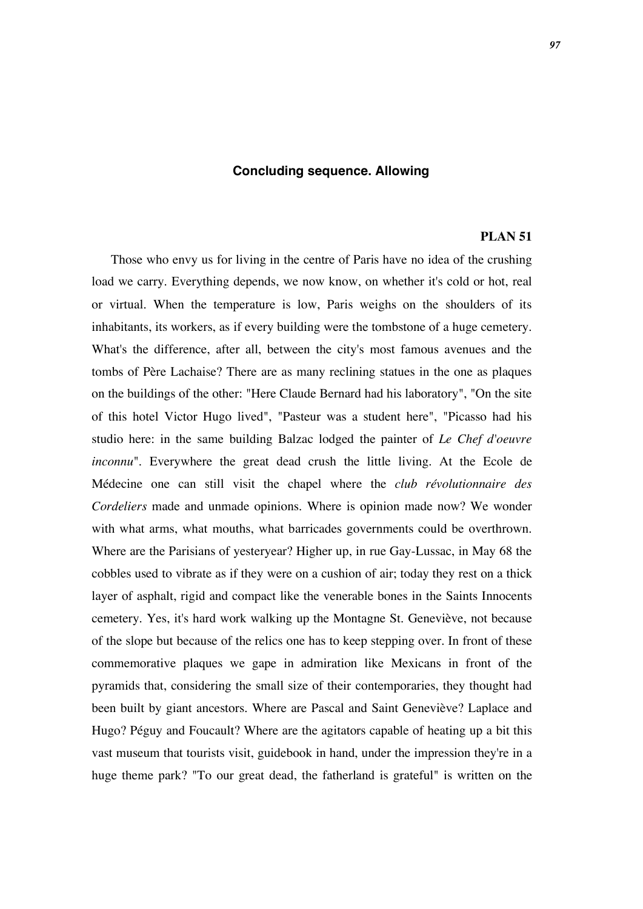# **Concluding sequence. Allowing**

#### **PLAN 51**

Those who envy us for living in the centre of Paris have no idea of the crushing load we carry. Everything depends, we now know, on whether it's cold or hot, real or virtual. When the temperature is low, Paris weighs on the shoulders of its inhabitants, its workers, as if every building were the tombstone of a huge cemetery. What's the difference, after all, between the city's most famous avenues and the tombs of Père Lachaise? There are as many reclining statues in the one as plaques on the buildings of the other: "Here Claude Bernard had his laboratory", "On the site of this hotel Victor Hugo lived", "Pasteur was a student here", "Picasso had his studio here: in the same building Balzac lodged the painter of *Le Chef d'oeuvre inconnu*". Everywhere the great dead crush the little living. At the Ecole de Médecine one can still visit the chapel where the *club révolutionnaire des Cordeliers* made and unmade opinions. Where is opinion made now? We wonder with what arms, what mouths, what barricades governments could be overthrown. Where are the Parisians of yesteryear? Higher up, in rue Gay-Lussac, in May 68 the cobbles used to vibrate as if they were on a cushion of air; today they rest on a thick layer of asphalt, rigid and compact like the venerable bones in the Saints Innocents cemetery. Yes, it's hard work walking up the Montagne St. Geneviève, not because of the slope but because of the relics one has to keep stepping over. In front of these commemorative plaques we gape in admiration like Mexicans in front of the pyramids that, considering the small size of their contemporaries, they thought had been built by giant ancestors. Where are Pascal and Saint Geneviève? Laplace and Hugo? Péguy and Foucault? Where are the agitators capable of heating up a bit this vast museum that tourists visit, guidebook in hand, under the impression they're in a huge theme park? "To our great dead, the fatherland is grateful" is written on the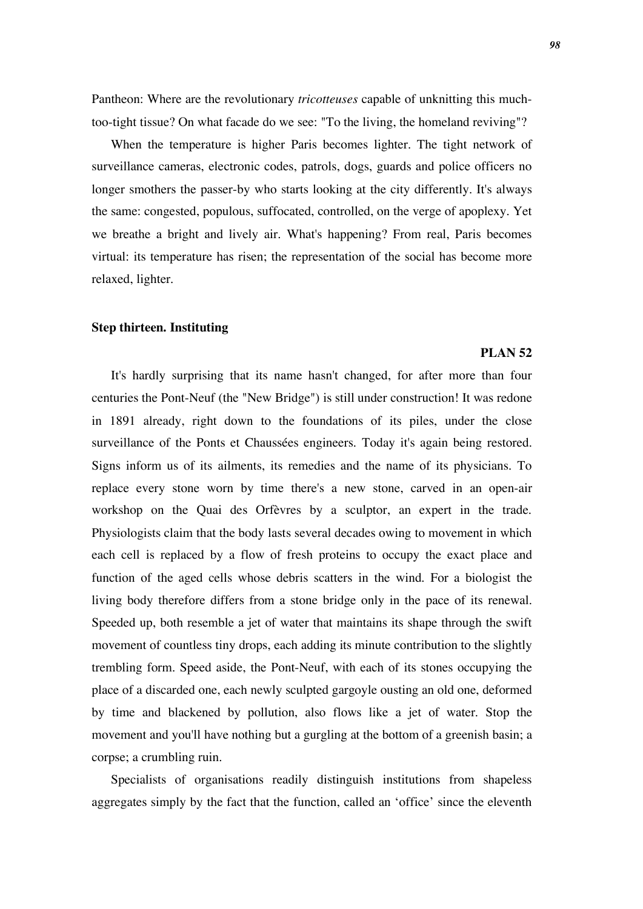Pantheon: Where are the revolutionary *tricotteuses* capable of unknitting this muchtoo-tight tissue? On what facade do we see: "To the living, the homeland reviving"?

When the temperature is higher Paris becomes lighter. The tight network of surveillance cameras, electronic codes, patrols, dogs, guards and police officers no longer smothers the passer-by who starts looking at the city differently. It's always the same: congested, populous, suffocated, controlled, on the verge of apoplexy. Yet we breathe a bright and lively air. What's happening? From real, Paris becomes virtual: its temperature has risen; the representation of the social has become more relaxed, lighter.

### **Step thirteen. Instituting**

## **PLAN 52**

It's hardly surprising that its name hasn't changed, for after more than four centuries the Pont-Neuf (the "New Bridge") is still under construction! It was redone in 1891 already, right down to the foundations of its piles, under the close surveillance of the Ponts et Chaussées engineers. Today it's again being restored. Signs inform us of its ailments, its remedies and the name of its physicians. To replace every stone worn by time there's a new stone, carved in an open-air workshop on the Quai des Orfèvres by a sculptor, an expert in the trade. Physiologists claim that the body lasts several decades owing to movement in which each cell is replaced by a flow of fresh proteins to occupy the exact place and function of the aged cells whose debris scatters in the wind. For a biologist the living body therefore differs from a stone bridge only in the pace of its renewal. Speeded up, both resemble a jet of water that maintains its shape through the swift movement of countless tiny drops, each adding its minute contribution to the slightly trembling form. Speed aside, the Pont-Neuf, with each of its stones occupying the place of a discarded one, each newly sculpted gargoyle ousting an old one, deformed by time and blackened by pollution, also flows like a jet of water. Stop the movement and you'll have nothing but a gurgling at the bottom of a greenish basin; a corpse; a crumbling ruin.

Specialists of organisations readily distinguish institutions from shapeless aggregates simply by the fact that the function, called an 'office' since the eleventh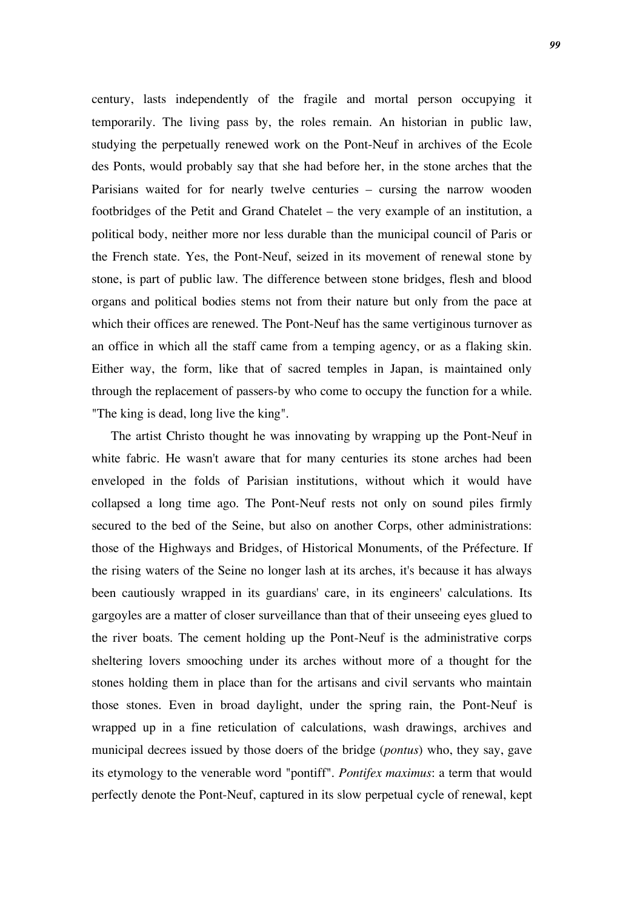century, lasts independently of the fragile and mortal person occupying it temporarily. The living pass by, the roles remain. An historian in public law, studying the perpetually renewed work on the Pont-Neuf in archives of the Ecole des Ponts, would probably say that she had before her, in the stone arches that the Parisians waited for for nearly twelve centuries – cursing the narrow wooden footbridges of the Petit and Grand Chatelet – the very example of an institution, a political body, neither more nor less durable than the municipal council of Paris or the French state. Yes, the Pont-Neuf, seized in its movement of renewal stone by stone, is part of public law. The difference between stone bridges, flesh and blood organs and political bodies stems not from their nature but only from the pace at which their offices are renewed. The Pont-Neuf has the same vertiginous turnover as an office in which all the staff came from a temping agency, or as a flaking skin. Either way, the form, like that of sacred temples in Japan, is maintained only through the replacement of passers-by who come to occupy the function for a while. "The king is dead, long live the king".

The artist Christo thought he was innovating by wrapping up the Pont-Neuf in white fabric. He wasn't aware that for many centuries its stone arches had been enveloped in the folds of Parisian institutions, without which it would have collapsed a long time ago. The Pont-Neuf rests not only on sound piles firmly secured to the bed of the Seine, but also on another Corps, other administrations: those of the Highways and Bridges, of Historical Monuments, of the Préfecture. If the rising waters of the Seine no longer lash at its arches, it's because it has always been cautiously wrapped in its guardians' care, in its engineers' calculations. Its gargoyles are a matter of closer surveillance than that of their unseeing eyes glued to the river boats. The cement holding up the Pont-Neuf is the administrative corps sheltering lovers smooching under its arches without more of a thought for the stones holding them in place than for the artisans and civil servants who maintain those stones. Even in broad daylight, under the spring rain, the Pont-Neuf is wrapped up in a fine reticulation of calculations, wash drawings, archives and municipal decrees issued by those doers of the bridge (*pontus*) who, they say, gave its etymology to the venerable word "pontiff". *Pontifex maximus*: a term that would perfectly denote the Pont-Neuf, captured in its slow perpetual cycle of renewal, kept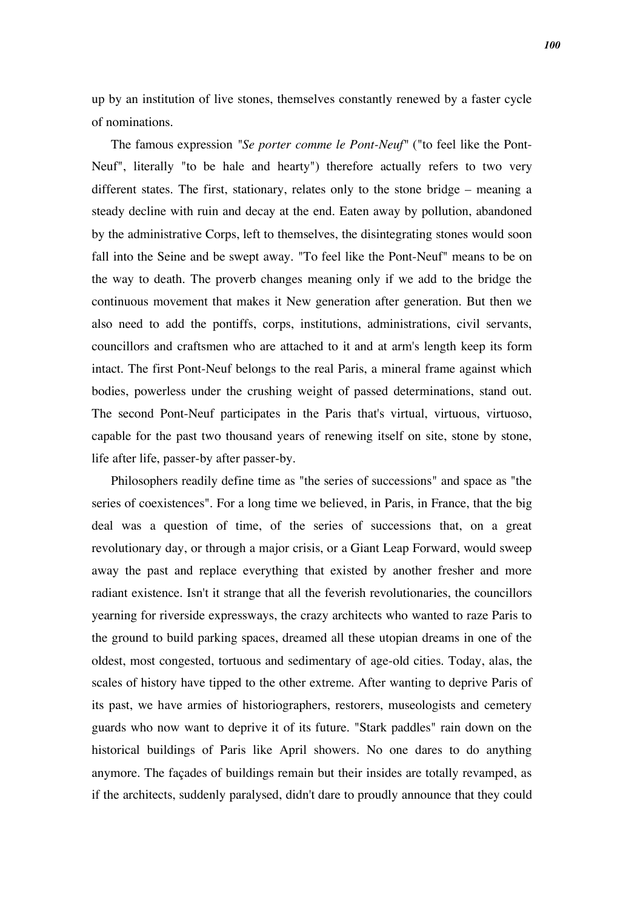up by an institution of live stones, themselves constantly renewed by a faster cycle of nominations*.*

The famous expression *"Se porter comme le Pont-Neuf"* ("to feel like the Pont-Neuf", literally "to be hale and hearty") therefore actually refers to two very different states. The first, stationary, relates only to the stone bridge – meaning a steady decline with ruin and decay at the end. Eaten away by pollution, abandoned by the administrative Corps, left to themselves, the disintegrating stones would soon fall into the Seine and be swept away. "To feel like the Pont-Neuf" means to be on the way to death. The proverb changes meaning only if we add to the bridge the continuous movement that makes it New generation after generation. But then we also need to add the pontiffs, corps, institutions, administrations, civil servants, councillors and craftsmen who are attached to it and at arm's length keep its form intact. The first Pont-Neuf belongs to the real Paris, a mineral frame against which bodies, powerless under the crushing weight of passed determinations, stand out. The second Pont-Neuf participates in the Paris that's virtual, virtuous, virtuoso, capable for the past two thousand years of renewing itself on site, stone by stone, life after life, passer-by after passer-by.

Philosophers readily define time as "the series of successions" and space as "the series of coexistences". For a long time we believed, in Paris, in France, that the big deal was a question of time, of the series of successions that, on a great revolutionary day, or through a major crisis, or a Giant Leap Forward, would sweep away the past and replace everything that existed by another fresher and more radiant existence. Isn't it strange that all the feverish revolutionaries, the councillors yearning for riverside expressways, the crazy architects who wanted to raze Paris to the ground to build parking spaces, dreamed all these utopian dreams in one of the oldest, most congested, tortuous and sedimentary of age-old cities. Today, alas, the scales of history have tipped to the other extreme. After wanting to deprive Paris of its past, we have armies of historiographers, restorers, museologists and cemetery guards who now want to deprive it of its future. "Stark paddles" rain down on the historical buildings of Paris like April showers. No one dares to do anything anymore. The façades of buildings remain but their insides are totally revamped, as if the architects, suddenly paralysed, didn't dare to proudly announce that they could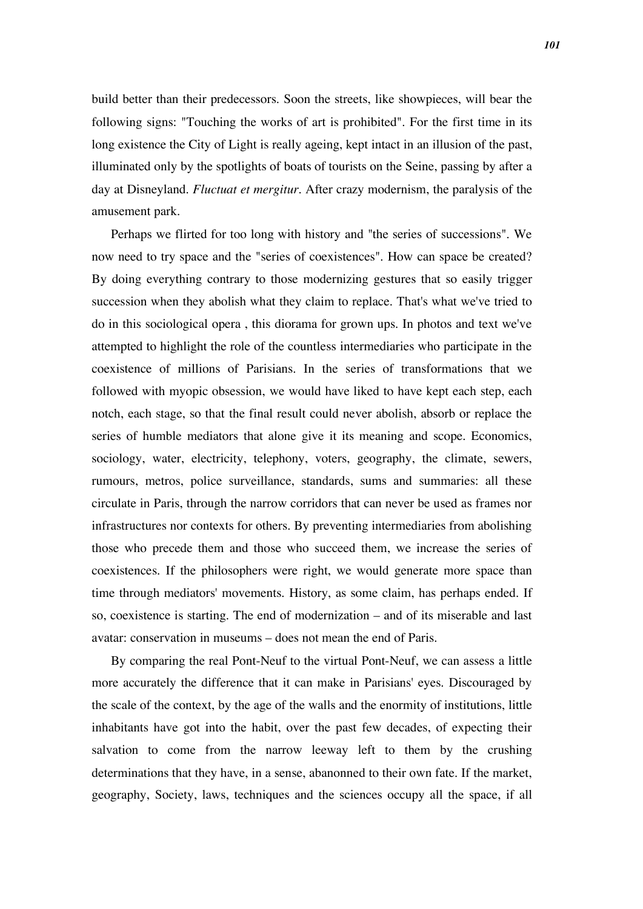build better than their predecessors. Soon the streets, like showpieces, will bear the following signs: "Touching the works of art is prohibited". For the first time in its long existence the City of Light is really ageing, kept intact in an illusion of the past, illuminated only by the spotlights of boats of tourists on the Seine, passing by after a day at Disneyland. *Fluctuat et mergitur*. After crazy modernism, the paralysis of the amusement park.

Perhaps we flirted for too long with history and "the series of successions". We now need to try space and the "series of coexistences". How can space be created? By doing everything contrary to those modernizing gestures that so easily trigger succession when they abolish what they claim to replace. That's what we've tried to do in this sociological opera , this diorama for grown ups. In photos and text we've attempted to highlight the role of the countless intermediaries who participate in the coexistence of millions of Parisians. In the series of transformations that we followed with myopic obsession, we would have liked to have kept each step, each notch, each stage, so that the final result could never abolish, absorb or replace the series of humble mediators that alone give it its meaning and scope. Economics, sociology, water, electricity, telephony, voters, geography, the climate, sewers, rumours, metros, police surveillance, standards, sums and summaries: all these circulate in Paris, through the narrow corridors that can never be used as frames nor infrastructures nor contexts for others. By preventing intermediaries from abolishing those who precede them and those who succeed them, we increase the series of coexistences. If the philosophers were right, we would generate more space than time through mediators' movements. History, as some claim, has perhaps ended. If so, coexistence is starting. The end of modernization – and of its miserable and last avatar: conservation in museums – does not mean the end of Paris.

By comparing the real Pont-Neuf to the virtual Pont-Neuf, we can assess a little more accurately the difference that it can make in Parisians' eyes. Discouraged by the scale of the context, by the age of the walls and the enormity of institutions, little inhabitants have got into the habit, over the past few decades, of expecting their salvation to come from the narrow leeway left to them by the crushing determinations that they have, in a sense, abanonned to their own fate. If the market, geography, Society, laws, techniques and the sciences occupy all the space, if all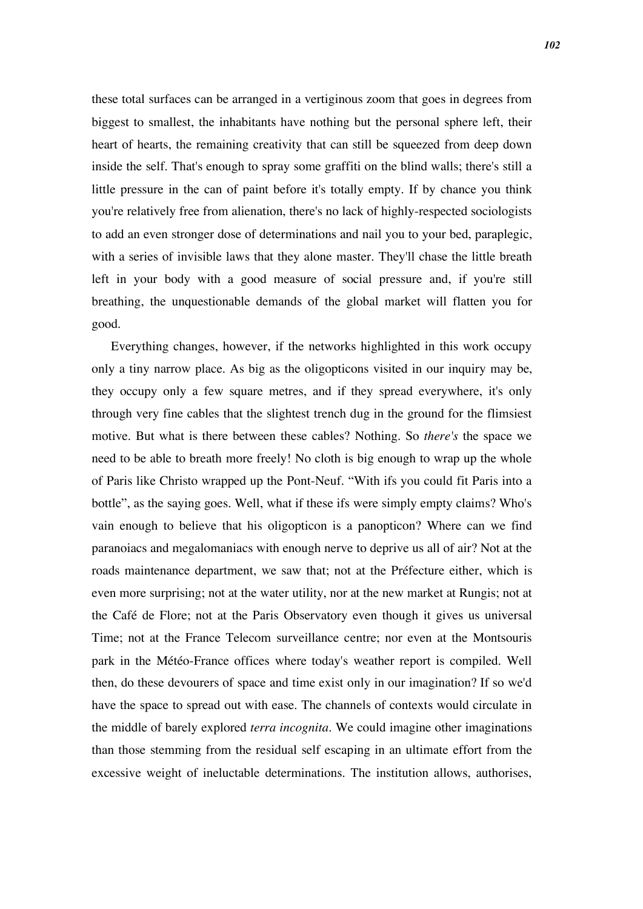these total surfaces can be arranged in a vertiginous zoom that goes in degrees from biggest to smallest, the inhabitants have nothing but the personal sphere left, their heart of hearts, the remaining creativity that can still be squeezed from deep down inside the self. That's enough to spray some graffiti on the blind walls; there's still a little pressure in the can of paint before it's totally empty. If by chance you think you're relatively free from alienation, there's no lack of highly-respected sociologists to add an even stronger dose of determinations and nail you to your bed, paraplegic, with a series of invisible laws that they alone master. They'll chase the little breath left in your body with a good measure of social pressure and, if you're still breathing, the unquestionable demands of the global market will flatten you for good.

Everything changes, however, if the networks highlighted in this work occupy only a tiny narrow place. As big as the oligopticons visited in our inquiry may be, they occupy only a few square metres, and if they spread everywhere, it's only through very fine cables that the slightest trench dug in the ground for the flimsiest motive. But what is there between these cables? Nothing. So *there's* the space we need to be able to breath more freely! No cloth is big enough to wrap up the whole of Paris like Christo wrapped up the Pont-Neuf. "With ifs you could fit Paris into a bottle", as the saying goes. Well, what if these ifs were simply empty claims? Who's vain enough to believe that his oligopticon is a panopticon? Where can we find paranoiacs and megalomaniacs with enough nerve to deprive us all of air? Not at the roads maintenance department, we saw that; not at the Préfecture either, which is even more surprising; not at the water utility, nor at the new market at Rungis; not at the Café de Flore; not at the Paris Observatory even though it gives us universal Time; not at the France Telecom surveillance centre; nor even at the Montsouris park in the Météo-France offices where today's weather report is compiled. Well then, do these devourers of space and time exist only in our imagination? If so we'd have the space to spread out with ease. The channels of contexts would circulate in the middle of barely explored *terra incognita*. We could imagine other imaginations than those stemming from the residual self escaping in an ultimate effort from the excessive weight of ineluctable determinations. The institution allows, authorises,